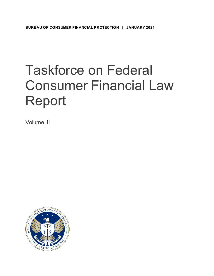# Taskforce on Federal Consumer Financial Law Report

Volume II

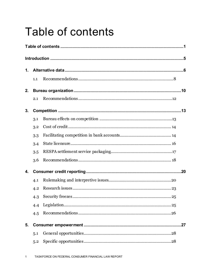# <span id="page-1-0"></span>**Table of contents**

| 1. |     |  |  |  |  |
|----|-----|--|--|--|--|
|    | 1.1 |  |  |  |  |
| 2. |     |  |  |  |  |
|    | 2.1 |  |  |  |  |
| 3. |     |  |  |  |  |
|    | 3.1 |  |  |  |  |
|    | 3.2 |  |  |  |  |
|    | 3.3 |  |  |  |  |
|    | 3.4 |  |  |  |  |
|    | 3.5 |  |  |  |  |
|    | 3.6 |  |  |  |  |
| 4. |     |  |  |  |  |
|    | 4.1 |  |  |  |  |
|    | 4.2 |  |  |  |  |
|    | 4.3 |  |  |  |  |
|    | 4.4 |  |  |  |  |
|    | 4.5 |  |  |  |  |
| 5. |     |  |  |  |  |
|    | 5.1 |  |  |  |  |
|    | 5.2 |  |  |  |  |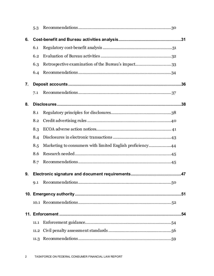|    | 5.3  |                                                           |     |
|----|------|-----------------------------------------------------------|-----|
| 6. |      |                                                           |     |
|    | 6.1  |                                                           |     |
|    | 6.2  |                                                           |     |
|    | 6.3  |                                                           |     |
|    | 6.4  |                                                           |     |
| 7. |      |                                                           |     |
|    | 7.1  |                                                           |     |
| 8. |      |                                                           |     |
|    | 8.1  |                                                           |     |
|    | 8.2  |                                                           |     |
|    | 8.3  |                                                           |     |
|    | 8.4  |                                                           |     |
|    | 8.5  | Marketing to consumers with limited English proficiency44 |     |
|    | 8.6  |                                                           |     |
|    | 8.7  |                                                           |     |
| 9. |      |                                                           |     |
|    | Q.1  |                                                           |     |
|    |      |                                                           |     |
|    |      |                                                           |     |
|    |      |                                                           | .54 |
|    | 11.1 |                                                           |     |
|    | 11.2 |                                                           |     |
|    |      |                                                           |     |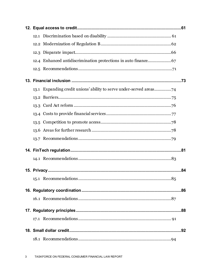| 12.1                                                                |  |
|---------------------------------------------------------------------|--|
|                                                                     |  |
|                                                                     |  |
|                                                                     |  |
|                                                                     |  |
|                                                                     |  |
| 13.1 Expanding credit unions' ability to serve under-served areas74 |  |
|                                                                     |  |
|                                                                     |  |
|                                                                     |  |
|                                                                     |  |
|                                                                     |  |
|                                                                     |  |
|                                                                     |  |
|                                                                     |  |
|                                                                     |  |
|                                                                     |  |
|                                                                     |  |
|                                                                     |  |
|                                                                     |  |
|                                                                     |  |
|                                                                     |  |
|                                                                     |  |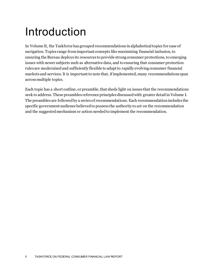# <span id="page-5-0"></span>Introduction

In Volume II, the Taskforce has grouped recommendations in alphabetical topics for ease of navigation. Topics range from important concepts like maximizing financial inclusion, to ensuring the Bureau deploys its resources to provide strong consumer protections, to emerging issues with newer subjects such as alternative data, and to ensuring that consumer protection rules are modernized and sufficiently flexible to adapt to rapidly evolving consumer financial markets and services. It is important to note that, if implemented, many recommendations span across multiple topics.

Each topic has a short outline, or preamble, that sheds light on issues that the recommendations seek to address. These preambles reference principles discussed with greater detail in Volume I. The preambles are followed by a series of recommendations.Each recommendation includes the specific government audience believed to possess the authority to act on the recommendation and the suggested mechanism or action needed to implement the recommendation.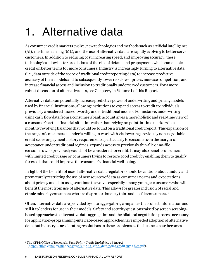# <span id="page-6-0"></span>1. Alternative data

As consumer credit markets evolve, new technologies and methods such as artificial intelligence (AI), machine learning (ML), and the use of alternative data are rapidly evolving to better serve customers. In addition to reducing cost, increasing speed, and improving accuracy, these technologies allow better predictions of the risk of default and prepayment, which can enable credit on better terms for more consumers. Industry is increasingly turning to alternative data (i.e., data outside of the scope of traditional credit reporting data) to increase predictive accuracy of their models and to subsequently lower risk, lower prices, increase competition, and increase financial access and inclusion to traditionally underserved customers. For a more robust discussion of alternative data, see Chapter 9 in Volume I of this Report.

Alternative data can potentially increase predictive power of underwriting and pricing models used by financial institutions, allowing institutions to expand access to credit to individuals previously considereduncreditworthy under traditional models. For instance, underwriting using cash flow data from a consumer's bank account gives a more holistic and real-time view of a consumer's actual financial situation rather than relying on point-in-time markers like monthly revolving balances that would be found on a traditional credit report. This expansion of the range of consumers a lender is willing to work with via lowering previously non-negotiable credit score or payment history requirements, particularly to consumers on the margin of acceptance under traditional regimes, expands access to previously thin-file or no-file consumers who previously could not be considered for credit. It may also benefit consumers with limited credit usage or consumers trying to restore good credit by enabling them to qualify for credit that could improve the consumer's financial well-being.

In light of the benefits of use of alternative data, regulators should be cautious about unduly and prematurely restricting the use of new sources of data as consumer norms and expectations about privacy and data usage continue to evolve, especially among younger consumers who will benefit the most from use of alternative data. This allows for greater inclusion of racial and ethnic minority consumers who are disproportionately thin-and no-file consumers. [1](#page-6-1)

Often, alternative data are provided by data aggregators, companies that collect information and sell it to lenders for use in their models. Safety and security questions raised by screen scrapingbased approaches to alternative data aggregation and the bilateral negotiation process necessary for application-programming-interface-based approaches have impeded adoption of alternative data, but industry is accelerating resolutions to these problems as the business case becomes

6 TASKFORCE ON FEDERAL CONSUMER FINANCIAL LAW REPORT

<span id="page-6-1"></span><sup>1</sup> The CFPB Office of Research, *Data Point: Credit Invisibles*, 16 (2015) [\(https://files.consumerfinance.gov/f/201505\\_cfpb\\_data-point-credit-invisibles.pdf](https://files.consumerfinance.gov/f/201505_cfpb_data-point-credit-invisibles.pdf)).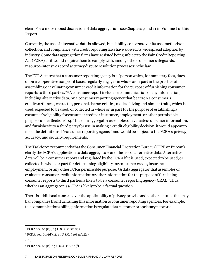clear. For a more robust discussion of data aggregation, see Chapters 9 and 11 in Volume I of this Report.

Currently, the use of alternative data is allowed, but liability concerns over its use, methods of collection, and compliance with credit reporting laws have slowed its widespread adoption by industry. Some data aggregation firms have resisted being subject to the Fair Credit Reporting Act (FCRA) as it would require them to comply with, among other consumer safeguards, resource-intensive record accuracy dispute resolution processes in the law.

The FCRA states that a consumer reporting agency is a "person which, for monetary fees, dues, or on a cooperative nonprofit basis, regularly engages in whole or in part in the practice of assembling or evaluating consumer credit information for the purpose of furnishing consumer reports to third parties." [2](#page-7-0)A consumer report includes a communication of any information, including alternative data, by a consumer reporting agency that bears on a consumer's creditworthiness, character, personal characteristics, mode of living and similar traits, which is used, expected to be used, or collected in whole or in part for the purpose of establishing a consumer's eligibility for consumer credit or insurance, employment, or other permissible purpose under Section 604. [3](#page-7-1) If a data aggregator assembles or evaluates consumer information, and furnishes it to a third party for use in making a credit eligibility decision, it would appear to meet the definition of "consumer reporting agency" and would be subject to the FCRA's privacy, accuracy, and security requirements.

The Taskforce recommends that the Consumer Financial Protection Bureau(CFPB or Bureau) clarify the FCRA's application to data aggregators and the use of alternative data. Alternative data will be a consumer report and regulated by the FCRA if it is used, expected to be used, or collected in whole or part for determining eligibility for consumer credit, insurance, employment, or any other FCRA permissible purpose. [4](#page-7-2)A data aggregator that assembles or evaluates consumer credit information or other informationfor the purpose of furnishing consumer reports to third parties is likely to be a consumer reporting agency (CRA). [5](#page-7-3) Thus, whether an aggregator is a CRA is likely to be a factual question.

There is additional concern over the applicability of privacy provisions in other statutes that may bar companies from furnishing this information to consumer reporting agencies. For example, telecommunications billing information is regulated as customer proprietary network

<span id="page-7-0"></span><sup>2</sup> FCRA sec, 603(f)., 15 U.S.C. §1681a(f).

<span id="page-7-1"></span><sup>3</sup> FCRA, sec. 603(d)(1), 15 U.S.C. §1681a(d)(1).

<span id="page-7-2"></span><sup>4</sup> *Id*.

<span id="page-7-3"></span><sup>5</sup> FCRA sec. 603(f), 15 U.S.C. §1681a(f).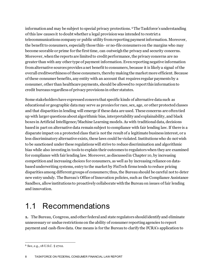information and may be subject to special privacy protections. [6](#page-8-1)The Taskforce's understanding of this law causes it to doubt whether a legal provision was intended to restrict a telecommunications company or public utility from reporting payment information. Moreover, the benefit to consumers, especially those thin- or no-file consumers on the margins who may become scorable or prime for the first time, can outweigh the privacy and security concerns. Moreover, when the reports are limited to credit performance, the privacy concerns are no greater than with any other type of payment information. Even reporting negative information from alternative sources provides a net benefit to consumers, because it is likely a signal of the overall creditworthiness of these consumers, thereby making the market more efficient. Because of these consumer benefits, any entity with an account that requires regular payments by a consumer, other than healthcare payments, should be allowed to report this information to credit bureaus regardless of privacy provisions in other statutes.

Some stakeholders have expressed concern that specific kinds of alternative data such as educational or geographic data may serve as proxies for race, sex, age, or other protected classes and that disparities in lending will emerge if these data are used. These concerns are often tied up with larger questions about algorithmic bias, interpretability and explainability, and black boxes in Artificial Intelligence/Machine Learning models. As with traditional data, decisions based in part on alternative data remainsubject to compliance with fair lending law. If there is a disparate impact on a protected class that is not the result of a legitimate business interest, or a less discriminatory alternative exists, these laws could be violated. Institutions who do not wish to be sanctioned under these regulations will strive to reduce discrimination and algorithmic bias while also investing in tools to explain their outcomes to regulators when they are examined for compliance with fair lending law. Moreover, as discussed in Chapter 10, by increasing competition and increasing choices for consumers, as well as by increasing reliance on databased underwriting systems, entry to the market by FinTech firms tends to reduce pricing disparities among different groups of consumers; thus, the Bureau should be careful not to deter new entry unduly. The Bureau's Office of Innovation policies, such as the Compliance Assistance Sandbox, allow institutions to proactively collaborate with the Bureau on issues of fair lending and innovation.

### <span id="page-8-0"></span>1.1 Recommendations

**1.** The Bureau, Congress, and other federal and state regulators should identify and eliminate unnecessary or undue restrictions on the ability of consumer reporting agencies to report payment and cash-flow data. One means is for the Bureau to clarify the FCRA's application to

8 TASKFORCE ON FEDERAL CONSUMER FINANCIAL LAW REPORT

<span id="page-8-1"></span><sup>6</sup> See, e.g., 18 U.S.C. § 2702.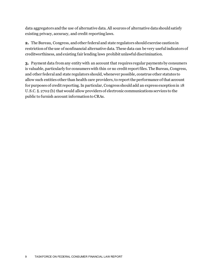data aggregators and the use of alternative data. All sources of alternative data should satisfy existing privacy, accuracy, and credit reporting laws.

**2.** The Bureau, Congress, and other federal and state regulators should exercise caution in restriction of the use of nonfinancial alternative data. These data can be very useful indicators of creditworthiness, and existing fair lending laws prohibit unlawful discrimination.

**3.** Payment data from any entity with an account that requires regular payments by consumers is valuable, particularly for consumers with thin or no credit report files. The Bureau, Congress, and other federal and state regulators should, whenever possible, construe other statutes to allow such entities other than health care providers, to report the performance of that account for purposes of credit reporting. In particular, Congress should add an express exception in 18 U.S.C. §. 2702 (b) that would allow providers of electronic communications services to the public to furnish account information to CRAs.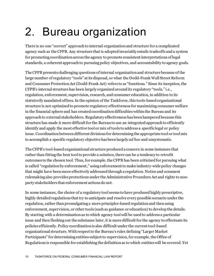# <span id="page-10-0"></span>2. Bureau organization

There is no one "correct" approach to internal organization and structure for a complicated agency such as the CFPB. Any structure that is adopted invariably entails tradeoffs and a system for promoting coordination across the agency to promote consistent interpretations of legal standards, a coherent approach to pursuing policy objectives, and accountability to agency goals.

The CFPB presents challenging questions of internal organization and structure because of the large number of regulatory "tools" at its disposal, or what the Dodd-Frank Wall Street Reform and Consumer Protection Act (Dodd-Frank Act) refers to as "functions." Since its inception, the CFPB's internal structure has been largely organized around its regulatory "tools," i.e., regulation, enforcement, supervision, research, and consumer education, in addition to its statutorily mandated offices. In the opinion of the Taskforce, this tools-based organizational structure is not optimized to promote regulatory effectiveness for maximizing consumer welfare in the financial sphere and has created coordination difficulties within the Bureau and its approach to external stakeholders. Regulatory effectiveness has been hampered because this structure has made it more difficult for the Bureau to use an integrated approach to efficiently identify and apply the most effective tool or mix of tools to address a specific legal or policy issue. Coordination between different divisions for determining the appropriate tool or tool mix to accomplish a specific regulatory objective has been largely *ad hoc* and unsystematic.

The CFPB's tool-based organizational structure produced a concern in some instances that rather than fitting the best tool to provide a solution, there can be a tendency to retrofit outcomes to the chosen tool. Thus, for example, the CFPB has been criticized for pursuing what is called "regulation by enforcement," using enforcement to make industry-wide policy changes that might have been more effectively addressed through a regulation. Notice and comment rulemaking also provides protections under the Administrative Procedure Act and rights to nonparty stakeholders that enforcement actions do not.

In some instances, the choice of a regulatory tool seems to have produced highly prescriptive, highly detailed regulations that try to anticipate and resolve every possible scenario under the regulation, rather than promulgating a more principles-based regulation and then using enforcement, supervision, or other tools (such as guidance or education) to develop the details. By starting with a determination as to which agency tool will be used to address a particular issue and then fleshing out the substance later, it is more difficult for the agency to effectuate its policies efficiently. Policy coordination is also difficult under the current tool-based organizational structure. With respect to the Bureau's rules defining "Larger Market Participants" for determining entities subject to supervision, for example, the Office of Regulations is responsible for establishing the definition as to which entities will be covered. Yet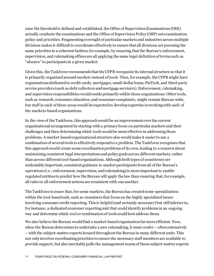once the threshold is defined and established, the Office of Supervision Examinations (OSE) actually conducts the examinations and the Office of Supervision Policy (OSP) sets examination policy and priorities. Fragmenting oversight of particular markets and industries across multiple divisions makes it difficult to coordinate effectively to ensure that all divisions are pursuing the same priorities in a coherent fashion; for example, by ensuring that the Bureau's enforcement, supervision, and rulemaking offices are all applying the same legal definition of terms such as "abusive" to participants in a given market.

Given this, the Taskforce recommends that the CFPB reorganize its internal structure so that it is primarily organized around *markets* instead of *tools*. Thus, for example, the CFPB might have organizations dedicated to credit cards, mortgages, small-dollar loans, FinTech, and third-party service providers (such as debt collectors and mortgage servicers). Enforcement, rulemaking, and supervision responsibilities would reside primarily within those organizations. Other tools, such as research, consumer education, and consumer complaints, might remain Bureau-wide, but staff in each of these areas would be expected to develop expertise in working with each of the markets-based organizations.

In the view of the Taskforce, this approach would be an improvement over the current organizational arrangement by starting with a primary focus on particular markets and their challenges and then determining which tools would be most effective in addressing those problems. A market-based organizational structure also would make it easier to use a combination of several tools to effectively respond to a problem. The Taskforce recognizes that this approach would create some coordination problems of its own, leading to a concern about maintaining consistent legal interpretations and policy goals across different markets, rather than across different tool-based organizations. Although both types of consistency are undeniably important, consistent guidance to market participants from all of the Bureau's operations (i.e., enforcement, supervision, and rulemaking) is more important to enable regulated entities to predict how the Bureau will apply the law than ensuring that, for example, all rules or all enforcement actions are consistent with one another.

The Taskforce is aware that, for some markets, the Bureau has created some specialization within the tool-based unit, such as examiners that focus on the highly specialized issues involving consumer credit reporting. This is helpful (and certainly necessary) but still inferior to, for instance, a dedicated consumer reporting unit that could identify problems in an ongoing way and determine which tool or combination of tools could best address them.

We also believe the Bureau would find a market-based organization far more efficient. Now, when the Bureau determines to undertake a new rulemaking, it must confer – often extensively – with the subject-matter experts housed throughout the Bureau in many different units. This not only involves coordinating priorities to ensure the necessary staff members are available to provide support, but also inevitably pulls the management teams of those subject-matter experts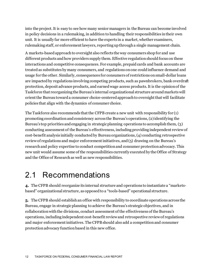into the project. It is easy to see how many senior managers in the Bureau can become involved in policy decisions in a rulemaking, in addition to handling their responsibilities in their own unit. It is usually far more efficient to have the experts in a market, whether examiners, rulemaking staff, or enforcement lawyers, reporting up through a single management chain.

A markets-based approach to oversight also reflects the way consumers shop for and use different products and how providers supply them. Effective regulation should focus on these interactions and competitive consequences. For example, prepaid cards and bank accounts are treated as substitutes by many consumers, and regulations on one could influence demand and usage for the other. Similarly, consequences for consumers of restrictions on small-dollar loans are impacted by regulations involving competing products, such as pawnbrokers, bank overdraft protection, deposit advance products, and earned wage access products. It is the opinion of the Taskforce that reorganizing the Bureau's internal organizational structure around markets will orient the Bureau toward a consumer choice-centered approach to oversight that will facilitate policies that align with the dynamics of consumer choice.

The Taskforce also recommends that the CFPB create a new unit with responsibility for (1) promoting coordination and consistency across the Bureau's operations, (2) identifying the Bureau's top priorities and engaging in strategic planning operations to accomplish them, (3) conducting assessment of the Bureau's effectiveness, including providing independent review of cost-benefit analysis initially conducted by Bureau organizations, (4) conducting retrospective review of regulations and major enforcement initiatives, and (5) drawing on the Bureau's research and policy expertise to conduct competition and consumer protection advocacy. This new unit would assume some of the responsibilities currently executed by the Office of Strategy and the Office of Research as well as new responsibilities.

### <span id="page-12-0"></span>2.1 Recommendations

**4.** TheCFPB should reorganize its internal structure and operations to instantiate a "marketsbased" organizational structure, as opposed to a "tools-based" operational structure.

**5.** The CFPB should establish an office with responsibility to coordinate operations across the Bureau, engage in strategic planning to achieve the Bureau's strategicobjectives, and in collaboration with the divisions, conduct assessment of the effectiveness of the Bureau's operations, including independent cost-benefit review and retrospective review of regulations and major enforcement initiatives. The CFPB should also add a competition and consumer protection advocacy function based in this new office.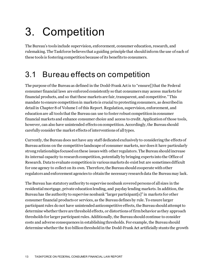# <span id="page-13-0"></span>3. Competition

The Bureau's tools include supervision, enforcement, consumer education, research, and rulemaking. The Taskforce believes that a guiding principle that should inform the use of each of these tools is fostering competition because of its benefits to consumers.

### <span id="page-13-1"></span>3.1 Bureau effects on competition

The purpose of the Bureau as defined in the Dodd-Frank Act is to "ensure[] that the Federal consumer financial laws are enforced consistently so that consumers may access markets for financial products, and so that these markets are fair, transparent, and competitive." This mandate to ensure competition in markets is crucial to protecting consumers, as described in detail in Chapter 8 of Volume I of this Report. Regulation, supervision, enforcement, and education are all tools that the Bureau can use to foster robust competition in consumer financial markets and enhance consumer choice and access to credit. Application of those tools, however, can also have unintended effects on competition. Accordingly, the Bureau should carefully consider the market effects of interventions of all types.

Currently, the Bureau does not have any staff dedicated exclusively to considering the effects of Bureau actions on the competitive landscape of consumer markets, nor does it have particularly strong relationships focused on these issues with other regulators. The Bureau should increase its internal capacity to research competition, potentially by bringing experts into the Office of Research. Data to evaluate competition in various markets do exist but are sometimes difficult for one agency to collect on its own. Therefore, the Bureau should cooperate with other regulators and enforcement agencies to obtain the necessary research data the Bureau may lack.

The Bureau has statutory authority to supervise nonbank covered persons of all sizes in the residential mortgage, private education lending, and payday lending markets. In addition, the Bureau has the authority to supervise nonbank "larger participant[s]" in markets for other consumer financial products or services, as the Bureau defines by rule. To ensure larger participant rules do not have unintended anticompetitive effects, the Bureau should attempt to determine whether there are threshold effects, or distortions of firm behavior as they approach thresholds for larger participant rules. Additionally, the Bureau should continue to consider costs and adverse consequences in establishing thresholds. For example, the Bureau should determine whether the \$10 billion thresholdin the Dodd-Frank Act artificially stunts the growth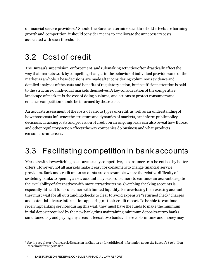of financial service providers. [7](#page-14-2) Should the Bureau determine such threshold effects are harming growth and competition, it should consider means to ameliorate the unnecessary costs associated with such thresholds.

#### <span id="page-14-0"></span>3.2 Cost of credit

The Bureau's supervision, enforcement, and rulemaking activities often drastically affect the way that markets work by compelling changes in the behavior of individual providers and of the market as a whole. These decisions are made after considering voluminous evidence and detailed analyses of the costs and benefits of regulatory action, but insufficient attention is paid to the structure of individual markets themselves. A key consideration of the competitive landscape of markets is the cost of doing business, and actions to protect consumers and enhance competition should be informed by those costs.

An accurate assessment of the costs of various types of credit, as well as an understanding of how those costs influence the structure and dynamics of markets, can inform public policy decisions. Tracking costs and provision of credit on an ongoing basis can also reveal how Bureau and other regulatory action affects the way companies do business and what products consumers can access.

### <span id="page-14-1"></span>3.3 Facilitating competition in bank accounts

Markets with low switching costs are usually competitive, as consumers can be enticed by better offers. However, not all markets make it easy for consumers to change financial service providers. Bank and credit union accounts are one example where the relative difficulty of switching banks to opening a new account may lead consumers to continue an account despite the availability of alternatives with more attractive terms. Switching checking accounts is especially difficult for a consumer with limited liquidity. Before closing their existing account, they must wait for all outstanding checks to clear to avoid expensive "returned check" charges and potential adverse information appearing on their credit report. To be able to continue receiving banking services during this wait, they must have the funds to make the minimum initial deposit required by the new bank, thus maintaining minimum deposits at two banks simultaneously and paying any account fees at two banks. These costs in time and money may

<span id="page-14-2"></span><sup>7</sup> *See* the regulatory framework discussion in Chapter 13 for additional information about the Bureau's \$10 billion threshold for supervision.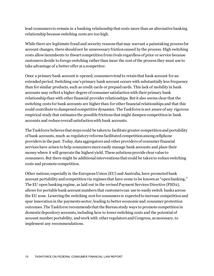lead consumers to remain in a banking relationship that costs more than an alternative banking relationship because switching costs are too high.

While there are legitimate fraud and security reasons that may warrant a painstaking process for account changes, there should not be unnecessary friction caused by the process. High switching costs allow incumbents to thwart competition from rivals regardless of price or service because customers decide to forego switching rather than incur the cost of the process they must use to take advantage of a better offer at a competitor.

Once a primary bank account is opened, consumers tend to retain that bank account for an extended period. Switching one's primary bank account occurs with substantially less frequency than for similar products, such as credit cards or prepaid cards. This lack of mobility in bank accounts may reflect a higher degree of consumer satisfaction with their primary bank relationship than with other financial provider relationships. But it also seems clear that the switching costs for bank accounts are higher than for other financial relationships and that this could contribute to dampened competitive dynamics. The Taskforce is not aware of any rigorous empirical study that estimates the possible frictions that might dampen competition in bank accounts and reduce overall satisfaction with bank accounts.

The Taskforce believes that steps could be taken to facilitate greater competition and portability of bank accounts, much as regulatory reforms facilitated competition among cellphone providers in the past. Today, data aggregators and other providers of consumer financial services have arisen to help consumers more easily manage bank accounts and place their money where it will generate the highest yield. These solutions provide clear value to consumers. But there might be additional interventions that could be taken to reduce switching costs and promote competition.

Other nations, especially in the European Union (EU) and Australia, have promoted bank account portability and competition via regimes that have come to be known as "open banking." The EU open banking regime, as laid out in the revised Payment Services Directive (PSD2), allows for portable bank account numbers that customers can use to easily switch banks across the EU zone. Lowering the switching cost for consumers is expected to increase competition and spur innovation in the payments sector, leading to better economic and consumer protection outcomes. The Taskforce recommends that the Bureau study ways to promote competition in domestic depository accounts, including how to lower switching costs and the potential of account number portability, and work with other regulators and Congress, as necessary, to implement any recommendations.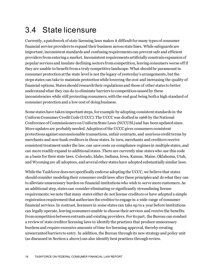### <span id="page-16-0"></span>3.4 State licensure

Currently, a patchwork of state licensing laws makes it difficult for many types of consumer financial service providers to expand their business across state lines. While safeguards are important, inconsistent standards and confusing requirements can prevent safe and efficient providers from entering a market. Inconsistent requirements artificially constrain expansion of popular services and insulate declining sectors from competition, leaving consumers worse off if they are unable to benefit from a truly competitive landscape. What should be paramount in consumer protection at the state level is not the legacy of yesterday's arrangements, but the steps states can take to maintain protection while lowering the cost and increasing the quality of financial options. States should research their regulations and those of other states to better understand what they can do to eliminate barriers to competition caused by these inconsistencies while still protecting consumers, with the end goal being both a high standard of consumer protection and a low cost of doing business.

Some states have taken important steps, for example by adopting consistent standards in the Uniform Consumer Credit Code (UCCC). The UCCC was drafted in 1968 by the National Conference of Commissioners on Uniform State Laws (NCCUSL) and has been updated since. More updates are probably needed. Adoption of the UCCC gives consumers consistent protections against unconscionable transactions, unfair contracts, and usurious credit terms by merchants and non-bank creditors in those states. In turn, merchants and creditors receive consistent treatment under the law, can save costs on compliance regimes in multiple states, and can more readily expand to additional states. There are currently nine states who use this code as a basis for their state laws. Colorado, Idaho, Indiana, Iowa, Kansas, Maine, Oklahoma, Utah, and Wyoming are all adoptees, and several other states have adopted substantially similar laws.

While the Taskforce does not specifically endorse adopting the UCCC, we believe that states should consider modeling their consumer credit laws after these principles and do what they can to alleviate unnecessary burden on financial institutions who wish to serve more customers. As an additional step, states can consider eliminating or significantly streamlining license requirements; we note that many states either do not license creditors or have adopted a simple registration requirement that authorizes the creditor to engage in a wide range of consumer financial services. In contrast, licensure in some states can take up to a year before institutions can legally operate, leaving consumers unable to choose their services and receive the benefits from competition between entrants and existing providers. For its part, the Bureau can conduct a review of state creditor licensing laws to identify the practices that produce unnecessary burdens and require excessive amounts of time for licensing approval, thereby creating unwarranted barriers to entry.In addition, the Bureau through its new strategy and policy unit (as discussed in Section 2 above) can also identify best practices through review.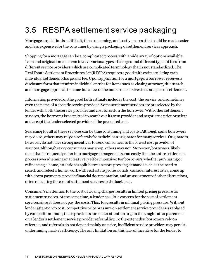## <span id="page-17-0"></span>3.5 RESPA settlement service packaging

Mortgage acquisition is a difficult, time consuming, and costly process that could be made easier and less expensive for the consumer by using a packaging of settlement services approach.

Shopping for a mortgage can be a complicated process, with a wide array of options available. Loan and origination costs can involve various types of charges and different types of fees from different service providers, which use complicated terminology that is not standardized. The Real Estate Settlement Procedures Act (RESPA) requires a good faith estimate listing each individual settlement charge and fee. Upon application for a mortgage, a borrower receives a disclosure form that itemizes individual entries for items such as closing attorney, title search, and mortgage appraisal, to name but a few of the numerous services that are part of settlement.

Information provided on the good faith estimate includes the cost, the service, and sometimes even the name of a specific service provider. Some settlement services are preselected by the lender with both the service provider and cost forced on the borrower. With other settlement services, the borrower is permitted to search out its own provider and negotiate a price or select and accept the lender selected provider at the presented cost.

Searching for all of these services can be time consuming and costly. Although some borrowers may do so, others may rely on referrals from their loan originator for many services. Originators, however, do not have strong incentives to send consumers to the lowest cost provider of services. Although savvy consumers may shop, others may not. Moreover, borrowers, likely most that infrequently enter into mortgage arrangements, can easily find the entire settlement process overwhelming or at least very effort intensive. For borrowers, whether purchasing or refinancing a home, attention is split between more pressing demands such as the need to search and select a home, work with real estate professionals, consider interest rates, come up with down payments, provide financial documentation, and an assortment of other distractions, often relegating the cost of settlement services to the back seat.

Consumer's inattention to the cost of closing charges results in limited pricing pressure for settlement services. At the same time, a lender has little concern for the cost of settlement services since it does not pay the costs. This, too, results in minimal pricing pressure. Without lender attention to cost, competitive price pressure on settlement service providers is replaced by competition among these providers for lender attention to gain the sought-after placement on a lender's settlement service provider referral list. To the extent that borrowers rely on referrals, and referrals do not depend mainly on price, inefficient service providers may persist, undermining market efficiency. The only limitation on this lack of incentive for the lender to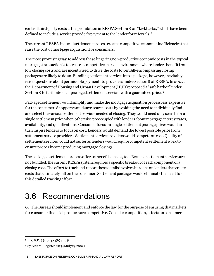control third-party costs is the prohibition in RESPA Section 8 on "kickbacks," which have been defined to include a service provider's payment to the lender for referrals. [8](#page-18-1)

The current RESPA-induced settlement process creates competitive economic inefficiencies that raise the cost of mortgage acquisition for consumers.

The most promising way to address these lingering non-productive economic costs in the typical mortgage transaction is to create a competitive market environment where lenders benefit from low closing costs and are incentivized to drive the costs lower. All-encompassing closing packages are likely to do so. Bundling settlement services into a package, however, inevitably raises questions about permissible payments to providers under Section 8 of RESPA. In 2002, the Department of Housing and Urban Development (HUD) proposed a "safe harbor" under Section 8 to facilitate such packaged settlement services with a guaranteed price. [9](#page-18-2)

Packaged settlement would simplify and make the mortgage acquisition process less expensive for the consumer. Shoppers would save search costs by avoiding the need to individually find and select the various settlement services needed at closing. They would need only search for a single settlement price when otherwise preoccupied with lenders about mortgage interest rates, availability, and qualifications. Consumer focus on single settlement package prices would in turn inspire lenders to focus on cost. Lenders would demand the lowest possible price from settlement service providers. Settlement service providers would compete on cost. Quality of settlement services would not suffer as lenders would require competent settlement work to ensure proper income producing mortgage closings.

The packaged settlement process offers other efficiencies, too. Because settlement services are not bundled, the current RESPA system requires a specific breakout of each component of a closing cost. The effort to track and report these details involves burdens on lenders that create costs that ultimately fall on the consumer. Settlement packages would eliminate the need for this detailed tracking effort.

### <span id="page-18-0"></span>3.6 Recommendations

**6.** The Bureau should implement and enforce the law for the purpose of ensuring that markets for consumer financial products are competitive. Consider competition, effects on consumer

<span id="page-18-1"></span><sup>8</sup> 12 C.F.R. § § 1024.14(b) and (f)

<span id="page-18-2"></span><sup>9</sup> 67 Federal Register 49134 (July 29,2002).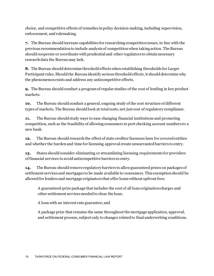choice, and competitive effects of remedies in policy decision-making, including supervision, enforcement, and rulemaking.

**7.** The Bureau should increase capabilities for researching competition issues, in line with the previous recommendation to include analysis of competition when taking action. The Bureau should cooperate or coordinate with prudential and other regulators to obtain necessary research data the Bureau may lack.

**8.** The Bureau should determine threshold effects when establishing thresholds for Larger Participant rules. Should the Bureau identify serious threshold effects, it should determine why the phenomenon exists and address any anticompetitive effects.

**9.** The Bureau should conduct a program of regular studies of the cost of lending in key product markets.

**10.** The Bureau should conduct a general, ongoing study of the cost structure of different types of markets. The Bureau should look at total costs, not just cost of regulatory compliance.

**11.** The Bureau should study ways to ease changing financial institutions and promoting competition, such as the feasibility of allowing consumers to port checking account numbers to a new bank.

**12.** The Bureau should research the effect of state creditor licensure laws for covered entities and whether the burden and time for licensing approval create unwarranted barriers to entry.

**13.** States should consider eliminating or streamlining licensing requirements for providers of financial services to avoid anticompetitive barriers to entry.

**14.** The Bureau should remove regulatory barriers to allow guaranteed prices on packages of settlement services and mortgages to be made available to consumers. This exemption should be allowed for lenders and mortgage originators that offer loans without upfront fees:

A guaranteed-price package that includes the cost of all loan origination charges and other settlement services needed to close the loan;

A loan with an interest rate guarantee; and

A package price that remains the same throughout the mortgage application, approval, and settlement process, subject only to changes related to final underwriting conditions.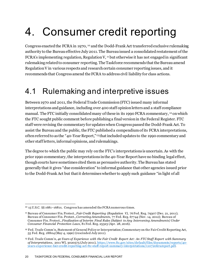# <span id="page-20-0"></span>4. Consumer credit reporting

Congress enacted the FCRA in 1970, [10](#page-20-2) and the Dodd-Frank Act transferred exclusive rulemaking authority to the Bureau effective July 2011. The Bureau issued a consolidated restatement of the FCRA's implementing regulation, Regulation  $V$ ,  $11$  but otherwise it has not engaged in significant rulemaking related to consumer reporting. The Taskforce recommends that the Bureau amend Regulation V in various respects and research certain consumer reporting issues, and it recommends that Congress amend the FCRA to address civil liability for class actions.

### <span id="page-20-1"></span>4.1 Rulemaking and interpretive issues

Between 1970 and 2011, the Federal Trade Commission (FTC) issued many informal interpretations and guidance, including over 400 staff opinion letters and a staff compliance manual. The FTC initially consolidated many of these in its 1990 FCRA commentary, [12](#page-20-4) on which the FTC sought public comment before publishing a final version in the Federal Register. FTC staff were revising the commentary for updates when Congress passed the Dodd-Frank Act. To assist the Bureau and the public, the FTC published a compendium of its FCRA interpretations, often referred to as the "40-Year Report," [13](#page-20-5) that included updates to the 1990 commentary and other staff letters, informal opinions, and rulemakings.

The degree to which the public may rely on the FTC's interpretations is uncertain. As with the prior 1990 commentary, the interpretations in the 40-Year Report have no binding legal effect, though courts have sometimes cited them as persuasive authority. The Bureau has stated generally that it gives "due consideration" to informal guidance that other agencies issued prior to the Dodd-Frank Act but that it determines whether to apply such guidance "in light of all

<span id="page-20-2"></span> $10$  15 U.S.C. §§ 1681–1681x. Congress has amended the FCRA numerous times.

<span id="page-20-3"></span><sup>11</sup> Bureau of Consumer Fin. Protect., *Fair Credit Reporting (Regulation V)*, 76 Fed. Reg. 79307 (Dec. 21, 2011); Bureau of Consumer Fin. Protect., *Correcting Amendments*, 77 Fed. Reg. 67744 (Nov. 14, 2012); Bureau of Consumer Fin. Protect., *Finalization of Interim Final Rules (Subject to Any Intervening Amendments) Under Consumer Financial Protection Laws*, 81 Fed. Reg. 25323 (Apr. 28, 2016).

<span id="page-20-4"></span><sup>12</sup> Fed. Trade Comm'n, Statement of General Policy or Interpretation; Commentary on the Fair Credit Reporting Act, 55 Fed. Reg. 18804 (May 4, 1990) (rescinded July 2011).

<span id="page-20-5"></span><sup>13</sup> Fed. Trade Comm'n, *40 Years of Experience with the Fair Credit Report Act: An FTC Staff Report with Summary of Interpretations*, 2011 WL 3020575 (July 2011), [https://www.ftc.gov/sites/default/files/documents/reports/40](https://www.ftc.gov/sites/default/files/documents/reports/40-years-experience-fair-credit-reporting-act-ftc-staff-report-summary-interpretations/110720fcrareport.pdf) [years-experience-fair-credit-reporting-act-ftc-staff-report-summary-interpretations/110720fcrareport.pdf.](https://www.ftc.gov/sites/default/files/documents/reports/40-years-experience-fair-credit-reporting-act-ftc-staff-report-summary-interpretations/110720fcrareport.pdf)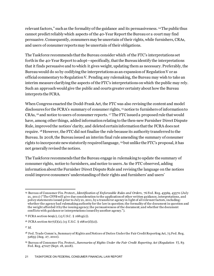relevant factors," such as the formality of the guidance and its persuasiveness. [14](#page-21-0)The public thus cannot predict reliably which aspects of the 40-Year Report the Bureau or a court may find persuasive. Consequently, consumers may be uncertain of their rights, while furnishers, CRAs, and users of consumer reports may be uncertain of their obligations.

The Taskforce recommends that the Bureau consider which of the FTC's interpretations set forth in the 40-Year Reportto adopt—specifically, that the Bureau identify the interpretations that it finds persuasive and to which it gives weight, updating them as necessary. Preferably, the Bureau would do so by codifying the interpretations as an expansion of Regulation V or as official commentary to Regulation V. Pending any rulemaking, the Bureau may wish to take an interim measure clarifying the aspects of the FTC's interpretations on which the public may rely. Such an approach would give the public and courts greater certainty about how the Bureau interprets the FCRA.

When Congress enacted the Dodd-Frank Act, the FTC was also revising the content and model disclosures for the FCRA's summary of consumer rights, [15](#page-21-1) notice to furnishers of information to CRAs, [16](#page-21-2) and notice to users of consumer reports. [17](#page-21-3) The FTC issued a proposed rule that would have, among other things, added information relating to the then-new Furnisher Direct Dispute Rule, improved the notices' clarity, and deleted certain information that the FCRA does not require. [18](#page-21-4)However, the FTC did not finalize the rule because its authority transferred to the Bureau. In 2018, the Bureau issued an interim final rule amending the summary of consumer rights to incorporate new statutorily required language, [19](#page-21-5) but unlike the FTC's proposal, it has not generally revised the notices.

The Taskforce recommends that the Bureau engage in rulemaking to update the summary of consumer rights, notice to furnishers, and notice to users. As the FTC observed, adding information about the Furnisher Direct Dispute Rule and revising the language on the notices could improve consumers' understanding of their rights and furnishers' and users'

<span id="page-21-3"></span><sup>17</sup> *Id*.

<span id="page-21-0"></span><sup>14</sup> Bureau of Consumer Fin. Protect., *Identification of Enforceable Rules and Orders*, 76 Fed. Reg. 43569, 43570 (July 21, 2011) ("The CFPB will give due consideration to the application of other written guidance, interpretations, and policy statements issued prior to July 21, 2011, by a transferor agency in light of all relevant factors, including: whether the agency had rulemaking authority for the law in question; the formality of the document in question and the weight afforded it by the issuing agency; the persuasiveness of the document; and whether the document conflicts with guidance or interpretations issued by another agency.").

<span id="page-21-1"></span><sup>15</sup> FCRA section 609(c), (15 U.S.C. § 1681g(c)).

<span id="page-21-2"></span> $16$  FCRA section 607(d)(2), (15 U.S.C. § 1681e(d)(2)).

<span id="page-21-4"></span><sup>18</sup> Fed. Trade Comm'n, Summary of Rights and Notices of Duties Under the Fair Credit Reporting Act, 75 Fed. Reg. 52655 (Aug. 27, 2010).

<span id="page-21-5"></span><sup>19</sup> Bureau of Consumer Fin. Protect., *Summaries of Rights Under the Fair Credit Reporting Act (Regulation V)*, 83 Fed. Reg. 47027 (Sept. 18, 2018).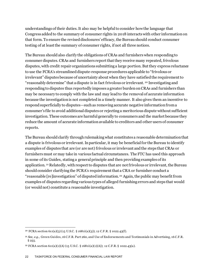understandings of their duties. It also may be helpful to consider how the language that Congress added to the summary of consumer rights in 2018 interacts with other information on that form. To ensure the revised disclosures' efficacy, the Bureau should conduct consumer testing of at least the summary of consumer rights, if not all three notices.

The Bureau should also clarify the obligations of CRAs and furnishers when responding to consumer disputes. CRAs and furnishers report that they receive many repeated, frivolous disputes, with credit repair organizations submitting a large portion. But they express reluctance to use the FCRA's streamlined dispute-response procedures applicable to "frivolous or irrelevant" disputes because of uncertainty about when they have satisfied the requirement to "reasonably determine" that a dispute is in fact frivolous or irrelevant. [20](#page-22-0) Investigating and responding to disputes thus reportedly imposes a greater burden on CRAs and furnishers than may be necessary to comply with the law and may lead to the removal of accurate information because the investigation is not completed in a timely manner. It also gives them an incentive to respond superficially to disputes—such as removing accurate negative information from a consumer's file to avoid additional disputes or rejecting a meritorious dispute without sufficient investigation. These outcomes are harmful generally to consumers and the market because they reduce the amount of accurate information available to creditors and other users of consumer reports.

The Bureau should clarify through rulemaking what constitutes a reasonable determination that a dispute is frivolous or irrelevant. In particular, it may be beneficial for the Bureau to identify examples of disputes that are (or are not) frivolous or irrelevant and the steps that CRAs or furnishers must or may take in various factual circumstances. The FTC has used this approach in some of its Guides, stating a general principle and then providing examples of its application. [21](#page-22-1) Relatedly, with respect to disputes that are not frivolous or irrelevant, the Bureau should consider clarifying the FCRA's requirement that a CRA or furnisher conduct a "reasonable [re]investigation" of disputed information.[22](#page-22-2) Again, the public may benefit from examples of disputes regarding various types of alleged furnishing errors and steps that would (or would not) constitute a reasonable investigation.

<span id="page-22-0"></span><sup>20</sup> FCRA section 611(a)(3) (15 U.S.C. § 1681i(a)(3)); 12 C.F.R. § 1022.43(f).

<span id="page-22-1"></span><sup>21</sup> *See*, *e.g.*, Green Guides, 16 C.F.R. Part 260, and Use of Endorsements and Testimonials in Advertising, 16 C.F.R.  $§ 255.$ 

<span id="page-22-2"></span><sup>&</sup>lt;sup>22</sup> FCRA section 611(a)(1)(A) (15 U.S.C. § 1681i(a)(1)(A)); 12 C.F.R. § 1022.43(a).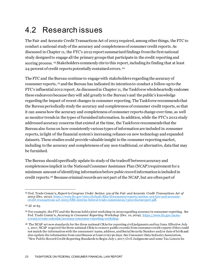## <span id="page-23-0"></span>4.2 Research issues

The Fair and Accurate Credit Transactions Act of 2003 required, among other things, the FTC to conduct a national study of the accuracy and completeness of consumer credit reports. As discussed in Chapter 11, the FTC's 2012 report summarized findings from the first national study designed to engage all the primary groups that participate in the credit reporting and scoring process. [23](#page-23-1) Stakeholders commonly cite to this report, including its finding that at least 24 percent of credit reports potentially contained errors.[24](#page-23-2)

The FTC and the Bureau continue to engage with stakeholders regarding the accuracy of consumer reports, [25](#page-23-3) and the Bureau has indicated its intention to conduct a follow-up to the FTC's influential 2012 report.As discussed in Chapter 11, the Taskforce wholeheartedly endorses these endeavors because they will add greatly to the Bureau's and the public's knowledge regarding the impact of recent changes in consumer reporting. The Taskforce recommends that the Bureau periodically study the accuracy and completeness of consumer credit reports, so that it can assess how the accuracy and completeness of consumer reports change over time, as well as monitor trends in the types of furnished information. In addition, while the FTC's 2012 study addressed accuracy concerns that existed at the time, the Taskforce recommends that the Bureau also focus on how consistently various types of information are included in consumer reports, in light of the financial system's increasing reliance on new technology and expanded datasets. These studies could provide valuable insight to the consumer reporting market, including to the accuracy and completeness of any non-traditional, or alternative, data that may be furnished.

The Bureau should specifically update its study of the tradeoff between accuracy and completeness implicit in the National Consumer Assistance Plan (NCAP) requirement for a minimum amount of identifying information before pubic record information is included in credit reports.[26](#page-23-4) Because criminal records are not part of the NCAP, but are often part of

<span id="page-23-1"></span><sup>23</sup> Fed. Trade Comm'n, *Report to Congress Under Section 319 of the Fair and Accurate Credit Transactions Act of 2003* (Dec. 2012), [https://www.ftc.gov/sites/default/files/documents/reports/section-319-fair-and-accurate](https://www.ftc.gov/sites/default/files/documents/reports/section-319-fair-and-accurate-credit-transactions-act-2003-fifth-interim-federal-trade-commission/130211factareport.pdf)[credit-transactions-act-2003-fifth-interim-federal-trade-commission/130211factareport.pdf](https://www.ftc.gov/sites/default/files/documents/reports/section-319-fair-and-accurate-credit-transactions-act-2003-fifth-interim-federal-trade-commission/130211factareport.pdf).

<span id="page-23-2"></span><sup>24</sup> *Id.* at 63.

<span id="page-23-3"></span><sup>25</sup> For example, the FTC and the Bureau held a joint workshop in 2019 regarding accuracy in consumer reporting. *See* Fed. Trade Comm'n, *Accuracy in Consumer Reporting Workshop* (Dec. 10, 2019), [https://www.ftc.gov/news](https://www.ftc.gov/news-events/events-calendar/accuracy-consumer-reporting-workshop)[events/events-calendar/accuracy-consumer-reporting-workshop](https://www.ftc.gov/news-events/events-calendar/accuracy-consumer-reporting-workshop).

<span id="page-23-4"></span><sup>26</sup> The NCAP set new standards for the three national CRAs for reporting civil judgments and tax liens. Effective July 1, 2017, NCAP required the three national CRAs to remove public records from consumer credit reports if they could not match the information with the consumers' name, address, and Social Security Number and/or date of birth and also update the information from courthouses at least every 90 days. *See* Consumer Data Industry Association, "New Public Record Credit Reporting Standards to Begin July 1, 2017; Civil Judgments and some Tax Liens to be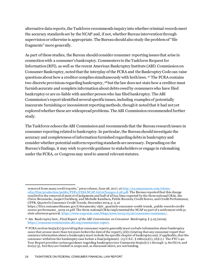alternative data reports, the Taskforce recommends inquiry into whether criminal records meet the accuracy standards set by the NCAP and, if not, whether Bureau intervention through supervision or otherwise is appropriate. The Bureaushould also study the problem of "file fragments" more generally.

As part of these studies, the Bureau should consider consumer reporting issues that arise in connection with a consumer's bankruptcy.Commenters to the Taskforce Request for Information (RFI), as well as the recent American Bankruptcy Institute (ABI) Commission on Consumer Bankruptcy, noted that the interplay of the FCRA and the Bankruptcy Code can raise questions about how a creditor complies simultaneously with both laws. [27](#page-24-0) The FCRA contains two discrete provisions regarding bankruptcy, [28](#page-24-1) but the law does not state how a creditor must furnish accurate and complete information about debts owed by consumers who have filed bankruptcy or are co-liable with another person who has filed bankruptcy. The ABI Commission's report identified several specific issues, including examples of potentially inaccurate furnishing or inconsistent reporting methods, though it noted that it had not yet explored whether these are widespread problems. The ABI Commission recommended further study.

The Taskforce echoes the ABI Commission and recommends that the Bureau research issues in consumer reporting related to bankruptcy. In particular, the Bureau should investigate the accuracy and completeness of information furnished regarding debts in bankruptcy and consider whether potential uniform reporting standards are necessary. Depending on the Bureau's findings, it may wish to provide guidance to stakeholders or engage in rulemaking under the FCRA, or Congress may need to amend relevant statutes.

removed from many credit reports," press release, June 28, 2017, at <u>http://s3.amazonaws.com/rdcms-</u> [cdia/files/production/public/PDFs/CDIA.NCAP.July1Changes.6.28.pdf](http://s3.amazonaws.com/rdcms-cdia/files/production/public/PDFs/CDIA.NCAP.July1Changes.6.28.pdf). The Bureau reported that this change resulted in the removal of most civil judgments and half of all tax liens reported by the three national CRAs. *See* Claire Brennecke, Jasper Clarkberg, and Michelle Kambara, Public Records, Credit Scores, and Credit Performance, CFPB, Quarterly Consumer Credit Trends, December 2019, p. 2, at

https://files.consumerfinance.gov/f/documents/ cfpb\_quarterly-consumer-credit-trends\_public-records-creditscores-performance\_2019-12.pdf. The three national CRAs implemented the NCAP as part of a settlement with 31 state attorneys general[. https://www.experian.com/blogs/news/2015/05/20/consumer-assistance/.](https://www.experian.com/blogs/news/2015/05/20/consumer-assistance/)

<span id="page-24-0"></span><sup>27</sup> Am. Bankruptcy Inst., *Final Report of the ABI Commission on Consumer Bankruptcy* § 5.05 (2019), <https://consumercommission.abi.org/commission-report>.

<span id="page-24-1"></span> $28$  FCRA section 605(a)(1) (providing that consumer reports generally must exclude information about bankruptcy cases that arouse more than ten years before the date of the report),  $(d)(1)$  (stating that any consumer report that contains information about a bankruptcy must include the specific chapter of bankruptcy and, if applicable, that the consumer withdrew the bankruptcy case before a final judgment). (15 U.S.C. § 1681c(a)(1), (d)(1).) The FTC's 40-Year Report provides various guidance regarding bankruptcy (see Comments 605(a)(1)-1 through -3, 607(b)-6, and 611(a)-3), but they are limited in scope and, as discussed above, are not binding.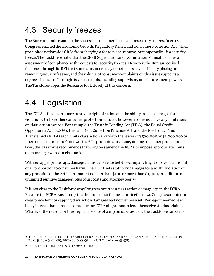## <span id="page-25-0"></span>4.3 Security freezes

The Bureau should examine the success of consumers' request for security freezes. In 2018, Congress enacted the Economic Growth, Regulatory Relief, and Consumer Protection Act, which prohibited nationwide CRAs from charging a fee to place, remove, or temporarily lift a security freeze. The Taskforce notes that the CFPB Supervision and Examination Manual includes an assessment of compliance with requests for security freezes. However, the Bureau received feedback through its RFI that some consumers may nonetheless have difficulty placing or removing security freezes, and the volume of consumer complaints on this issue supports a degree of concern. Through its various tools, including supervisory and enforcement powers, The Taskforce urges the Bureau to look closely at this concern.

## <span id="page-25-1"></span>4.4 Legislation

The FCRA affords consumers a private right of action and the ability to seek damages for violations. Unlike other consumer protection statutes, however, it does not have any limitations on class action awards. For example, the Truth in Lending Act (TILA), the Equal Credit Opportunity Act (ECOA), the Fair Debt Collection Practices Act, and the Electronic Fund Transfer Act (EFTA) each limits class action awards to the lesser of \$500,000 or \$1,000,000 or 1 percent of the creditor's net worth. [29](#page-25-2)To promote consistency among consumer protection laws, the Taskforce recommends that Congress amend the FCRA to impose appropriate limits on monetary awards in class actions.

Without appropriate caps, damage claims can create bet-the-company litigation over claims out of all proportion to consumer harm. The FCRA sets statutory damages for a willful violation of any provision of the Act in an amount not less than \$100 or more than \$1,000, in addition to unlimited punitive damages, plus court costs and attorney fees. [30](#page-25-3)

It is not clear to the Taskforce why Congress omitted a class action damage cap in the FCRA. Because the FCRA was among the first consumer financial protection laws Congress adopted, a clear precedent for capping class action damages had not yet been set. Perhaps it seemed less likely in 1970 than it has become now for FCRA allegations to lend themselves to class claims. Whatever the reason for the original absence of a cap on class awards, the Taskforce can see no

<span id="page-25-2"></span><sup>29</sup> TILA § 130(a)(2)(B), 15 U.S.C. § 1640(a)(2)(B); ECOA § 706(b), 15 U.S.C. § 1691e(b); FDCPA § 813(a)(2)(B), 15 U.S.C. § 1692k(a)((2)(B); EFTA §916(a)(2)(ii), 15 U.S.C. § 1693m(a)(2)(B).

<span id="page-25-3"></span><sup>30</sup> FCRA § 616(a)(1)(A), 15 U.S.C. § 1681n(a)(1)(A).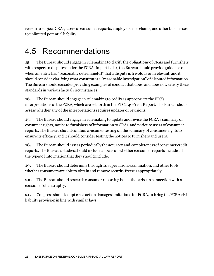reason to subject CRAs, users of consumer reports, employers, merchants, and other businesses to unlimited potential liability.

#### <span id="page-26-0"></span>4.5 Recommendations

**15.** The Bureau should engage in rulemaking to clarify the obligations of CRAs and furnishers with respect to disputes under the FCRA. In particular, the Bureau should provide guidance on when an entity has "reasonably determine[d]" that a dispute is frivolous or irrelevant, and it should consider clarifying what constitutes a "reasonable investigation" of disputed information. The Bureau should consider providing examples of conduct that does, and does not, satisfy these standards in various factual circumstances.

**16.** The Bureau should engage in rulemaking to codify as appropriate the FTC's interpretations of the FCRA, which are set forth in the FTC's 40-Year Report. The Bureau should assess whether any of the interpretations requires updates or revisions.

**17.** The Bureau should engage in rulemaking to update and revise the FCRA's summary of consumer rights, notice to furnishers of information to CRAs, and notice to users of consumer reports. The Bureau should conduct consumer testing on the summary of consumer rights to ensure its efficacy, and it should consider testing the notices to furnishers and users.

**18.** The Bureau should assess periodically the accuracy and completeness of consumer credit reports. The Bureau's studies should include a focus on whether consumer reports include all the types of information that they should include.

**19.** The Bureau should determine through its supervision, examination, and other tools whether consumers are able to obtain and remove security freezes appropriately.

**20.** The Bureau should research consumer reporting issues that arise in connection with a consumer's bankruptcy.

**21.** Congress should adopt class action damages limitations for FCRA, to bring the FCRA civil liability provision in line with similar laws.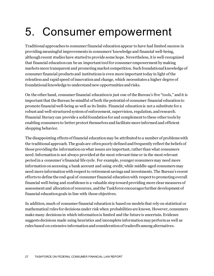# <span id="page-27-0"></span>5. Consumer empowerment

Traditional approaches to consumer financial education appear to have had limited success in providing meaningful improvements in consumers' knowledge and financial well-being, although recent studies have started to provide some hope. Nevertheless, it is well-recognized that financial education can be an important tool for consumer empowerment by making markets more transparent and promoting market competition. Such foundational knowledge of consumer financial products and institutions is even more important today in light of the relentless and rapid speed of innovation and change, which necessitates a higher degree of foundational knowledge to understand new opportunities and risks.

On the other hand, consumer financial education is just one of the Bureau's five "tools," and it is important that the Bureau be mindful of both the potential of consumer financial education to promote financial well-being as well as its limits. Financial education is not a substitute for a robust and well-structured system of enforcement, supervision, regulation, and research. Financial literacy can provide a solid foundation for and complement to these other tools by enabling consumers to better protect themselves and facilitate more informed and efficient shopping behavior.

The disappointing effects of financial education may be attributed to a number of problems with the traditional approach. The goals are often poorly defined and frequently reflect the beliefs of those providing the information on what issues are important, rather than what consumers need. Information is not always provided at the most relevant time or in the most relevant period in a consumer's financial life cycle. For example, younger consumers may need more information on accessing a bank account and using credit, while middle-aged consumers may need more information with respect to retirement savings and investments. The Bureau's recent efforts to define the end-goal of consumer financial education with respect to promoting overall financial well-being and confidence is a valuable step toward providing more clear measures of assessment and allocation of resources, and the Taskforce encourages further development of financial education goals in line with those objectives.

In addition, much of consumer financial education is based on models that rely on statistical or mathematical rules for decisions under risk when probabilities are known. However, consumers make many decisions in which information is limited and the future is uncertain. Evidence suggests decisions made using heuristics and incomplete information may perform as well as rules based on extensive information and consideration of tradeoffs among alternatives.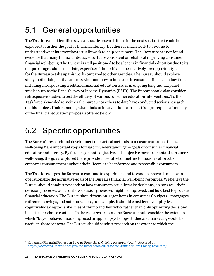## <span id="page-28-0"></span>5.1 General opportunities

The Taskforce has identified several specific research items in the next section that could be explored to further the goal of financial literacy, but there is much work to be done to understand what interventions actually work to help consumers. The literature has not found evidence that many financial literacy efforts are consistent or reliable at improving consumer financial well-being. The Bureau is well positioned to be a leader in financial educationdue to its unique Congressional mandate, expertise of the staff, and the relatively low opportunity costs for the Bureau to take up this work compared to other agencies. The Bureau should explore study methodologies that address when and how to intervene in consumer financial education, including incorporating credit and financial education issues in ongoing longitudinal panel studies such as the Panel Survey of Income Dynamics (PSID). The Bureau should also consider retrospective studies to test the efficacy of various consumer education interventions. To the Taskforce's knowledge, neither the Bureau nor others to date have conducted serious research on this subject. Understanding what kinds of interventions work best is a prerequisite for many of the financial education proposals offered below.

## <span id="page-28-1"></span>5.2 Specific opportunities

The Bureau's research and development of practical methods to measure consumer financial well-being [31](#page-28-2) are important steps forward in understanding the goals of consumer financial educationand literacy. By focusing on both objective and subjective measurements of consumer well-being, the goals captured there provide a useful set of metrics to measure efforts to empower consumers throughout their lifecycle to be informed and responsible consumers.

The Taskforce urges the Bureau to continue to experiment and to conduct research on how to operationalize the normative goals of the Bureau's financial well-being resources. We believe the Bureau should conduct research on how consumers actually make decisions, on how well their decision processes work, on how decision processes might be improved, and how best to provide financial education. The Bureau should focus on larger items in consumers' budgets—mortgages, retirement savings, and auto purchases, for example. It should consider developing less cognitively-taxing tools like rules of thumb and heuristics rather than only optimizing decisions in particular choice contexts. In the research process, the Bureau should consider the extent to which "buyer behavior modeling" used in applied psychology studies and marketing would be useful in these contexts. The Bureau should conduct research on the extent to which the

<span id="page-28-2"></span><sup>31</sup> Consumer Financial Protection Bureau, *Financial well-being resources* (2015)*.* Accessed at <https://www.consumerfinance.gov/consumer-tools/educator-tools/financial-well-being-resources/>.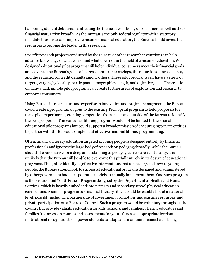ballooning student debt crisis is affecting the financial well-being of consumers as well as their financial maturation broadly. As the Bureau is the only federal regulator with a statutory mandate to address and improve consumer financial education, the Bureau should invest the resources to become the leader in this research.

Specific research projects conducted by the Bureau or other research institutions can help advance knowledge of what works and what does not in the field of consumer education. Welldesigned educational pilot programs will help individual consumers meet their financial goals and advance the Bureau's goals of increased consumer savings, the reduction of foreclosures, and the reduction of credit defaults among others. These pilot programs can have a variety of targets, varying by locality, participant demographics, length, and objective goals. The creation of many small, nimble pilot programs can create further areas of exploration and research to empower consumers.

Using Bureau infrastructure and expertise in innovation and project management, the Bureau could create a program analogous to the existing Tech Sprint program to field proposals for these pilot experiments, creating competition from inside and outside of the Bureau to identify the best proposals. This consumer literacy program would not be limited to these small educational pilot programs but could support a broader mission of encouraging private entities to partner with the Bureau to implement effective financial literacy programming.

Often, financial literacy education targeted at young people is designed entirely by financial professionals and ignores the large body of research on pedagogy broadly. While the Bureau should of course strive for a deep understanding of pedagogical research and reality, it is unlikely that the Bureau will be able to overcome this pitfall entirely in its design of educational programs. Thus, after identifying effective interventions that can be targeted toward young people, the Bureau should look to successful educational programs designed and administered by other government bodies as potential models to actually implement them. One such program is the Presidential Youth Fitness Program designed by the Department of Health and Human Services, which is heavily embedded into primary and secondary school physical education curriculums. A similar program for financial literacy fitness could be established at a national level, possibly including a partnership of government promotion (and existing resources) and private participation on a Board or Council. Such a program would be voluntary throughout the country but provide valuable education for kids, schools, and families, offering educators and families free access to courses and assessments for youth fitness at appropriate levels and motivational recognition to empower students to adopt and maintain financial well-being.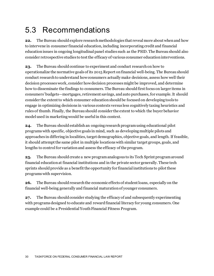## <span id="page-30-0"></span>5.3 Recommendations

**22.** The Bureau should explore research methodologies that reveal more about when and how to intervene in consumer financial education, including incorporating credit and financial education issues in ongoing longitudinal panel studies such as the PSID. The Bureau should also consider retrospective studies to test the efficacy of various consumer education interventions.

**23.** The Bureau should continue to experiment and conduct research on how to operationalize the normative goals of its 2015 Report on financial well-being. The Bureau should conduct research to understand how consumers actually make decisions, assess how well their decision processes work, consider how decision processes might be improved, and determine how to disseminate the findings to consumers. The Bureau should first focus on larger items in consumers' budgets—mortgages, retirement savings, and auto purchases, for example. It should consider the extent to which consumer education should be focused on developing tools to engage in optimizing decisions in various contexts versus less cognitively taxing heuristics and rules of thumb. Finally, the Bureau should consider the extent to which the buyer behavior model used in marketing would be useful in this context.

**24.** The Bureau should establish an ongoing research program using educational pilot programs with specific, objective goals in mind, such as developingmultiple pilots and approaches in differing in localities, target demographics, objective goals, and length. If feasible, it should attempt the same pilot in multiple locations with similar target groups, goals, and lengths to control for variation and assess the efficacy of the program.

**25.** The Bureau should create a new program analogous to its Tech Sprint program around financial education at financial institutions and in the private sector generally. These tech sprints should provide as a benefit the opportunity for financial institutions to pilot these programs with supervision.

**26.** The Bureau should research the economic effects of student loans, especially on the financial well-being generally and financial maturation of younger consumers.

**27.** The Bureau should consider studying the efficacy of and subsequently experimenting with programs designed to educate and reward financial literacy for young consumers. One example could be a Presidential Youth Financial Fitness Program.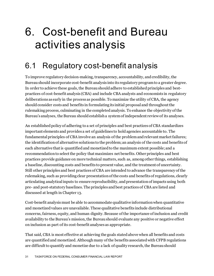## <span id="page-31-0"></span>6. Cost-benefit and Bureau activities analysis

### <span id="page-31-1"></span>6.1 Regulatory cost-benefit analysis

To improve regulatory decision-making, transparency, accountability, and credibility, the Bureau should incorporate cost-benefit analysis into its regulatory program to a greater degree. In order to achieve these goals, the Bureau should adhere to established principles and bestpractices of cost-benefit analysis (CBA) and include CBA analysts and economists in regulatory deliberations as early in the process as possible. To maximize the utility of CBA, the agency should consider costs and benefits in formulating its initial proposal and throughoutthe rulemaking process, culminating in the completed analysis. To enhance the objectivity of the Bureau's analyses, the Bureau should establish a system of independent review of its analyses.

An established policy of adhering to a set of principles and best practices of CBA standardizes important elements and provides a set of guidelines to hold agencies accountable to. The fundamental principles of CBA involve an analysis of the problem and relevant market failures; the identification of alternative solutions to the problem; an analysis of the costs and benefits of each alternative that is quantified and monetized to the maximum extent possible; and a recommendation to select the policy that maximizes net benefits. Other principles and best practices provide guidance on more technical matters, such as, among other things, establishing a baseline, discounting costs and benefits to present value, and the treatment of uncertainty. Still other principles and best practices of CBA are intended to advance the transparency of the rulemaking, such as providing clear presentation of the costs and benefits of regulations, clearly articulating analytical inputs to ensure reproducibility, and presentation of impacts using both pre- and post-statutory baselines. The principles and best practices of CBA are listed and discussed at length in Chapter 13.

Cost-benefit analysis must be able to accommodate qualitative information when quantitative and monetized values are unavailable. These qualitative benefits include distributional concerns, fairness, equity, and human dignity. Because of the importance of inclusion and credit availability to the Bureau's mission, the Bureau should evaluate any positive or negative effect on inclusion as part of its cost-benefit analyses as appropriate.

That said, CBA is most effective at achieving the goals stated above when all benefits and costs are quantified and monetized. Althoughmany of the benefits associated with CFPB regulations are difficult to quantify and monetize due to a lack of quality research, the Bureau should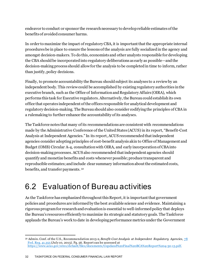endeavor to conduct or sponsor the research necessary to develop reliable estimates of the benefits of avoided consumer harms.

In order to maximize the impact of regulatory CBA, it is important that the appropriate internal procedures be in place to ensure the lessons of the analysis are fully socialized in the agency and amongst decision-makers. To do this, economists and other analysts responsible for developing the CBA should be incorporated into regulatory deliberations as early as possible—andthe decision-making process should allow for the analysis to be completed in time to inform, rather than justify, policy decisions.

Finally, to promote accountability the Bureau should subject its analyses to a review by an independent body. This review could be accomplished by existing regulatory authorities in the executive branch, such as the Office of Information and Regulatory Affairs (OIRA), which performs this task for Executive regulators. Alternatively,the Bureau could establish its own office that operates independent of the offices responsible for analytical development and regulatory decision-making. The Bureau should also consider codifying the principles of CBA in a rulemaking to further enhance the accountability of its analyses.

The Taskforce notes that many of its recommendations are consistent with recommendations made by the Administrative Conference of the United States (ACUS) in its report, "Benefit-Cost Analysis at Independent Agencies." In its report, ACUS recommended that independent agencies consider adopting principles of cost-benefit analysis akin to Office of Management and Budget (OMB) Circular A-4, consultation with OIRA, and early incorporation of CBA into decision-making processes. ACUS also recommended that independent agencies should quantify and monetize benefits and costs whenever possible; produce transparent and reproducible estimates; and include clear summary information about the estimated costs, benefits, and transfer payments. [32](#page-32-1)

### <span id="page-32-0"></span>6.2 Evaluation of Bureau activities

As the Taskforce has emphasized throughout this Report, it is important that government policies and procedures are informed by the best available science and evidence. Maintaining a rigorous program for research and evaluation is essential to well-informed policy that deploys the Bureau's resources efficiently to maximize its strategic and statutory goals. The Taskforce applauds the Bureau's work to date in developing performance metrics under the Government

<span id="page-32-1"></span><sup>32</sup> Admin. Conf. of the U.S., Recommendation 2013-2, *Benefit-Cost Analysis at Independent Regulatory Agencies*, [78](https://www.govinfo.gov/content/pkg/FR-2013-07-10/pdf/2013-16541.pdf)  [Fed. Reg. 41,355](https://www.govinfo.gov/content/pkg/FR-2013-07-10/pdf/2013-16541.pdf) (July 10, 2013). Pg. 56. Report can be accessed at <https://www.acus.gov/sites/default/files/documents/Copeland%20Final%20BCA%20Report%204-30-13.pdf>.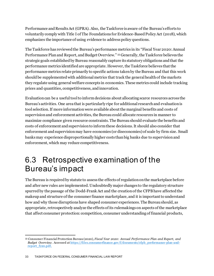Performance and Results Act (GPRA). Also, the Taskforce is aware of the Bureau's efforts to voluntarily comply with Title I of The Foundations for Evidence-Based Policy Act (2018), which emphasizes the importance of using evidence to address policy questions.

The Taskforce has reviewed the Bureau's performance metrics in its "Fiscal Year 2020: Annual Performance Plan and Report, and Budget Overview." [33](#page-33-1) Generally, the Taskforce believes the strategic goals established by Bureau reasonably capture its statutory obligations and that the performance metrics identified are appropriate. However, the Taskforce believes that the performance metrics relate primarily to specific actions taken by the Bureau and that this work should be supplemented with additional metrics that track the general health of the markets they regulate using general welfare concepts in economics. These metrics could include tracking prices and quantities, competitiveness, and innovation.

Evaluation can be a useful tool to inform decisions about allocating scarce resources across the Bureau's activities. One area that is particularly ripe for additional research and evaluation is tool selection.If more information were available about the marginal benefits and costs of supervision and enforcement activities, the Bureau could allocate resources in manner to maximize compliance given resource constraints. The Bureau should evaluate the benefits and costs of enforcement and supervision to inform these decisions. It should also consider that enforcement and supervision may have economies (or diseconomies) of scale by firm size. Small banks may experience disproportionally higher costs than big banks due to supervision and enforcement, which may reduce competitiveness.

#### <span id="page-33-0"></span>6.3 Retrospective examination of the Bureau's impact

The Bureau is required by statute to assess the effects of regulation on the marketplace before and after new rules are implemented. Undoubtedly major changes to the regulatory structure spurred by the passage of the Dodd-Frank Act and the creation of the CFPB have affected the makeup and structure of the consumer finance marketplace, and it is important to understand how and why those disruptions have shaped consumer experiences. The Bureau should, as appropriate, retrospectively analyze the effects of its rulemakings on aspects of the marketplace that affect consumer protection: competition, consumer understanding of financial products,

<span id="page-33-1"></span><sup>33</sup> Consumer Financial Protection Bureau (2020), *Fiscal Year 2020: Annual Performance Plan and Report, and Budget Overview.* Accessed a[t https://files.consumerfinance.gov/f/documents/cfpb\\_performance-plan-and](https://files.consumerfinance.gov/f/documents/cfpb_performance-plan-and-report_fy20.pdf)[report\\_fy20.pdf.](https://files.consumerfinance.gov/f/documents/cfpb_performance-plan-and-report_fy20.pdf)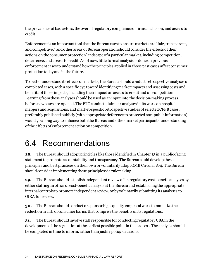the prevalence of bad actors, the overall regulatory compliance of firms, inclusion, and access to credit.

Enforcement is an important tool that the Bureau uses to ensure markets are "fair, transparent, and competitive," and other areas of Bureau operation should consider the effects of their actions on the consumer protectionlandscape of a particular market, including competition, deterrence, and access to credit. As of now, little formal analysis is done on previous enforcement cases to understand how the principles applied in those past cases affect consumer protectiontoday and in the future.

To better understand its effects on markets, the Bureau should conduct retrospective analyses of completed cases, with a specific eye toward identifying market impacts and assessing costs and benefits of those impacts, including their impact on access to credit and on competition Learning from these analyses should be used as an input into the decision-making process before new cases are opened. The FTC conducted similar analyses in its work on hospital mergers and acquisitions, and market-specific retrospective studies of selected CFPB cases, preferably published publicly (with appropriate deference to protected non-public information) would go a long way to enhance both the Bureau and other market participants' understanding of the effects of enforcement action on competition.

#### <span id="page-34-0"></span>6.4 Recommendations

**28.** The Bureau should adopt principles like those identified in Chapter 13 in a public-facing statement to promote accountability and transparency. The Bureau could develop these principles and best practices on their own or voluntarily adopt OMB Circular A-4. The Bureau should consider implementing these principles via rulemaking.

**29.** The Bureau should establish independent review of its regulatory cost-benefit analyses by either staffing an office of cost-benefit analysis at the Bureau and establishing the appropriate internal controls to promote independent review, or by voluntarily submitting its analyses to OIRA for review.

**30.** The Bureau should conduct or sponsor high-quality empirical work to monetize the reduction in risk of consumer harms that comprise the benefits of its regulations.

**31.** The Bureau should involve staff responsible for conducting regulatory CBA in the development of the regulation at the earliest possible point in the process. The analysis should be completed in time to inform, rather than justify policy decisions.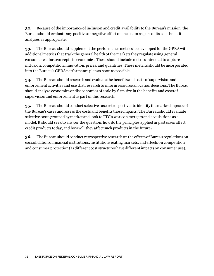**32.** Because of the importance of inclusion and credit availability to the Bureau's mission, the Bureau should evaluate any positive or negative effect on inclusion as part of its cost-benefit analyses as appropriate.

**33.** The Bureau should supplement the performance metrics its developed for the GPRA with additional metrics that track the general health of the markets they regulate using general consumer welfare concepts in economics. These should include metrics intended to capture inclusion, competition, innovation, prices, and quantities. These metrics should be incorporated into the Bureau's GPRA performance plan as soon as possible.

**34.** The Bureau should research and evaluate the benefits and costs of supervision and enforcement activities and use that research to inform resource allocation decisions. The Bureau should analyze economies or diseconomies of scale by firm size in the benefits and costs of supervision and enforcement as part of this research.

**35.** The Bureau should conduct selective case retrospectives to identify the market impacts of the Bureau's cases and assess the costs and benefits those impacts. The Bureau should evaluate selective cases grouped by market and look to FTC's work on mergers and acquisitions as a model. It should seek to answer the question: how do the principles applied in past cases affect credit products today, and how will they affect such products in the future?

**36.** The Bureau should conduct retrospective research on the effects of Bureau regulations on consolidation of financial institutions, institutions exiting markets, and effects on competition and consumer protection (as different cost structures have different impacts on consumer use).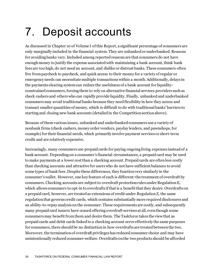# 7. Deposit accounts

As discussed in Chapter 10 of Volume I of this Report, a significant percentage of consumers are only marginally included in the financial system. They are unbanked or underbanked. Reasons for avoiding banks vary. Included among reported reasons are that consumers do not have enough money to justify the expense associated with maintaining a bank account, think bank fees are too high, do not need an account, and dislike or distrust banks. These consumers often live from paycheck to paycheck, and quick access to their money for a variety of regular or emergency needs can necessitate multiple transactions within a month. Additionally, delays in the payments clearing system can reduce the usefulness of a bank account for liquidityconstrained consumers, forcing them to rely on alternative financial services providers such as check cashers and others who can rapidly provide liquidity. Finally, unbanked and underbanked consumersmay avoid traditional banks because they need flexibility in how they access and transact smaller quantities of money, which is difficult to do with traditional banks' barriers to starting and closing new bank accounts (detailed in the Competition sectionabove).

Because of these various issues, unbanked and underbanked consumers use a variety of nonbank firms (check cashers, money order vendors, payday lenders, and pawnshops, for example) for their financial needs, which primarily involve payment services or short-term credit and are relatively expensive.

Increasingly, many consumers use prepaid cards for paying ongoing living expenses instead of a bank account. Depending on a consumer's financial circumstances, a prepaid card may be used to make payments at a lower cost than a checking account. Prepaid cards are often less costly than checking accounts and attractive for users who do not have sufficient balances to avoid some types of bank fees. Despite these differences, they function very similarly in the consumer's wallet. However, one key feature of each is different: the treatment of overdraft by consumers. Checking accounts are subject to overdraft protection rules under Regulation E, which allows consumers to opt-in to overdrafts if that is a benefit that they desire. Overdrafts on a prepaid card, however, are treated as extensions of credit under Regulation Z, the same regulation that governs credit cards, which contains substantially more required disclosures and an ability-to-repay analysis on the consumer. These requirements are costly, and subsequently many prepaid card issuers have ceased offering overdraft services at all, even though some consumers may benefit from them and desire them. The Taskforce takes the view that as prepaid cards and debit cards linked to a checking account serve effectively the same purposes for consumers, there should be no distinction in how overdrafts are treated between the two. Moreover, the termination of overdraft privileges has reduced consumer choice and may have unintentionally reduced consumer welfare. Overdrafts on the two products should be afforded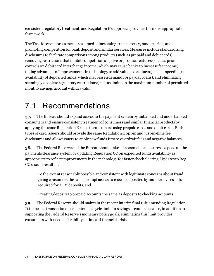consistent regulatory treatment, and Regulation E's approach provides the more appropriate framework.

The Taskforce endorses measures aimed at increasing transparency, modernizing, and promoting competition for bank deposit and similar services. Measures include standardizing disclosures to facilitate comparisons among products (such as prepaid and debit cards), removing restrictions that inhibit competition on price or product features (such as price controls on debit card interchange income, which may cause banks to increase fee income), taking advantage of improvements in technology to add value to products (such as speeding up availability of deposited funds, which may lessen demand for payday loans), and eliminating seemingly obsolete regulatory restrictions (such as limits on the maximum number of permitted monthly savings account withdrawals).

### 7.1 Recommendations

**37.** The Bureau should expand access to the payment system by unbanked and underbanked consumers and ensure consistent treatment of consumers and similar financial products by applying the same Regulation E rules to consumers using prepaid cards and debit cards. Both types of card issuers should provide the same Regulation E opt-in and just-in-time fee disclosures and allow issuers to apply new funds first to overdraft fees and negative balances.

**38.** The Federal Reserve and the Bureau should take all reasonable measures to speed up the payments clearance system by updating Regulation CC on expedited funds availability as appropriate to reflect improvements in the technology for faster check clearing. Updates to Reg CC should result in:

To the extent reasonably possible and consistent with legitimate concerns about fraud, giving consumers the same prompt access to checks deposited by mobile devices as is required for ATM deposits, and

Treating deposits to prepaid accounts the same as deposits to checking accounts.

**39.** The Federal Reserve should maintain the recent interim final rule amending Regulation D to the six-transactions-per-statement cycle limit for savings accounts because, in addition to supporting the Federal Reserve'smonetary policy goals, eliminating this limit provides consumers with needed flexibility in times of financial crisis.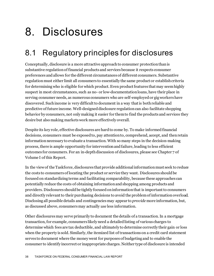# 8. Disclosures

## 8.1 Regulatory principles for disclosures

Conceptually, disclosure is a more attractive approach to consumer protection than is substantive regulation of financial products and services because it respects consumer preferences and allows for the different circumstances of different consumers. Substantive regulation must either limit all consumers to essentially the same product or establish criteria for determining who is eligible for which product. Even product features that may seem highly suspect in most circumstances, such as no- or low-documentation loans, have their place in serving consumer needs, as numerous consumers who are self-employed or gig workers have discovered. Such income is very difficult to document in a way that is both reliable and predictive of future income. Well-designed disclosure regulation can also facilitate shopping behavior by consumers, not only making it easier for them to find the products and services they desire but also making markets work more effectively overall.

Despite its key role, effective disclosures are hard to come by. To make informed financial decisions, consumers must be exposed to, pay attention to, comprehend, accept, and then retain information necessary to evaluate a transaction. With so many steps in the decision-making process, there is ample opportunity for intervention and failure, leading to less efficient outcomes for consumers. For an in-depth discussion of disclosures, please see Chapter 7 of Volume I of this Report.

In the view of the Taskforce, disclosures that provide additional information must seek to reduce the costs to consumers of locating the product or service they want. Disclosures should be focused on standardizing terms and facilitating comparability, because these approaches can potentially reduce the costs of obtaining information and shopping among products and providers. Disclosures should be tightly focused on information that is important to consumers and directly relevant to their purchasing decisions to avoid the problem of information overload. Disclosing all possible details and contingencies may appear to *provide* more information, but, as discussed above, consumers may actually *use* less information.

Other disclosures may serve primarily to document the details of a transaction. In a mortgage transaction, for example, consumers likely need a detailed listing of various charges to determine which fees are tax deductible, and ultimately to determine correctly their gain or loss when the property is sold. Similarly, the itemized list of transactions on a credit card statement serves to document where the money went for purposes of budgeting and to enable the consumer to identify incorrect or inappropriate charges. Neither type of disclosure is intended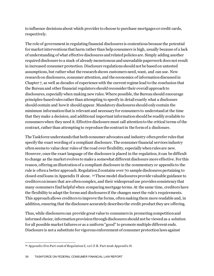to influence decisions about which provider to choose to purchase mortgages or credit cards, respectively.

The role of government in regulating financial disclosures is contentious because the potential for market interventions that harm rather than help consumers is high, usually because of a lack of understanding of what effective disclosures and related policies are. Simply adding another required disclosure to a stack of already monotonous and unreadable paperwork does not result in increased consumer protection. Disclosure regulations should not be based on untested assumptions, but rather what the research shows customers need, want, and can use. New research on disclosures, consumer attention, and the economics of information discussed in Chapter 7, as well as decades of experience with the current regime lead to the conclusion that the Bureau and other financial regulators should reconsider their overall approach to disclosures, especially when making new rules. Where possible, the Bureau should encourage principles-based rules rather than attempting to specify in detail exactly what a disclosure should contain and how it should appear. Mandatory disclosures should only contain the minimum information that is relevant and necessary for consumers to understand at the time that they make a decision, and additional important information should be readily available to consumers when they need it. Effective disclosure must call attention to the critical terms of the contract, rather than attempting to reproduce the contract in the form of a disclosure.

The Taskforce understands that both consumer advocates and industry often prefer rules that specify the exact wording of a compliant disclosure. The consumer financial services industry often seems to value clear rules of the road over flexibility, especially when rules are new. However, once the exact language of the disclosure is placed in the regulation, it can be difficult to change as the market evolves to make a somewhat different disclosure more effective. For this reason, offering an illustration of a compliant disclosure in the commentary or appendix to the rule is often a better approach. Regulation Zcontains over 70 sample disclosures pertaining to closed-end loans in Appendix H alone. [34](#page-39-0)These model disclosures provide valuable guidance to creditors on issues that are often complex, and their widespread use provides consistency that many consumers find helpful when comparing mortgage terms. At the same time, creditors have the flexibility to adapt the forms and disclosures if the changes meet the rule's requirements. This approach allows creditors to improve the forms, often making them more readable and, in addition, ensuring that the disclosure accurately describes the credit product they are offering.

Thus, while disclosures can provide great value to consumers in promoting competition and informed choice, information provision through disclosures should not be viewed as a solution for all possible market failures or as a uniform "good" to promote multiple different ends. Disclosure is not a substitute for vigorous enforcement of consumer protection laws against

<span id="page-39-0"></span><sup>34</sup> Appendix H to Part 1026 of Regulation Z, 12 C.F.R. Part 2026 Appendix H.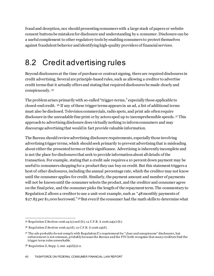fraud and deception, nor should presenting consumers with a large stack of papers or website consent buttons be mistaken for disclosure and understanding by a consumer. Disclosure can be a useful complement to other regulatory tools by enabling consumers to protect themselves against fraudulent behavior and identifying high-quality providers of financial services.

## 8.2 Credit advertising rules

Beyond disclosures at the time of purchase or contract signing, there are required disclosures in credit advertising. Several are principle-based rules, such as allowing a creditor to advertise credit terms that it actually offers and stating that required disclosures be made clearly and conspicuously. [35](#page-40-0)

The problem arises primarily with so-called "trigger-terms," especially those applicable to closed-end credit. [36](#page-40-1) If any of these trigger terms appears in an ad, a list of additional terms must also be disclosed. Television commercials, radio spots, and print ads often require disclosure in the unreadable fine print or by actors sped up to incomprehensible speeds. [37](#page-40-2) This approach to advertising disclosure does virtually nothing to inform consumers and may discourage advertising that would in fact provide valuable information.

The Bureau should review advertising disclosure requirements, especially those involving advertising trigger terms, which should seek primarily to prevent advertising that is misleading about either the presented terms or their significance. Advertising is inherently incomplete and is not the place for disclosures that seek to provide information about all details of the transaction. For example, stating that a credit sale requires a 10 percent down payment may be useful to consumers shopping for a product they can buy on credit. But this statement triggers a host of other disclosures, including the annual percentage rate, which the creditor may not know until the consumer applies for credit. Similarly, the payment amount and number of payments will not be known until the consumer selects the product, and the creditor and consumer agree on the final price, and the consumer picks the length of the repayment term. The commentary to Regulation Z allows a creditor to use a unit-cost example, such as "48 monthly payments of \$27.83 per \$1,000 borrowed."[38](#page-40-3)But even if the consumer had the math skills to determine what

<span id="page-40-0"></span><sup>35</sup> Regulation Z Section 1026.24 (a) and (b), 12 C.F.R. § 1026.24(a)-(b).

<span id="page-40-1"></span><sup>36</sup> Regulation Z Section 1026.24 (d), 12 C.F.R. § 1026.24(d).

<span id="page-40-2"></span><sup>37</sup> The ads probably do not comply with Regulation Z's requirement for "clear and conspicuous" disclosures, but enforcement is not common, probably because the Bureau and the FTC both recognize that many creditors find the trigger term rules unworkable.

<span id="page-40-3"></span><sup>38</sup> Regulation Z, Supp. I, cmt. 24(d)(2)-2.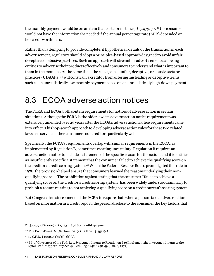the monthly payment would be on an item that cost, for instance, \$ 3,479.50, [39](#page-41-0) the consumer would not have the information she needed if the annual percentage rate (APR) depended on her creditworthiness.

Rather than attempting to provide complete, if hypothetical, details of the transaction in each advertisement, regulators should adopt a principles-based approach designed to avoid unfair, deceptive, or abusive practices. Such an approach will streamline advertisements, allowing entities to advertise their products effectively and consumers to understand what is important to them in the moment. At the same time, the rule against unfair, deceptive, or abusive acts or practices (UDAAPs) [40](#page-41-1) will constrain a creditor from offering misleading or deceptive terms, such as an unrealistically low monthly payment based on an unrealistically high down payment.

### 8.3 ECOA adverse action notices

The FCRA and ECOA both contain requirements for notices of adverse action in certain situations. Although the FCRA is the older law, its adverse action notice requirement was extensively amended over 25 years after the ECOA's adverse action notice requirements came into effect. This hop-scotch approach to developing adverse action rules for these two related laws has served neither consumers nor creditors particularly well.

Specifically, the FCRA's requirements overlap with similar requirements in the ECOA, as implemented by Regulation B, sometimes creating uncertainty. Regulation B requires an adverse action notice to include a statement of the specific reason for the action, and it identifies as insufficiently specific a statement that the consumer failed to achieve the qualifying score on the creditor's credit scoring system. [41](#page-41-2)When the Federal Reserve Board promulgated this rule in 1976, the provision helped ensure that consumers learned the reasons underlying their nonqualifying score. [42](#page-41-3)The prohibition against stating that the consumer "failed to achieve a qualifying score on the creditor's credit scoring system" has been widely understood similarly to prohibit a reason relating to not achieving a qualifying score on a credit bureau's scoring system.

But Congress has since amended the FCRA to require that, when a person takes adverse action based on information in a credit report, the person disclose to the consumer the key factors that

<span id="page-41-0"></span> $39$  (\$3,479.5/\$1,000) x \$27.83 = \$96.80 monthly payment.

<span id="page-41-1"></span><sup>40</sup> The Dodd-Frank Act, Section 1031(a), 12 U.S.C. § 5531(a).

<span id="page-41-2"></span> $41$  12 C.F.R. § 1002.9(a)(2)(i), (b)(2).

<span id="page-41-3"></span><sup>42</sup> Bd. of Governors of the Fed. Res. Sys., Amendments to Regulation B to Implement the 1976 Amendments to the Equal Credit Opportunity Act, 42 Fed. Reg. 1242, 1248-49 (Jan. 6, 1977).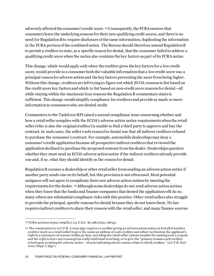adversely affected the consumer's credit score. [43](#page-42-0)Consequently, the FCRA ensures that consumers learn the underlying reasons for their non-qualifying credit scores, and there is no need for Regulation B to require disclosure of the same information, duplicating the information in the FCRA portion of the combined notice. The Bureau should therefore amend Regulation B to permit a creditor to state, as a specific reason for denial, that the consumer failed to achieve a qualifying credit score when the notice also contains the key factors as part of its FCRA notice.

This change, which would apply only when the creditor gives the key factors for a low credit score, would provide to a consumer both the valuable information that a low credit score was a principal reason for adverse action and the key factors preventing the score from being higher. Without this change, creditors are left trying to figure out which ECOA reasons to list based on the credit score key factors and which to list based on non-credit score reasons for denial—all while staying within the maximum four reasons the Regulation B commentary states is sufficient. This change would simplify compliance for creditors and provide as much or more information to consumers who are denied credit.

Commenters to the Taskforce RFI raised a second compliance issue concerning whether and how a retail seller complies with the ECOA's adverse action notice requirements when the retail seller (who is also the original creditor) is unable to find a third party to approve and buy the contract. In such cases, the seller's sole reason for denial was that all indirect creditors refused to purchase the consumer's contract. For example, automobile dealerships may deny a consumer's credit application because all prospective indirect creditors that reviewed the application declined to purchase the proposed contract from the dealer. Dealerships question whether they must send an ECOA adverse action notice if the indirect creditors already provide one and, if so, what they should identify as the reason for denial.

Regulation B excuses a dealership or other retail seller from sending an adverse action notice if another party sends one on its behalf, but this provision is not often used. Most potential assignees will not agree to complicate their own adverse action notices by meeting the requirements for the dealer. [44](#page-42-1)Although some dealerships do not send adverse action notices when they know that the banks and finance companies that denied the application will do so, many others see substantial compliance risks with this practice. Other retail sellers also struggle to provide the principal, specific reasons for denial because they do not know them. No law requires indirect creditors to share their reasons with the retail seller, and many finance sources

<span id="page-42-0"></span><sup>43</sup> FCRA sections 615(a), 609(f)(1) (15 U.S.C. §§ 1681(i)(a), 1681g).

<span id="page-42-1"></span><sup>44</sup> The commentary to 12 C.F.R. § 1002.9(g) requires a creditor giving an adverse action notice on behalf of another creditor (such as a retail seller) to give the name an address of each creditor and either: (a) disclose the applicant's right to a statement of reasons within 30 days, including the retail seller's phone number for making such a request and the right to have any reason given orally confirmed in writing; or to give the "primary reasons each creditor relied upon in taking the adverse action – clearly indicating which reasons relate to which creditor." 12 C.F.R. Part 1002, Supp. I, 9(g)-1.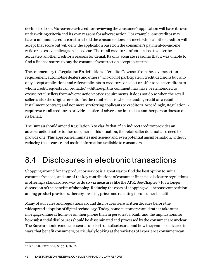decline to do so. Moreover, each creditor reviewing the consumer's application will have its own underwriting criteria and its own reasons for adverse action. For example, one creditor may have a minimum credit score threshold the consumer does not meet, while another creditor will accept that score but will deny the application based on the consumer's payment-to-income ratio or excessive mileage on a used car. The retail creditor is often at a loss to describe accurately another creditor's reasons for denial. Its only accurate reason is that it was unable to find a finance source to buy the consumer's contract on acceptable terms.

The commentary to Regulation B's definition of "creditor" excuses from the adverse action requirement automobile dealers and others "who do not participate in credit decisions but who only accept applications and refer applicants to creditors, or select or offer to select creditors to whom credit requests can be made." [45](#page-43-0)Although this comment may have been intended to excuse retail sellers from adverse action notice requirements, it does not do so when the retail seller is also the original creditor (as the retail seller is when extending credit on a retail installment contract) and not merely referring applicants to creditors. Accordingly, Regulation B requires a retail creditor to provide a notice of adverse action unless another person does so on its behalf.

The Bureau should amend Regulation B to clarify that, if an indirect creditor provides an adverse action notice to the consumer in this situation, the retail seller does not also need to provide one. This approach eliminates inefficiency and even potential misinformation, without reducing the accurate and useful information available to consumers.

### 8.4 Disclosures in electronic transactions

Shopping around for any product or service is a great way to find the best option to suit a consumer's needs, and one of the key contributions of consumer financial disclosure regulations is offering a standardized way to do so via measures like the APR. See Chapter 7 for a longer discussion of the benefits of shopping. Reducing the costs of shopping will increase competition among product providers, thereby lowering prices and resulting in consumer benefit.

Many of our rules and regulations around disclosures were written decades before the widespread adoption of digital technology. Today, some customers would rather take out a mortgage online at home or on their phone than in person at a bank, and the implications for how substantial disclosures should be disseminated and processed by the consumer are unclear. The Bureau should conduct research on electronic disclosures and how they can be delivered in ways that benefit consumers, particularly looking at the varieties of experience consumers can

<span id="page-43-0"></span><sup>45</sup> 12 C.F.R. Part 1002, Supp. I, 2(*l*)-2.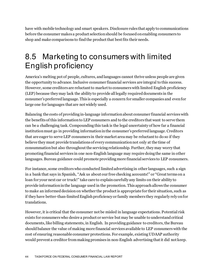have with mobile technology and smart speakers. Disclosure rules that apply to communications before the consumer makes a product selection should be focused on enabling consumers to shop and make comparisons to find the product that best fits their needs.

### 8.5 Marketing to consumers with limited English proficiency

America's melting pot of people, cultures, and languages cannot thrive unless people are given the opportunity to advance. Inclusive consumer financial services are integral to this success. However, some creditors are reluctant to market to consumers with limited English proficiency (LEP) because they may lack the ability to provide all legally required documents in the consumer's preferred language. This is especially a concern for smaller companies and even for large one for languages that are not widely used.

Balancing the costs of providing in-language information about consumer financial services with the benefits of this information to LEP consumers and to the creditors that want to serve them can be a challenging task. Compounding this task is the legal uncertainty of how far a financial institution must go in providing information in the consumer's preferred language. Creditors that are eager to serve LEP consumers in their market area may be reluctant to do so if they believe they must provide translations of every communication not only at the time of consummation but also throughout the servicing relationship. Further, they may worry that promoting financial services in one non-English language may require doing the same in other languages. Bureau guidance could promote providing more financial services to LEP consumers.

For instance, some creditors who conducted limited advertising in other languages, such a sign in a bank that says in Spanish, "Ask us about our free checking accounts!" or "Great terms on a loan for your next car or truck!" take care to explain carefully any limits on their ability to provide information in the language used in the promotion. This approach allows the consumer to make an informed decision on whether the product is appropriate for their situation, such as if they have better-than-limited English proficiency or family members they regularly rely on for translations.

However, it is critical that the consumer not be misled in language expectations. Potential risk exists for consumers who desire a product or service but may be unable to understand critical documents, like billing statements, in English. In providing guidance to creditors, the Bureau should balance the value of making more financial services available to LEP consumers with the cost of ensuring reasonable consumer protections. For example, existing UDAAP authority would prevent a creditor from making promises in non-English advertising that it did not keep.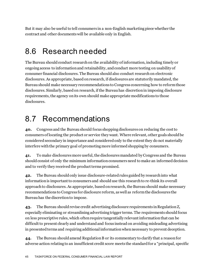But it may also be useful to tell consumers in a non-English marketing piece whether the contract and other documents will be available only in English.

#### 8.6 Research needed

The Bureau should conduct research on the availability of information, including timely or ongoing access to information and retainability, andconduct more testing on usability of consumer financial disclosures. The Bureau should also conduct research on electronic disclosures. As appropriate, based on research, if disclosures are statutorily mandated, the Bureau should make necessary recommendations to Congress concerning how to reform those disclosures. Similarly, based on research, if the Bureau has discretion in imposing disclosure requirements, the agency on its own should make appropriate modifications to those disclosures.

### 8.7 Recommendations

**40.** Congress and the Bureau should focus shopping disclosures on reducing the cost to consumers of locating the product or service they want. Where relevant, other goals should be considered secondary in importance and considered only to the extent they do not materially interfere with the primary goal of promoting more informed shopping by consumers.

**41.** To make disclosures more useful, the disclosures mandated by Congress and the Bureau should consist of only the minimum information consumers need to make an informed decision and to verify they received the product terms promised.

**42.** The Bureau should only issue disclosure-related rules guided by research into what information is important to consumers and should use this research to re-think its overall approach to disclosures. As appropriate, based on research, the Bureau should make necessary recommendations to Congress for disclosure reform, as well as reform the disclosures the Bureau has the discretion to impose.

**43.** The Bureau should revise credit advertising disclosure requirements in Regulation Z, especially eliminating or streamlining advertising trigger terms. The requirements should focus on less prescriptive rules, which often require tangentially relevant information that can be difficult to present clearly and understand and focus instead on avoiding misleading advertising in presented terms and requiring additional information when necessary to prevent deception.

**44.** The Bureau should amend Regulation B or its commentary to clarify that a reason for adverse action relating to an insufficient credit score meets the standard for a "principal, specific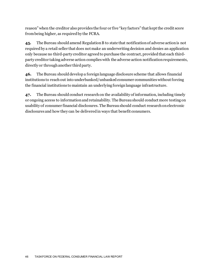reason" when the creditor also provides the four or five "key factors" that kept the credit score from being higher, as required by the FCRA.

**45.** The Bureau should amend Regulation B to state that notification of adverse action is not required by a retail seller that does not make an underwriting decision and denies an application only because no third-party creditor agreed to purchase the contract, provided that each thirdparty creditor taking adverse action complies with the adverse action notification requirements, directly or through another third party.

**46.** The Bureau should develop a foreign language disclosure scheme that allows financial institutions to reach out into underbanked/unbanked consumer communities without forcing the financial institutions to maintain an underlying foreign language infrastructure.

**47.** The Bureau should conduct research on the availability of information, including timely or ongoing access to information and retainability. The Bureau should conduct more testing on usability of consumer financial disclosures. The Bureau should conduct research on electronic disclosures and how they can be delivered in ways that benefit consumers.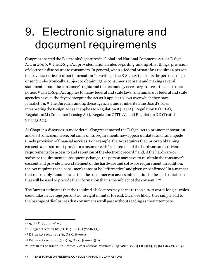# 9. Electronic signature and document requirements

Congress enacted the Electronic Signatures in Global and National Commerce Act, or E-Sign Act, in 2000. [46](#page-47-0)The E-Sign Act provides national rules regarding, among other things, provision of electronic disclosures to consumers. In general, when a federal or state law requires a person to provide a notice or other information "in writing," the E-Sign Act permits the person to sign or send it electronically, subject to obtaining the consumer's consent and making several statements about the consumer's rights and the technology necessary to access the electronic notice. [47](#page-47-1) The E-Sign Act applies to many federal and state laws, and numerous federal and state agencies have authority to interpret the Act as it applies to laws over which they have jurisdiction. [48](#page-47-2)The Bureau is among these agencies, and it inherited the Board's rules interpreting the E-Sign Act as it applies to Regulation B (ECOA), Regulation E (EFTA), Regulation M (Consumer Leasing Act), Regulation Z (TILA), and Regulation DD (Truth in Savings Act).

As Chapter 9 discusses in more detail, Congress enacted the E-Sign Act to promote innovation and electronic commerce, but some of its requirements now appear outdated and can impede timely provision of financial services. For example, the Act requires that, prior to obtaining consent, a person must provide a consumer with "a statement of the hardware and software requirements for access to and retention of the electronic record," and, if the hardware or software requirements subsequently change, the person may have to re-obtain the consumer's consent and provide a new statement of the hardware and software requirement. In addition, the Act requires that a consumer's consent be "affirmative" and given or confirmed "in a manner that reasonably demonstrates that the consumer can access information in the electronic form that will be used to provide the information that is the subject of the consent." [49](#page-47-3)

The Bureau estimates that the required disclosures may be more than 1,000 words long, <sup>[50](#page-47-4)</sup> which could take an average person two to eight minutes to read. Or, more likely, they simply add to the barrage of disclosures that consumers scroll past without reading as they attempt to

<span id="page-47-0"></span><sup>46</sup> 15 U.S.C. §§ 7001 *et seq.*

<span id="page-47-1"></span><sup>47</sup> E-Sign Act section 101(c)(1) (15 U.S.C. § 7001(c)(1)).

<span id="page-47-2"></span><sup>48</sup> E-Sign Act section 104 (15 U.S.C. § 7004).

<span id="page-47-3"></span><sup>49</sup> E-Sign Act section 101(c)(1) (15 U.S.C. § 7001(c)(1)).

<span id="page-47-4"></span><sup>50</sup> Bureau of Consumer Fin. Protect., *Debt Collection Practices (Regulation F)*, 84 FR 23274, 23361 (May 21, 2019).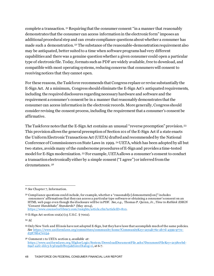complete a transaction. [51](#page-48-0) Requiring that the consumer consent "in a manner that reasonably demonstrates that the consumer can access information in the electronic form" imposes an additional procedural step and can create compliance questions about whether a consumer has made such a demonstration. [52](#page-48-1) The substance of the reasonable-demonstration requirement also may be antiquated, better suited to a time when software programs had very different capabilities and there was a genuine question whether a given consumer could open a particular type of electronic file. Today, formats such as PDF are widely available, free to download, and compatible with most operating systems, reducing concerns that consumers will consent to receiving notices that they cannot open.

For these reasons, the Taskforce recommends that Congress replace or revise substantially the E-Sign Act. At a minimum, Congress should eliminate the E-Sign Act's antiquated requirements, including the required disclosures regarding necessary hardware and software and the requirement a consumer's consent be in a manner that reasonably demonstrates that the consumer can access information in the electronic records. More generally, Congress should consider revising the consent process, including the requirement that a consumer's consent be affirmative.

The Taskforce notes that the E-Sign Act contains an unusual "reverse preemption" provision. [53](#page-48-2) This provision allows the general preemption of Section 101 of the E-Sign Act if a state enacts the Uniform Electronic Transactions Act (UETA) drafted and recommended by the National Conference of Commissioners on State Laws in 1999. [54](#page-48-3)UETA, which has been adopted by all but two states, avoids many of the cumbersome procedures of E-Sign and provides a time-tested model for E-Sign modernization. [55](#page-48-4) For example, UETA allows a consumer's consent to conduct a transaction electronically either by a simple consent ("I agree") or inferred from the circumstances. [56](#page-48-5)

<span id="page-48-0"></span><sup>51</sup> *See* Chapter 7, Information.

<span id="page-48-1"></span><sup>52</sup> Compliance questions could include, for example, whether a "reasonabl[e] demonstrate[ion]" includes consumers' affirmations that they can access a particular type software or obtaining a consumer's consent on an HTML web page even though the disclosure will be in PDF. *See*, *e.g.*, Thomas P. Quinn, Jr., *Time to Rethink ESIGN "Consent Handshake" Standards?* (May 2014),

<https://www.counselorlibrary.com/insights/article.cfm?articleID=810>.

<span id="page-48-2"></span><sup>53</sup> E-Sign Act section 102(a) (15 U.S.C. § 7002).

<span id="page-48-3"></span><sup>54</sup> *Id.*

<span id="page-48-4"></span><sup>55</sup> Only New York and Illinois have not adopted E-Sign, but they have laws that accomplish much of the same policies. *See* [https://www.uniformlaws.org/committees/community-home?CommunityKey=2c04b76c-2b7d-4399-977e](https://www.uniformlaws.org/committees/community-home?CommunityKey=2c04b76c-2b7d-4399-977e-d5876ba7e034)[d5876ba7e034](https://www.uniformlaws.org/committees/community-home?CommunityKey=2c04b76c-2b7d-4399-977e-d5876ba7e034).

<span id="page-48-5"></span><sup>56</sup> Comment 1 to UETA section 2*, available at*: [https://www.uniformlaws.org/HigherLogic/System/DownloadDocumentFile.ashx?DocumentFileKey=2c38eebd-](https://www.uniformlaws.org/HigherLogic/System/DownloadDocumentFile.ashx?DocumentFileKey=2c38eebd-69af-aafc-ddc3-b3d292bf805a&forceDialog=0)[69af-aafc-ddc3-b3d292bf805a&forceDialog=0,](https://www.uniformlaws.org/HigherLogic/System/DownloadDocumentFile.ashx?DocumentFileKey=2c38eebd-69af-aafc-ddc3-b3d292bf805a&forceDialog=0) at 6-7.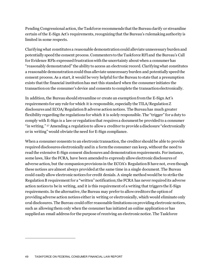Pending Congressional action, the Taskforce recommends that the Bureau clarify or streamline certain of the E-Sign Act's requirements, recognizing that the Bureau's rulemaking authority is limited in some respects.

Clarifying what constitutes a reasonable demonstration could alleviate unnecessary burden and potentially speed the consent process. Commenters to the Taskforce RFI and the Bureau's Call for Evidence RFIs expressed frustration with the uncertainty about when a consumer has "reasonably demonstrated" the ability to access an electronic record. Clarifying what constitutes a reasonable demonstration could thus alleviate unnecessary burden and potentially speed the consent process. As a start, it would be very helpful for the Bureau to state that a presumption exists that the financial institution has met this standard when the consumer initiates the transaction on the consumer's device and consents to complete the transaction electronically.

In addition, the Bureau should streamline or create an exemption from the E-Sign Act's requirements for any rule for which it is responsible, especially the TILA/Regulation Z disclosures and ECOA/Regulation B adverse action notices. The Bureau has much greater flexibility regarding the regulations for which it is solely responsible. The "trigger" for a duty to comply with E-Sign is a law or regulation that requires a document be provided to a consumer "in writing." [57](#page-49-0) Amending a regulation to allow a creditor to provide a disclosure "electronically or in writing" would obviate the need for E-Sign compliance.

<span id="page-49-0"></span>When a consumer consents to an electronic transaction, the creditor should be able to provide required disclosures electronically and in a form the consumer can keep, without the need to read the extensive E-Sign consent disclosures and demonstration requirements. For instance, some laws, like the FCRA, have been amended to expressly allow electronic disclosures of adverse action, but the companion provisions in the ECOA's Regulation B have not, even though these notices are almost always provided at the same time in a single document. The Bureau could easily allow electronic notices for credit denials. A simple method would be to strike the Regulation B requirement for a "written" notification; the FCRA has never required its adverse action notices to be in writing, and it is this requirement of a writing that triggers the E-Sign requirements. In the alternative, the Bureau may prefer to allow creditors the option of providing adverse action notices either in writing or electronically, which would eliminate only oral disclosures. The Bureau could offer reasonable limitations on providing electronic notices, such as allowing them only when the consumer has initiated an online application or has supplied an email address for the purpose of receiving an electronic notice. The Taskforce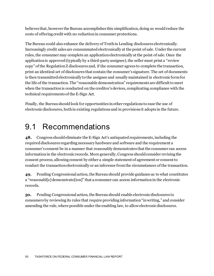believes that, however the Bureau accomplishes this simplification, doing so would reduce the costs of offering credit with no reduction in consumer protections.

The Bureau could also enhance the delivery of Truth in Lending disclosures electronically. Increasingly credit sales are consummated electronically at the point of sale. Under the current rules, the consumer may complete an application electronically at the point of sale. Once the application is approved (typically by a third-party assignee), the seller must print a "review copy" of the Regulation Z disclosures and, if the consumer agrees to complete the transaction, print an identical set of disclosures that contain the consumer's signature. The set of documents is then transmitted electronically to the assignee and usually maintained in electronic form for the life of the transaction. The "reasonable demonstration" requirements are difficult to meet when the transaction is conducted on the creditor's devices, complicating compliance with the technical requirements of the E-Sign Act.

Finally, the Bureau should look for opportunities in other regulations to ease the use of electronic disclosures, both in existing regulations and in provisions it adopts in the future.

#### 9.1 Recommendations

**48.** Congress should eliminate the E-Sign Act's antiquated requirements, including the required disclosures regarding necessary hardware and software and the requirement a consumer's consent be in a manner that reasonably demonstrates that the consumer can access information in the electronic records. More generally, Congress should consider revising the consent process, allowing consent by either a simple statement of agreement or consent to conduct the transaction electronically or an inference from the circumstances of the transaction.

**49.** Pending Congressional action, the Bureau should provide guidance as to what constitutes a "reasonabl[e] demonstrate[ion]" that a consumer can access information in the electronic records.

**50.** Pending Congressional action, the Bureau should enable electronic disclosures to consumers by reviewing its rules that require providing information "in writing," and consider amending the rule, where possible under the enabling law, to allow electronic disclosures.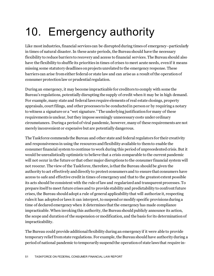# 10. Emergency authority

Like most industries, financial services can be disrupted during times of emergency–particularly in times of natural disaster. In these acute periods, the Bureau should have the necessary flexibility to reduce barriers to recovery and access to financial services. The Bureau should also have the flexibility to shuffle its priorities in times of crises to meet acute needs, even if it means missing some statutory deadlines on projects unrelated to the emergency response. These barriers can arise from either federal or state law and can arise as a result of the operation of consumer protection law or prudential regulation.

During an emergency, it may become impracticable for creditors to comply with some the Bureau's regulations, potentially disrupting the supply of credit when it may be in high demand. For example, many state and federal laws require elements of real estate closings, property appraisals, court filings, and other processes to be conducted in person or by requiring a notary to witness a signature or a "wet signature." The underlying justification for many of these requirements is unclear, but they impose seemingly unnecessary costs under ordinary circumstances. During a period of viral pandemic, however, many of these requirements are not merely inconvenient or expensive but are potentially dangerous.

The Taskforce commends the Bureau and other state and federal regulators for their creativity and responsiveness in using the resources and flexibility available to them to enable the consumer financial system to continue to work during this period of unprecedented crisis. But it would be unrealistically optimistic to believe that a crisis comparable to the current pandemic will not occur in the future or that other major disruptions to the consumer financial system will not reoccur. The view of the Taskforce, therefore, is that the Bureau should be given the authority to act effectively and directly to protect consumers and to ensure that consumers have access to safe and effective credit in times of emergency and that to the greatest extent possible its acts should be consistent with the rule of law and regularized and transparent processes. To prepare itself to meet future crises and to provide stability and predictability to confront future crises, the Bureau should adopt a rule of general applicability that will authorize it, respecting rules it has adopted or laws it can interpret, to suspend or modify specific provisions during a time of declared emergency when it determines that the emergency has made compliance impracticable. When invoking this authority, the Bureau should publicly announce its action, the scope and duration of the suspension or modification, and the basis for its determination of impracticability.

The Bureau could provide additional flexibility during an emergency if it were able to provide temporary relief from state regulations. For example, the Bureau should have authority during a period of national pandemic to temporarily suspend the operation of state laws that require in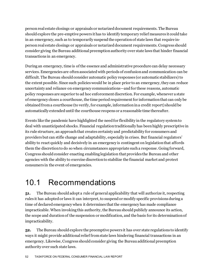person real estate closings or appraisals or notarized document requirements. The Bureau should explore the pre-emptive powers it has to identify temporary relief measures it could take in an emergency, such as to temporarily suspend the operation of state laws that require inperson real estate closings or appraisals or notarized document requirements. Congress should consider giving the Bureau additional preemption authority over state laws that hinder financial transactions in an emergency.

During an emergency, time is of the essence and administrative procedure can delay necessary services. Emergencies are often associated with periods of confusion and communication can be difficult. The Bureau should consider automatic policy responses (or automatic stabilizers) to the extent possible. Since such policies would be in place prior to an emergency, they can reduce uncertainty and reliance on emergency communications—andfor these reasons, automatic policy responses are superior to ad hoc enforcement discretion. For example, whenever a state of emergency closes a courthouse, the time period requirement for information that can only be obtained from a courthouse (to verify, for example, information in a credit report) should be automatically extended until the courthouse reopens or a reasonable time thereafter.

Events like the pandemic have highlighted the need for flexibility in the regulatory system to deal with unanticipated shocks. Financial regulation traditionally has been highly prescriptive in its rule structure, an approach that creates certainty and predictability for consumers and providers but can stifle change and adaptability, especially in crises. But financial regulators' ability to react quickly and decisively in an emergency is contingent on legislation that affords them the discretion to do so when circumstances appropriate such a response. Going forward, Congress should consider enacting enabling legislation that provides the Bureau and other agencies with the ability to exercise discretion to stabilize the financial market and protect consumers in the event of emergencies.

#### 10.1 Recommendations

**51.** The Bureau should adopt a rule of general applicability that will authorize it, respecting rules it has adopted or laws it can interpret, to suspend or modify specific provisions during a time of declared emergency when it determines that the emergency has made compliance impracticable. When invoking this authority, the Bureau should publicly announce its action, the scope and duration of the suspension or modification, and the basis for its determination of impracticability.

**52.** The Bureau should explore the preemptive powers it has over state regulations to identify ways it might provide additional relief from state laws hindering financial transactions in an emergency. Likewise, Congress should consider giving the Bureau additional preemption authority over such state laws.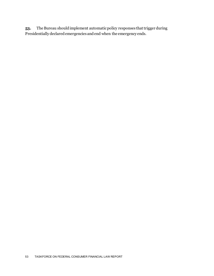**53.** The Bureau should implement automatic policy responses that trigger during Presidentially declared emergencies and end when the emergency ends.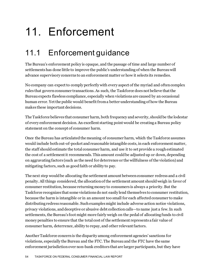# 11. Enforcement

## 11.1 Enforcement guidance

The Bureau's enforcement policy is opaque, and the passage of time and large number of settlements has done little to improve the public's understanding of when the Bureau will advance supervisory concerns to an enforcement matter or how it selects its remedies.

No company can expect to comply perfectly with every aspect of the myriad and often complex rules that govern consumer transactions. As such, the Taskforce does not believe that the Bureau expects flawless compliance, especially when violations are caused by an occasional human error. Yet the public would benefit from a better understanding of how the Bureau makes these important decisions.

The Taskforce believes that consumer harm, both frequency and severity, should be the lodestar of every enforcement decision. An excellent starting point would be creating a Bureau policy statement on the concept of consumer harm.

Once the Bureau has articulated the meaning of consumer harm, which the Taskforce assumes would include both out-of-pocket and reasonable intangible costs, in each enforcement matter, the staff should estimate the total consumer harm, and use it to set provide a rough estimated the cost of a settlement it recommends. This amount could be adjusted up or down, depending on aggravating factors (such as the need for deterrence or the willfulness of the violation) and mitigating factors, such as good faith or ability to pay.

The next step would be allocating the settlement amount between consumer redress and a civil penalty. All things considered, the allocation of the settlement amount should weigh in favor of consumer restitution, because returning money to consumers is always a priority. But the Taskforce recognizes that some violations do not easily lend themselves to consumer restitution, because the harm is intangible or in an amount too small for each affected consumer to make distributing redress reasonable. Such examples might include adverse action notice violations, privacy violations, and deceptive or abusive debt collection calls—to name just a few. In such settlements, the Bureau's foot might more fairly weigh on the pedal of allocating funds to civil money penalties to ensure that the total cost of the settlement represents a fair value of consumer harm, deterrence, ability to repay, and other relevant factors.

Another Taskforce concern is the disparity among enforcement agencies' sanctions for violations, especially the Bureau and the FTC. The Bureau and the FTC have the same enforcement jurisdiction over non-bank creditors that are larger participants, but they have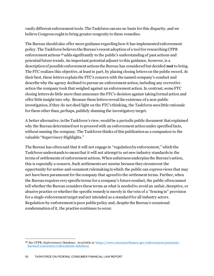vastly different enforcement tools. The Taskforce can see no basis for this disparity, and we believe Congress ought to bring greater congruity to these remedies.

The Bureau should also offer more guidance regarding how it has implemented enforcement policy. The Taskforce believes the Bureau's recent adoption of a tool for researching CFPB enforcement actions [58](#page-55-0) adds significantly to the public's understanding of past actions and potential future trends. An important potential adjunct to this guidance, however, is a description of possible enforcement actions the Bureau has considered but decided *not* to bring. The FTC realizes this objective, at least in part, by placing closing letters on the public record. At their best, these letters explain the FTC's concern with the named company's conduct and describe why the agency declined to pursue an enforcement action, including any corrective action the company took that weighed against an enforcement action. In contrast, some FTC closing letters do little more than announce the FTC's decision against taking formal action and offer little insight into why. Because these letters reveal the existence of a non-public investigation, if they do not shed light on the FTC's thinking, the Taskforce sees little rationale for them other than, perhaps, publicly shaming the investigatory target.

A better alternative, in the Taskforce's view, would be a periodic public document that explained why the Bureau determined not to proceed with an enforcement action under specified facts, without naming the company. The Taskforce thinks of this publication as a companion to the valuable "Supervisory Highlights."

The Bureau has often said that it will not engage in "regulation by enforcement," which the Taskforce understands to mean that it will not attempt to set new industry standards in the terms of settlements of enforcement actions. When unfairness underpins the Bureau's action, this is especially a concern. Such settlements are unwise because they circumvent the opportunity for notice-and-comment rulemaking in which the public can express views that may not have been paramount for the company that agreed to the settlement terms. Further, when the Bureau requires very specific terms for a company's future conduct, the public often cannot tell whether the Bureau considers these terms as what is needed to avoid an unfair, deceptive, or abusive practice or whether the specific remedy is merely in the vein of a "fencing in" provision for a single enforcement target and not intended as a standard for all industry actors. Regulation-by-enforcement is poor public policy and, despite the Bureau's occasional condemnation of it, the practice continues to occur.

<span id="page-55-0"></span><sup>58</sup> *See* CFPB, *Enforcement Database.* Available a[t https://www.consumerfinance.gov/enforcement/payments](https://www.consumerfinance.gov/enforcement/payments-harmed-consumers/enforcement-database/)[harmed-consumers/enforcement-database/](https://www.consumerfinance.gov/enforcement/payments-harmed-consumers/enforcement-database/)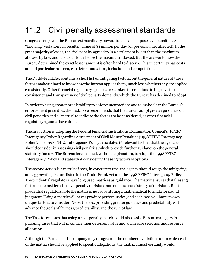# 11.2 Civil penalty assessment standards

Congress has given the Bureau extraordinary powers to seek and impose civil penalties. A "knowing" violation can result in a fine of \$1 million per day (or per consumer affected). In the great majority of cases, the civil penalty agreed to in a settlement is less than the maximum allowed by law, and it is usually far below the maximum allowed. But the answer to how the Bureau determined the exact lesser amountis often hard to discern. This uncertainty has costs and, of particular concern, can deter innovation, inclusion, and competition.

The Dodd-Frank Act contains a short list of mitigating factors, but the general nature of these factors makes it hard to know how the Bureau applies them, much less whether they are applied consistently. Other financial regulatory agencies have taken three actions to improve the consistency and transparency of civil penalty demands, which the Bureau has declined to adopt.

In order to bring greater predictability to enforcement actions and to make clear the Bureau's enforcement priorities, the Taskforce recommends that the Bureau adopt greater guidance on civil penalties and a "matrix" to indicate the factors to be considered, as other financial regulatory agencies have done.

The first action is adopting the Federal Financial Institutions Examination Council's (FFEIC) Interagency Policy Regarding Assessment of Civil Money Penalties (1998 FFIEC Interagency Policy). The 1998 FFIEC Interagency Policy articulates 13 relevant factors that the agencies should consider in assessing civil penalties, which provide further guidance on the general statutory factors. The Bureau has declined, without explanation,to adopt the 1998 FFIEC Interagency Policy and states that considering these 13 factors is optional.

The second action is a matrix of how, in concrete terms, the agency should weigh the mitigating and aggravating factors listed in the Dodd-Frank Act and the 1998 FFIEC Interagency Policy. The prudential regulators have long used matrices as guidance. The matrix ensures that these 13 factors are considered in civil penalty decisions and enhance consistency of decisions. But the prudential regulators note the matrix is not substituting a mathematical formula for sound judgment. Using a matrix will never produce perfect justice, and each case will have its own unique factors to consider. Nevertheless, providing greater guidance and predictability will advance the goals of fairness, predictability, and the rule of law.

The Taskforce notes that using a civil penalty matrix could also assist Bureau managers in pursuing cases that will maximize their deterrent value and aid in case selection and resource allocation.

Although the Bureau and a company may disagree on the number of violations or on which cell of the matrix should be applied to specific allegations, the matrix almost certainly would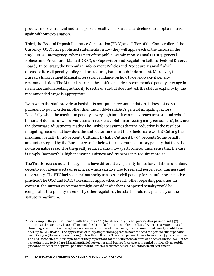produce more consistent and transparent results. The Bureau has declined to adopt a matrix, again without explanation.

Third, the Federal Deposit Insurance Corporation (FDIC) and Office of the Comptroller of the Currency (OCC) have published statements on how they will apply each of the factors in the 1998 FFIEC Interagency Policy as part of the public Examination Manual (FDIC), general Policies and Procedures Manual (OCC), or Supervision and Regulation Letters (Federal Reserve Board). In contrast, the Bureau's "Enforcement Policies and Procedure Manual," which discusses its civil penalty policy and procedures, is a non-public document. Moreover, the Bureau's Enforcement Manual offers scant guidance on how to develop a civil penalty recommendation. The Manual instructs the staff to include a recommended penalty or range in its memorandum seeking authority to settle or sue but does not ask the staff to explain why the recommended range is appropriate.

Even when the staff provides a basis in its non-public recommendation, it does not do so pursuant to public criteria, other than the Dodd-Frank Act's general mitigating factors. Especially when the maximum penalty is very high (and it can easily reach tens or hundreds of billions of dollars for willful violations or reckless violations affecting many consumers), how are the downward adjustments made? The Taskforce assumes that the reduction is the result of mitigating factors, but how does the staff determine what these factors are worth? Cutting the maximum penalty by 20 percent? Cutting it by half? Cutting it by 99 percent? Some penalty amounts accepted by the Bureau are so far below the maximum statutory penalty that there is no discernable reason for the greatly reduced amount—apart from common sense that the case is simply "not worth" a higher amount. Fairness and transparency require more. [59](#page-57-0)

The Taskforce also notes that agencies have different civil penalty limits for violations of unfair, deceptive, or abusive acts or practices, which can give rise to real and perceived unfairness and uncertainty. The FTC lacks general authority to assess a civil penalty for an unfair or deceptive practice. The OCC and FDIC take similar approaches to each other regarding penalties. In contrast, the Bureau states that it might consider whether a proposed penalty would be comparable to a penalty assessed by other regulators, but staff should rely primarily on the statutory maximum.

<span id="page-57-0"></span><sup>59</sup> For example, the joint settlement with Equifax in 2019 for its security breach provided for payments of \$575 million. Of that amount, \$100 million took the form of a fine. The number of affected Americans was estimated at close to 150 million. Assuming the violation was considered to be Tier 2, the maximum civil penalty would have been up to \$4.3 *trillion*. The application of mitigating factors appears to have reduced the per-consumer penalty from \$28,906 (the maximum in 2019) to less than 68 cents. The all-in payment came to less than \$4 per consumer. The Taskforce cites this example not for the proposition that the settlement amount was necessarily too low. Rather, our point is the folly of applying a handful of very general mitigating factors, accompanied by virtually no public guidance, to reach the optimal penalty amount (or total settlement cost) in an enforcement settlement.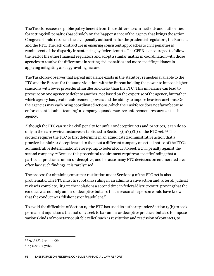The Taskforce sees no public policy benefit from these differences in methods and authorities for setting civil penalties based solely on the happenstance of the agency that brings the action. Congress should reconcile the civil penalty authorities for the prudential regulators, the Bureau, and the FTC. The lack of structure in ensuring consistent approaches to civil penalties is reminiscent of the disparity in sentencing by federal courts. The CFPB is encouraged to follow the lead of the other financial regulators and adopt a similar matrix in coordination with those agencies to resolve the differences in setting civil penalties and more specific guidance in applying mitigating and aggravating factors.

The Taskforce observes that a great imbalance exists in the statutory remedies available to the FTC and the Bureau for the same violation, with the Bureau holding the power to impose higher sanctions with fewer procedural hurdles and delay than the FTC. This imbalance can lead to pressure on one agency to defer to another, not based on the expertise of the agency, but rather which agency has greater enforcement powers and the ability to impose heavier sanctions. Or the agencies may each bring coordinated actions, which the Taskforce does not favor because enforcement "double-teaming" a company squanders scarce enforcement resources at each agency.

Although the FTC can seek a civil penalty for unfair or deceptive acts and practices, it can do so only in the narrow circumstances established in Section  $5(m)(1)(b)$  of the FTC Act. <sup>[60](#page-58-0)</sup> This section requires the FTC to first determine in an adjudicated administrative action that a practice is unfair or deceptive and to then put a different company on actual notice of the FTC's administrative determination before going to federal court to seek a civil penalty against the second company. <sup>[61](#page-58-1)</sup> Because this procedural requirement requires a specific finding that a particular practice is unfair or deceptive, and because many FTC decisions on enumerated laws often lack such findings, it is rarely used.

The process for obtaining consumer restitution under Section 19 of the FTC Act is also problematic. The FTC must first obtain a ruling in an administrative action and, after all judicial review is complete, litigate the violations a second time in federal district court, proving that the conduct was not only unfair or deceptive but also that a reasonable person would have known that the conduct was "dishonest or fraudulent."

To avoid the difficulties of Section 19, the FTC has used its authority under Section 13(b) to seek permanent injunctions that not only seek to bar unfair or deceptive practices but also to impose various kinds of monetary equitable relief, such as restitution and rescission of contracts, to

<span id="page-58-0"></span> $60$  15 U.S.C. § 45(m)(1)(b).

<span id="page-58-1"></span> $61$  15 U.S.C. § 57(b).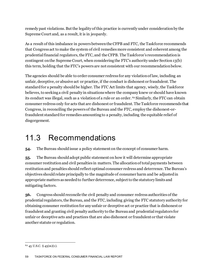remedy past violations. But the legality of this practice is currently under consideration by the Supreme Court and, as a result, it is in jeopardy.

As a result of this imbalance in powers between the CFPB and FTC, the Taskforce recommends that Congress act to make the system of civil remedies more consistent and coherent among the prudential financial regulators, the FTC, and the CFPB. The Taskforce's recommendation is contingent on the Supreme Court, when considering the FTC's authority under Section 13(b) this term, holding that the FTC's powers are not consistent with our recommendation below.

The agencies should be able to order consumer redress for any violation of law, including an unfair, deceptive, or abusive act or practice, if the conduct is dishonest or fraudulent. The standard for a penalty should be higher. The FTC Act limits that agency, wisely, the Taskforce believes, to seeking a civil penalty in situations where the company knew or should have known its conduct was illegal, such as a violation of a rule or an order. [62](#page-59-0) Similarly, the FTCcan obtain consumer redress only for acts that are dishonest or fraudulent. The Taskforce recommends that Congress, in reconciling the powers of the Bureau and the FTC, employ the dishonest-orfraudulent standard for remedies amounting to a penalty, including the equitable relief of disgorgement.

#### 11.3 Recommendations

**54.** The Bureau should issue a policy statement on the concept of consumer harm.

**55.** The Bureau should adopt public statement on how it will determine appropriate consumer restitution and civil penalties in matters. The allocation of total payments between restitution and penalties should reflect optimal consumer redress and deterrence. The Bureau's objectives should relate principally to the magnitude of consumer harm and be adjustedin appropriate matters as needed to further deterrence, subject to the statutory limits and mitigating factors.

**56.** Congress should reconcile the civil penalty and consumer redress authorities of the prudential regulators, the Bureau, and the FTC, including giving the FTC statutory authority for obtaining consumer restitution for any unfair or deceptive act or practice that is dishonest or fraudulent and granting civil penalty authority to the Bureau and prudential regulators for unfair or deceptive acts and practices that are also dishonest or fraudulent or that violate another statute or regulation.

<span id="page-59-0"></span> $62$  45 U.S.C. § 45(m)(1).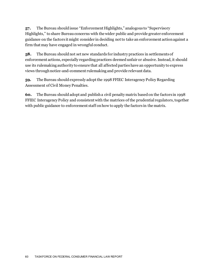**57.** The Bureau should issue "Enforcement Highlights," analogous to "Supervisory Highlights," to share Bureau concerns with the wider public and provide greater enforcement guidance on the factors it might consider in deciding not to take an enforcement action against a firm that may have engaged in wrongful conduct.

**58.** The Bureau should not set new standards for industry practices in settlements of enforcement actions, especially regarding practices deemed unfair or abusive. Instead, it should use its rulemaking authority to ensure that all affected parties have an opportunity to express views through notice-and-comment rulemaking and provide relevant data.

**59.** The Bureau should expressly adopt the 1998 FFIEC Interagency Policy Regarding Assessment of Civil Money Penalties.

**60.** The Bureau should adopt and publish a civil penalty matrix based on the factors in 1998 FFIEC Interagency Policy and consistent with the matrices of the prudential regulators, together with public guidance to enforcement staff on how to apply the factors in the matrix.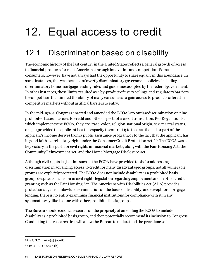# 12. Equal access to credit

## 12.1 Discrimination based on disability

The economic history of the last century in the United States reflects a general growth of access to financial products for most Americans through innovation and competition. Some consumers, however, have not always had the opportunity to share equally in this abundance. In some instances, this was because of overtly discriminatory government policies, including discriminatory home mortgage lending rules and guidelines adopted by the federal government. In other instances, these limits resulted as a by-product of usury ceilings and regulatory barriers to competition that limited the ability of many consumers to gain access to products offered in competitive markets without artificial barriers to entry.

In the mid-1970s, Congress enacted and amended the  $ECOA<sup>63</sup>$  $ECOA<sup>63</sup>$  $ECOA<sup>63</sup>$  to outlaw discrimination on nine prohibited bases in access to credit and other aspects of a credit transaction. Per Regulation B, which implements the ECOA, they are "race, color, religion, national origin, sex, marital status, or age (provided the applicant has the capacity to contract); to the fact that all or part of the applicant's income derives from a public assistance program; or to the fact that the applicant has in good faith exercised any right under the Consumer Credit Protection Act." [64](#page-61-1)The ECOA was a key victory in the push for civil rights in financial markets, along with the Fair Housing Act, the Community Reinvestment Act, and the Home Mortgage Disclosure Act.

Although civil rights legislation such as the ECOA have provided tools for addressing discrimination in advancing access to credit for many disadvantaged groups, not all vulnerable groups are explicitly protected. The ECOA does not include disability as a prohibited basis group, despite its inclusion in civil rights legislation regarding employment and in other credit granting such as the Fair Housing Act. The Americans with Disabilities Act (ADA) provides protections against unlawful discrimination on the basis of disability, and except for mortgage lending, there is no entity examining financial institutions for compliance with it in any systematic way like is done with other prohibited basis groups.

The Bureau should conduct research on the propriety of amending the ECOA to include disability as a prohibited basis group, and then potentially recommend its inclusion to Congress. Conducting this research first will allow the Bureau to understand the prevalence of

<span id="page-61-0"></span><sup>63</sup> 15 U.S.C. § 1691(a) (2018).

<span id="page-61-1"></span><sup>64</sup> 12 C.F.R. § 1002.1 (b)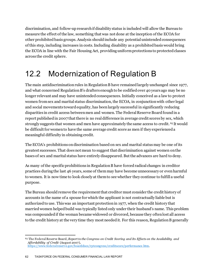discrimination, and follow-up research if disability status is included will allow the Bureau to measure the effect of the law, something that was not done at the inception of the ECOA for other prohibited basis groups.Analysis should include any potential unintended consequences of this step, including increases in costs.Including disability as a prohibited basis would bring the ECOA in line with the Fair Housing Act, providing uniform protections to protected classes across the credit sphere.

## 12.2 Modernization of Regulation B

The main antidiscrimination rules in Regulation B have remained largely unchanged since 1977, and what concerned Regulation B's drafters enough to be codified over 40 years ago may be no longer relevant and may have unintended consequences. Initially conceived as a law to protect women from sex and marital status discrimination, the ECOA, in conjunction with other legal and social movements toward equality, has been largely successful in significantly reducing disparities in credit access between men and women. The Federal Reserve Board found in a report published in 2007 that there is no real difference in average credit scores by sex, which strongly suggests that women and men have approximately the same access to credit. [65](#page-62-0) It would be difficult for women to have the same average credit score as men if they experienced a meaningful difficulty in obtaining credit.

The ECOA's prohibitions on discrimination based on sex and marital status may be one of its greatest successes. That does not mean to suggest that discrimination against women on the bases of sex and marital status have entirely disappeared. But the advances are hard to deny.

As many of the specific prohibitions in Regulation B have forced radical changes in creditor practices during the last 46 years, some of them may have become unnecessary or even harmful to women. It is now time to look closely at them to see whether they continue to fulfill a useful purpose.

The Bureau should remove the requirement that creditor must consider the credit history of accounts in the name of a spouse for which the applicant is not contractually liable but is authorized to use. This was an important protection in 1977, when the credit history that married women helped build was typically listed only under their husband's name. This problem was compounded if the woman became widowed or divorced, because they often lost all access to the credit history at the very time they most needed it. For this reason, Regulation B generally

<span id="page-62-0"></span><sup>65</sup> The Federal Reserve Board, *Report to the Congress on Credit Scoring and Its Effects on the Availability and Affordability of Credit* (August 2007), <https://www.federalreserve.gov/boarddocs/rptcongress/creditscore/performance.htm>.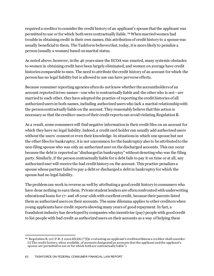required a creditor to consider the credit history of an applicant's spouse that the applicant was permitted to use or for which both were contractually liable. [66](#page-63-0)When married women had trouble in obtaining credit in their own names, this attribution of credit history to a spouse was usually beneficial to them. The Taskforce believes that, today, it is more likely to penalize a person (usually a woman) based on marital status.

As noted above, however, in the 46 years since the ECOA was enacted, many systemic obstacles to women in obtaining credit have been largely eliminated, and women on average have credit histories comparable to men. The need to attribute the credit history of an account for which the person has no legal liability but is allowed to use can have perverse effects.

Because consumer reporting agencies often do not know whether the accountholders of an account reported in two names—one who is contractually liable and the other who is not—are married to each other, they have adopted the practice of reporting the credit histories of all authorized users in both names, including authorized users who lack a marital relationship with the person contractually liable on the account. They reasonably believe that this action is necessary so that the creditor-users of their credit reports can avoid violating Regulation B.

As a result, some consumers will find negative information in their credit files on an account for which they have no legal liability. Indeed, a credit card holder can usually add authorized users without the users' consent or even their knowledge. In situations in which one spouse but not the other files for bankruptcy, it is not uncommon for the bankruptcy also to be attributed to the non-filing spouse who was only an authorized user on the discharged accounts. This can occur because the debt is reported as "discharged in bankruptcy" without denoting who was the filing party. Similarly, if the person contractually liable for a debt fails to pay it on time or at all, any authorized user will receive the bad credit history on the account. This practice penalizes a spouse whose partner failed to pay a debt or discharged a debt in bankruptcy for which the spouse had no legal liability.

The problem can work in reverse as well by attributing a good credit history to consumers who have done nothing to earn them. Private student lenders are often confronted with underwriting educational loans for 17- and 18-year-olds with excellent credit, because their parents listed them as authorized users on their accounts. The same dilemma applies to other creditors when young applicants have credit reports showing many years of good repayment. In fact, a fraudulent industry has developed by companies who incentivize (pay) people with good credit to list people with bad credit as authorized users on their accounts as a way of helping these

<span id="page-63-0"></span> $66$  Regulation B, 12 C.F.R. § 1002.6(b)(6) ("[I]n evaluating an applicant's creditworthiness a creditor shall consider: (i) The credit history, when available, of accounts designated as accounts that the applicant and the applicant's spouse are permitted to use or for which both are contractually liable").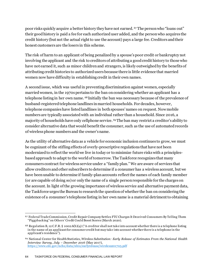poor risks quickly acquire a better history they have not earned. [67](#page-64-0) The person who "loans out" their good history is paid a fee for each authorized user added, and the person who acquires the credit history (but not the actual right to use the account) pays a large fee. Creditors and their honest customers are the losers in this scheme.

The risk of harm to an applicant of being penalized by a spouse's poor credit or bankruptcy not involving the applicant and the risk to creditors of attributing a good credit history to those who have not earned it, such as minor children and strangers, is likely outweighed by the benefits of attributing credit histories to authorized users because there is little evidence that married women now have difficulty in establishing credit in their own names.

A second issue, which was useful in preventing discrimination against women, especially married women, in the 1970s pertains to the ban on considering whether an applicant has a telephone listing in her own name. [68](#page-64-1) Initially the ban was necessary because of the prevalence of husband-registered telephone landlines in married households. For decades, however, telephone companies have listed landlines in both spouses' names on request. Now mobile numbers are typically associated with an individual rather than a household. Since 2016, a majority of households have only cellphone service. [69](#page-64-2)The ban may restrict a creditor's ability to consider alternative data that would benefit the consumer, such as the use of automated records of wireless phone numbers and the owner's name.

As the utility of alternative data as a vehicle for economic inclusion continues to grow, we must be cognizant of the stifling effects of overly-prescriptive regulations that have not been modernized to reflect the world we live in today or to minimize future risks with a principlesbased approach to adapt to the world of tomorrow. The Taskforce recognizes that many consumers contract for wireless service under a "family plan." We are aware of services that allow creditors and other subscribers to determine if a consumer has a wireless account, but we have been unable to determine if family-plan accounts reflect the names of each family member (or are capable of doing so) or only the name of a single person responsible for the charges on the account. In light of the growing importance of wireless service and alternative payment data, the Taskforce urges the Bureau to research the question of whether the ban on considering the existence of a consumer's telephone listing in her own name is a material detriment to obtaining

<span id="page-64-0"></span><sup>67</sup> Federal Trade Commission, Credit Repair Company Settles FTC Charges It Deceived Consumers By Telling Them "Piggybacking" on Others' Credit Could Boost Scores (March 2020).

<span id="page-64-1"></span><sup>&</sup>lt;sup>68</sup> Regulation B, 12 C.F.R. § 1002.6(b)(4) ("A creditor shall not take into account whether there is a telephone listing in the name of an applicant for consumer credit but may take into account whether there is a telephone in the applicant's residence").

<span id="page-64-2"></span><sup>69</sup> National Center for Health Statistics*, Wireless Substitution: Early Release of Estimates From the National Health Interview Survey*, *July – December 2016* (May 2017), <https://www.cdc.gov/nchs/data/nhis/earlyrelease/wireless201705.pdf>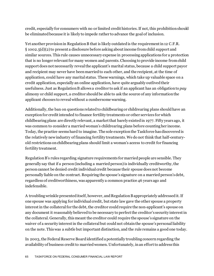credit, especially for consumers with no or limited credit histories. If not, this prohibition should be eliminated because it is likely to impede rather to advance the goal of inclusion.

Yet another provision in Regulation B that is likely outdated is the requirement in 12 C.F.R. § 1002.5(d)(2) to present a disclosure before asking about income from child support and similar sources. This rule causes unnecessary expense in processing applications for a protection that is no longer relevant for many women and parents. Choosing to provide income from child support does not necessarily reveal the applicant's marital status, because a child support payor and recipient may never have been married to each other, and the recipient, at the time of application, could have any marital status. These warnings, which take up valuable space on a credit application, especially an online application, have quite arguably outlived their usefulness. Just as Regulation B allows a creditor to ask if an applicant has an obligation to *pay* alimony or child support, a creditor should be able to ask the source of any information the applicant chooses to reveal without a cumbersome warning.

Additionally, the ban on questions related to childbearing or childrearing plans should have an exception for credit intended to finance fertility treatments or other services for which childbearing plans are directly relevant, a market that barely existedin 1977. Fifty years ago, it was common to consider a married woman's childrearing plans before counting her income. Today, the practice seems hard to imagine. The sole exception the Taskforce has discovered is the relatively new industry of financing fertility treatments. We do not think that half-centuryold restrictions on childbearing plans should limit a woman's access to credit for financing fertility treatment.

Regulation B's rules regarding signature requirements for married people are sensible. They generally say that if a person (including a married person) is individually creditworthy, the person cannot be denied credit individual credit because their spouse does not become personally liable on the contract. Requiring the spouse's signature on a married person's debt, regardless of creditworthiness, was apparently a common practice 46 years ago and indefensible.

A troubling wrinkle presented itself, however, and Regulation B appropriately addressed it. If one spouse was applying for individual credit, but state law gave the other spouse a property interest in the collateral for the debt, the creditor could require the non-applicant's spouse on any document it reasonably believed to be necessary to perfect the creditor's security interest in the collateral. Generally, this meant the creditor could require the spouse's signature on the waiver of a security interest in the collateral but could not obtain the spouse's personal liability on the note. This was a subtle but important distinction, and the rule remains a good one today.

In 2003, the Federal Reserve Board identified a potentially troubling concern regarding the availability of business credit to married women. Unfortunately, in an effort to address this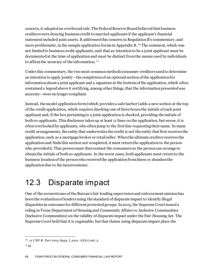concern, it adopted an overbroad rule. The Federal Reserve Board believed that business creditors were denying business credit to married applicants if the applicant's financial statement included joint assets. It addressed this concern in Regulation B's commentary, and more problematic, in the sample application forms in Appendix B. [70](#page-66-0) The comment, which was not limited to business credit applicants, said that an intention to be a joint applicant must be documented at the time of application and must be distinct from the means used by individuals to affirm the accuracy of the information. [71](#page-66-1)

Under this commentary, the two most common methods consumer creditors used to determine an intention to apply jointly—the completion of an optional section of the application for information about a joint applicant and a signature at the bottom of the application, which often contained a legend above it certifying, among other things, that the information presented was accurate—were no longer compliant.

Instead, the model application form (which provides a safe harbor) adds a new section at the top of the credit application, which requires checking one of three boxes the initials of each joint applicant and, if the box pertaining to a joint application is checked, providing the initials of both co-applicants. This disclosure takes up at least 11 lines on the application, but worse, it is often overlooked by applicants, who often jump to the first line requesting their name. In many credit arrangements, the entity that underwrites the credit is not the entity that first receives the application, such as a mortgage broker or retail seller. When the ultimate creditor receives the application and finds this section not completed, it must return the application to the person who provided it. That person must then contact the consumers so the person can arrange to obtain the initials of both co-applicants. In the worst cases, both applicants must return to the business location of the person who received the application from them or abandon the application due to the inconvenience.

#### 12.3 Disparate impact

One of the cornerstones of the Bureau's fair lending supervision and enforcement mission has been the evaluation of lenders using the standard of disparate impact to identify illegal disparities in outcomes for different protected groups. In 2015, the Supreme Court issued a ruling in Texas Department of Housing and Community Affairs vs. Inclusive Communities (Inclusive Communities) on the validity of disparate impact under the Fair Housing Act. The Supreme Court held that it is cognizable, but that claims using disparate impact place the

<span id="page-66-0"></span><sup>70 12</sup> C.RF.R. Part 1002, Supp. I, para. 7(d)(1) cmt. 3.

<span id="page-66-1"></span><sup>71</sup> *Id*.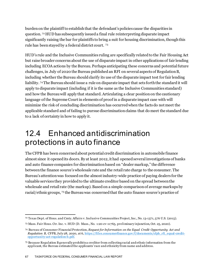burden on the plaintiff to establish that the defendant's policies cause the disparities in question. [72](#page-67-0) HUD has subsequently issued a final rule reinterpreting disparate impact significantly raising the bar for plaintiffs to bring a suit for housing discrimination, though this rule has been stayed by a federal district court. [73](#page-67-1)

HUD's rule and the Inclusive Communities ruling are specifically related to the Fair Housing Act but raise broader concerns about the use of disparate impact in other applications of fair lending including ECOA actions by the Bureau. Perhaps anticipating these concerns and potential future challenges, in July of 2020 the Bureau published an RFI on several aspects of Regulation B, including whether the Bureau should clarify its use of the disparate impact test for fair lending liability. [74](#page-67-2)The Bureau should issue a rule on disparate impact that sets forth the standard it will apply to disparate impact (including if it is the same as the Inclusive Communities standard) and how the Bureau will apply that standard. Articulating a clear position on the cautionary language of the Supreme Court in elements of proof in a disparate impact case with will minimize the risk of concluding discrimination has occurred when the facts do not meet the applicable standard and of failing to pursue discrimination claims that do meet the standard due to a lack of certainty in how to apply it.

### 12.4 Enhanced antidiscrimination protections in auto finance

The CFPB has been concerned about potential credit discrimination in automobile finance almost since it opened its doors. By at least 2012, it had opened several investigations of banks and auto finance companies for discrimination based on "dealer markup," the difference between the finance source's wholesale rate and the retail rate charge to the consumer. The Bureau's attention was focused on the almost industry-wide practice of paying dealers for the valuable services they provided to the ultimate creditor based on the spread between the wholesale and retail rate (the markup). Based on a simple comparison of average markups by racial/ethnic groups, [75](#page-67-3) the Bureau was concerned that the auto finance source's practice of

<span id="page-67-0"></span><sup>72</sup> Texas Dept. of Hous. and Cmty. Affairs v. Inclusive Communities Project, Inc., No. 13-1371, 576 U.S. (2015).

<span id="page-67-1"></span><sup>73</sup> Mass. Fair Hous. Ctr. Inc. v. HUD (D. Mass., No. 1:20-cv-11765, preliminary injunction, Oct. 25, 2020).

<span id="page-67-2"></span><sup>74</sup> Bureau of Consumer Financial Protection, *Request for Information on the Equal Credit Opportunity Act and Regulation B*, CFPB, July 28, 2020, at 6, [https://files.consumerfinance.gov/f/documents/cfpb\\_rfi\\_equal-credit](https://files.consumerfinance.gov/f/documents/cfpb_rfi_equal-credit-opportunity-act-regulation-b.pdf)[opportunity-act-regulation-b.pdf](https://files.consumerfinance.gov/f/documents/cfpb_rfi_equal-credit-opportunity-act-regulation-b.pdf).

<span id="page-67-3"></span><sup>75</sup> Because Regulation B generally prohibits a creditor from collecting racial and ethnic information from the applicant, the Bureau estimated the applicants' race and ethnicity from name and address.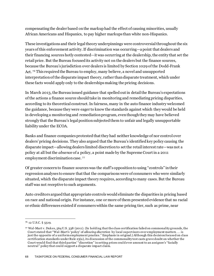compensating the dealer based on the markup had the effect of causing minorities, usually African Americans and Hispanics, to pay higher markups than white non-Hispanics.

These investigations and their legal theory underpinnings were controversial throughout the six years of this enforcement activity. If discrimination was occurring—a point that dealers and their financing sources hotly contested—it was occurring at the dealership, the entity that set the retail price. But the Bureau focused its activity not on the dealers but the finance sources, because the Bureau's jurisdiction over dealers is limited by Section 1029 of the Dodd-Frank Act. [76](#page-68-0) This required the Bureau to employ, many believe, a novel and unsupported interpretation of the disparate impact theory, rather than disparate treatment, which under these facts would apply only to the dealerships making the pricing decisions.

In March 2013, the Bureau issued guidance that spelled out in detail the Bureau's expectations of the actions a finance source should take in monitoring and remediating pricing disparities, according to its theoretical construct. In fairness, many in the auto finance industry welcomed the guidance, because they were eager to know the standards against which they would be held in developing a monitoring and remediation program, even though they may have believed strongly that the Bureau's legal position subjected them to unfair and legally unsupportable liability under the ECOA.

Banks and finance companies protested that they had neither knowledge of nor control over dealers' pricing decisions. They also argued that the Bureau's identified key policy causing the disparate impact—allowing dealers limited discretion to set the retail interest rate—was not a policy at all but the *absence* of a policy, a point made by the Supreme Court in a 2011 employment discrimination case. [77](#page-68-1)

Of greater concern to finance sources was the staff's opposition to using "controls" in their regression analyses to ensure that that the comparisons were of consumers who were similarly situated, which the disparate impact theory requires, according to many cases. But the Bureau staff was not receptive to such arguments.

Auto creditors argued that appropriate controls would eliminate the disparities in pricing based on race and national origin. For instance, one or more of them presented evidence that no racial or ethnic differences existed if consumers within the same pricing tier, such as prime, near

<span id="page-68-0"></span><sup>76</sup> 12 U.S.C. § 5519.

<span id="page-68-1"></span><sup>77</sup> Wal-Mart v. Dukes, 564 U.S. 338 (2011). (In holding that the class certification failed on commonality grounds, the Court stated that "Wal-Mart's 'policy' of *allowing discretion* by local supervisors over employment matters . . . is just the opposite of a uniform employment practice." Emphasis in original.) Although this decision focused on class certification standards under Rule 23(a), its discussion of the commonality test casts grave doubt on whether the Court would find that third parties' "discretion" in setting prices could ever amount to an assignee's "facially neutral" policy that could support a disparate impact claim.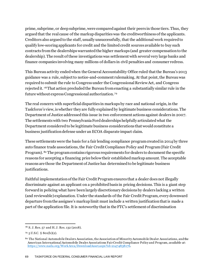prime, subprime, or deep subprime, were compared against their peers in those tiers. Thus, they argued that the real cause of the markup disparities was the creditworthiness of the applicants. Creditors also argued to the staff, usually unsuccessfully, that the additional work required to qualify low-scoring applicants for credit and the limited credit sources available to buy such contracts from the dealerships warranted the higher markups (and greater compensation to the dealership). The result of these investigations was settlement with several very large banks and finance companies involving many millions of dollars in civil penalties and consumer redress.

This Bureau activity ended when the General Accountability Office ruled that the Bureau's 2013 guidance was a rule, subject to notice-and-comment rulemaking. At that point, the Bureau was required to submit the rule to Congress under the Congressional Review Act, and Congress rejected it. [78](#page-69-0)That action precluded the Bureau from enacting a substantially similar rule in the future without express Congressional authorization. [79](#page-69-1)

The real concern with superficial disparities in markups by race and national origin, in the Taskforce's view, is whether they are fully explained by legitimate business considerations. The Department of Justice addressed this issue in two enforcement actions against dealers in 2007. The settlements with two Pennsylvania Ford dealerships helpfully articulated what the Department considered to be legitimate business considerations that would constitute a business justification defense under an ECOA disparate impact claim.

These settlements were the basis for a fair lending compliance program created in 2014 by three auto finance trade associations, the Fair Credit Compliance Policy and Program (Fair Credit Program). [80](#page-69-2) The program contains rigorous requirements for dealers to document the specific reasons for accepting a financing price below their established markup amount. The acceptable reasons are those the Department of Justice has determined to be legitimate business justifications.

Faithful implementation of the Fair Credit Program ensures that a dealer does not illegally discriminate against an applicant on a prohibited basis in pricing decisions. This is a giant step forward in policing what have been largely discretionary decisions by dealers lacking a written (and reviewable) explanation. Under the standards of the Fair Credit Program, every downward departure from the assignee's markup limit must include a written justification that is made a part of the application file. It is noteworthy that in the FTC's settlement of discrimination

<span id="page-69-0"></span><sup>78</sup> S. J. Res. 57 and H. J. Res. 132 (2018).

<span id="page-69-1"></span><sup>79</sup> 5 U.S.C. § 801(b)(2).

<span id="page-69-2"></span><sup>80</sup> The National Automobile Dealers Association, the Association of Minority Automobile Dealer Associations, and the American International Automobile Dealer Associations Fair Credit Compliance Policy and Program, *available at*: [https://www.nada.org/WorkArea/DownloadAsset.aspx?id=21474838176.](https://www.nada.org/WorkArea/DownloadAsset.aspx?id=21474838176)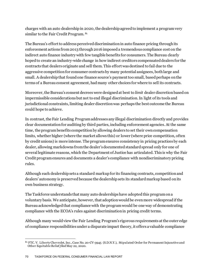charges with an auto dealership in 2020, the dealership agreed to implement a program very similar to the Fair Credit Program. [81](#page-70-0)

The Bureau's effort to address perceived discrimination in auto finance pricing through its enforcement actions from 2013 through 2016 imposed a tremendous compliance cost on the indirect auto finance industry with few tangible benefits for consumers. The Bureau clearly hoped to create an industry-wide change in how indirect creditors compensated dealers for the contracts that dealers originate and sell them. This effort was destined to fail due to the aggressive competition for consumer contracts by many potential assignees, both large and small. A dealership that found one finance source's payment too small, based perhaps on the terms of a Bureau consent agreement, had many other choices for where to sell its contracts.

Moreover, the Bureau's consent decrees were designed at best to *limit* dealer discretion based on impermissible considerations but not to end illegal discrimination. In light of its tools and jurisdictional constraints, limiting dealer discretion was perhaps the best outcome the Bureau could hope to achieve.

In contrast, the Fair Lending Program addresses any illegal discrimination directly and provides clear documentation for auditing by third parties, including enforcement agencies. At the same time, the program benefits competition by allowing dealers to set their own compensation limits, whether higher (where the market allows this) or lower (where price competition, often by credit unions) is more intense. The program ensures consistency in pricing practices by each dealer, allowing markdowns from the dealer's documented standard spread only for one of several legitimate reasons, which the Department of Justice has articulated. This is why the Fair Credit program ensures and documents a dealer's compliance with nondiscriminatory pricing rules.

Although each dealership sets a standard markup for its financing contracts, competition and dealers' autonomy is preserved because the dealership sets its standard markup based on its own business strategy.

The Taskforce understands that many auto dealerships have adopted this program ona voluntary basis. We anticipate, however, that adoption would be even more widespread if the Bureauacknowledged that compliance with the program would be one way of demonstrating compliance with the ECOA's rules against discrimination in pricing credit terms.

Although many would view the Fair Lending Program's rigorous requirements at the outer edge of compliance responsibilities under a disparate impact theory, it offers a valuable compliance

<span id="page-70-0"></span><sup>81</sup> FTC. V. Liberty Chevrolet, Inc., Case No. 20-CV-3945 (S.D.N.Y.), Stipulated Order for Permanent Injunctive and Other Equitable Relief *filed*May 22, 2020.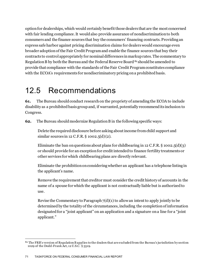option for dealerships, which would certainly benefit those dealers that are the most concerned with fair lending compliance. It would also provide assurance of nondiscrimination to both consumers and the finance sources that buy the consumers' financing contracts. Providing an express safe harbor against pricing discrimination claims for dealers would encourage even broader adoption of the Fair Credit Program and enable the finance sources that buy their contracts to control appropriately for nominal differences in markup rates. The commentary to Regulation B by both the Bureau and the Federal Reserve Board <sup>[82](#page-71-0)</sup> should be amended to provide that compliance with the standards of the Fair Credit Program constitutes compliance with the ECOA's requirements for nondiscriminatory pricing on a prohibited basis.

#### 12.5 Recommendations

**61.** The Bureau should conduct research on the propriety of amending the ECOA to include disability as a prohibited basis group and, if warranted, potentially recommend its inclusion to Congress.

**62.** The Bureau should modernize Regulation B in the following specific ways:

Delete the required disclosure before asking about income from child support and similar sources in 12 C.F.R. § 1002.5(d) (2).

Eliminate the ban on questions about plans for childbearing in 12 C.F.R.  $\S$  1002.5(d)(3) or should provide for an exception for credit intended to finance fertility treatments or other services for which childbearing plans are directly relevant.

Eliminate the prohibition on considering whether an applicant has a telephone listing in the applicant's name.

Remove the requirement that creditor must consider the credit history of accounts in the name of a spouse for which the applicant is not contractually liable but is authorized to use.

Revise the Commentary to Paragraph  $7(d)(1)$  to allow an intent to apply jointly to be determined by the totality of the circumstances, including the completion of information designated for a "joint applicant" on an application and a signature on a line for a "joint applicant."

<span id="page-71-0"></span> $82$  The FRB's version of Regulation B applies to the dealers that are excluded from the Bureau's jurisdiction by section 1029 of the Dodd-Frank Act, 12 U.S.C. § 5519.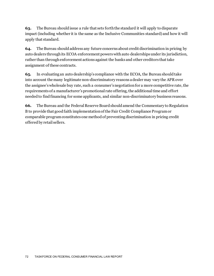**63.** The Bureau should issue a rule that sets forth the standard it will apply to disparate impact (including whether it is the same as the Inclusive Communities standard) and how it will apply that standard.

**64.** The Bureau should address any future concerns about credit discrimination in pricing by auto dealers through its ECOA enforcement powers with auto dealershipsunder its jurisdiction, rather than through enforcement actions against the banks and other creditors that take assignment of these contracts.

**65.** In evaluating an auto dealership's compliance with the ECOA, the Bureau should take into account the many legitimate non-discriminatory reasons a dealer may vary the APR over the assignee's wholesale buy rate, such a consumer's negotiation for a more competitive rate, the requirements of a manufacturer's promotional rate offering, the additional time and effort needed to find financing for some applicants, and similar non-discriminatory business reasons.

**66.** The Bureau and the Federal Reserve Board should amend the Commentary to Regulation B to provide that good faith implementation of the Fair Credit Compliance Program or comparable program constitutes one method of preventing discrimination in pricing credit offered by retail sellers.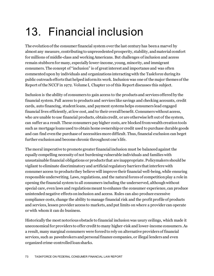## 13. Financial inclusion

The evolution of the consumer financial system over the last century has been a marvel by almost any measure, contributing to unprecedented prosperity, stability, and material comfort for millions of middle-class and working Americans. But challenges of inclusion and access remain stubborn for many, especially lower-income, young, minority, and immigrant consumers. The concept of "inclusion" is of great interest and importance and was often commented upon by individuals and organizations interacting with the Taskforce during its public outreach efforts that helpedinform its work. Inclusion was one of the major themes of the Report of the NCCF in 1972. Volume I, Chapter 10 of this Report discusses this subject.

Inclusion is the ability of consumers to gain access to the products and services offered by the financial system. Full access to products and services like savings and checking accounts, credit cards, auto financing, student loans, and payment systems helps consumers lead engaged financial lives efficiently, at low cost, and to their overall benefit. Consumers without access, who are unable to use financial products, obtain credit, or are otherwise left out of the system, can suffer as a result. These consumers pay higher costs, are blocked from wealth creation tools such as mortgage loans used to obtain home ownership or credit used to purchase durable goods and can find even the purchase of necessities more difficult. Thus, financial exclusion can beget further exclusion and become chronic throughout one's life.

The moral imperative to promote greater financial inclusion must be balanced against the equally compelling necessity of not burdening vulnerable individuals and families with unsustainable financial obligations or products that are inappropriate. Policymakers should be vigilant to eliminate discriminatory and artificial regulatory barriers that interfere with consumer access to products they believe will improve their financial well-being, while ensuring responsible underwriting. Laws, regulations, and the natural forces of competition play a role in opening the financial system to all consumers including the underserved, although without special care, even laws and regulations meant to enhance the consumer experience, can produce unintended negative effects on inclusion and access. Rules can also produce excessive compliance costs, change the ability to manage financial risk and the profit profile of products and services, lessen provider access to markets, and put limits on where a provider can operate or with whom it can do business.

Historically the most notorious obstacle to financial inclusion was usury ceilings, which made it uneconomical for providers to offer credit to many higher-risk and lower-income consumers. As a result, many marginal consumers were forced to rely on alternative providers of financial services, such as pawnbrokers and personal finance companies, or illegal lenders and even organized crime-controlled loan sharks.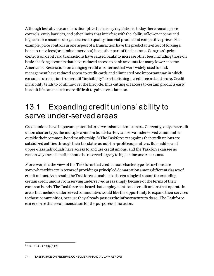Although less obvious and less disruptive than usury regulations, today there remain price controls, entry barriers, and other limits that interfere with the ability of lower-income and higher-risk consumers to gain access to quality financial products at competitive prices. For example, price controls in one aspect of a transaction have the predictable effect of forcing a bank to raise fees (or eliminate services) in another part of the business. Congress's price controls on debit card transactionshave caused banks to increase other fees, including those on basic checking accounts that have reduced access to bank accounts for many lower-income Americans. Restrictions on changing credit card terms that were widely used for risk management have reduced access to credit cards and eliminated one important way in which consumers transition from credit "invisibility" to establishing a credit record and score. Credit invisibility tends to continue over the lifecycle, thus cutting off access to certain products early in adult life can make it more difficult to gain access later on.

#### 13.1 Expanding credit unions' ability to serve under-served areas

Credit unions have important potential to serve unbanked consumers. Currently, only one credit union charter type, the multiple common bond charter, can serve underserved communities outside their common-bond membership. [83](#page-74-0)The Taskforce recognizes that credit unions are subsidized entities through their tax status as not-for-profit cooperatives. But middle- and upper-class individuals have access to and use credit unions, and the Taskforce can see no reason why these benefits should be reserved largely to higher-income Americans.

Moreover, it is the view of the Taskforce that credit union charter type distinctions are somewhat arbitrary in terms of providing a principled demarcation among different classes of credit unions. As a result, the Taskforce is unable to discern a logical reason for excluding certain credit unions from serving underserved areas simply because of the terms of their common bonds. The Taskforce has heard that employment-based credit unions that operate in areas that include underserved communities would like the opportunity to expand their services to those communities, because they already possess the infrastructure to do so. The Taskforce can endorse this recommendation for the purposes of inclusion.

<span id="page-74-0"></span><sup>83</sup> 12 U.S.C. § 1759(c)(2)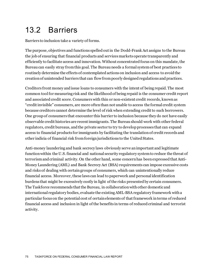### 13.2 Barriers

Barriers to inclusion take a variety of forms.

The purpose, objectives and functions spelled out in the Dodd-Frank Act assigns to the Bureau the job of ensuring that financial products and services markets operate transparently and efficiently to facilitate access and innovation. Without concentrated focus on this mandate, the Bureau can easily stray fromthis goal. The Bureau needs a formal system of best practices to routinely determine the effects of contemplated actions on inclusion and access to avoid the creation of unintended barriers that can flow from poorly designed regulations and practices.

Creditors front money and issue loans to consumers with the intent of being repaid. The most common tool for measuring risk and the likelihood of being repaid is the consumer credit report and associated credit score. Consumers with thin or non-existent credit records, known as "credit invisible" consumers, are more often than not unable to access the formal credit system because creditors cannot determine the level of risk when extending credit to such borrowers. One group of consumers that encounter this barrier to inclusion because they do not have easily observable credit histories are recent immigrants. The Bureau should work with other federal regulators, credit bureaus, and the private sector to try to develop processes that can expand access to financial products for immigrants by facilitating the translation of credit records and other indicia of financial risk from foreign jurisdictions to the United States.

Anti-money laundering and bank secrecy laws obviously serve an important and legitimate function within the U.S. financial and national security regulatory system to reduce the threat of terrorism and criminal activity. On the other hand, some concern has been expressed that Anti-Money Laundering (AML) and Bank Secrecy Act (BSA) requirements can impose excessive costs and risks of dealing with certain groups of consumers, which can unintentionally reduce financial access. Moreover, these laws can lead to paperwork and personal identification burdens that might be excessively costly in light of the risks presented by certain consumers. The Taskforce recommends that the Bureau, in collaboration with other domestic and international regulatory bodies, evaluate the existing AML-BSA regulatory framework with a particular focus on the potential cost of certain elements of that framework in terms of reduced financial access and inclusion in light of the benefits in terms of reduced criminal and terrorist activity.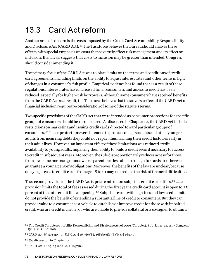## 13.3 Card Act reform

Another area of concern is the costs imposed by the Credit Card Accountability Responsibility and Disclosure Act (CARD Act). [84](#page-76-0)The Taskforce believes the Bureau should analyze these effects, with special emphasis on costs that adversely affect risk management and its effect on inclusion. If analysis suggests that costs to inclusion may be greater than intended, Congress should consider amending it.

The primary focus of the CARD Act was to place limits on the terms and conditions of credit card agreements, including limits on the ability to adjust interest rates and other terms in light of changes in a consumer's risk profile. Empirical evidence has found that as a result of these regulations, interest rates have increased for all consumers and access to credit has been reduced, especially for higher-risk borrowers. Although some consumers have received benefits from the CARD Act as a result, the Taskforce believes that the adverse effect of the CARD Act on financial inclusion requires reconsideration of some of the statute's terms.

Two specific provisions of the CARD Act that were intended as consumer protections for specific groups of consumers should be reconsidered. As discussed in Chapter 12, the CARD Act includes restrictions on marketing and issuing credit cards directed toward particular groups of consumers. [85](#page-76-1) These protections were intended to protect college students and other younger adults from incurring debts they could not repay, thus harming their credit histories early in their adult lives. However, an important effect of these limitations was reduced credit availability to young adults, impairing their ability to build a credit record necessary for access to credit in subsequent years. Moreover, the rule disproportionately reduces access for those from lower-income backgrounds whose parents are less able to co-sign for cards or otherwise guarantee a young person's obligations. Moreover, the benefits of the law are unclear, because delaying access to credit cards from age 18 to 21 may not reduce the risk of financial difficulties.

The second provision of the CARD Act is price controls on subprime credit card offers. <sup>[86](#page-76-2)</sup> This provision limits the total of fees assessed during the first year a credit card account is open to 25 percent of the total credit line at opening. [87](#page-76-3) Subprime cards with high fees and low credit limits do not provide the benefit of extending a substantialline of credit to consumers. But they can provide value to a consumer as a vehicle to establish or improve credit for those with impaired credit, who are credit invisible, or who are unable to provide collateral or a co-signer to obtain a

<span id="page-76-0"></span><sup>84</sup> The Credit Card Accountability Responsibility and Disclosure Act of 2009 (Card Act), Pub. L. 111-24, 111th Congress, 15 U.S.C. § 1601 note.

<span id="page-76-1"></span><sup>85</sup> CARD Act, §§ 301-303, 15 U.S.C.A. § 1637(c)(8); 1681b(c)(1)(B)(iv); § 1637(p).

<span id="page-76-2"></span><sup>86</sup> *See* discussion in Chapter 10.

<span id="page-76-3"></span><sup>87</sup> CARD Act, § 105, 15 U.S.C.A. § 1637(n).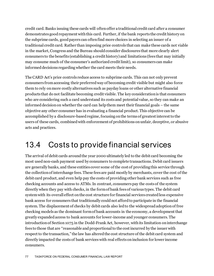credit card.Banks issuing these cards will often offer a traditional credit card after a consumer demonstrates good repayment with this card. Further, if the bank reports the credit history on the subprime cards, good payers can often find more choices in selecting an issuer of a traditional credit card. Rather than imposing price controls that can make these cards not viable in the market, Congress and the Bureau should consider disclosures that more clearly alert consumers to the benefits (establishing a credit history) and limitations (fees that may initially may consume much of the consumer's authorized credit limit), so consumers can make informed decisions regarding whether the card meets their needs.

The CARD Act's price controls reduce access to subprime cards. This can not only prevent consumers from accessing their preferred way of becoming credit visible but might also force them to rely on more costly alternatives such as payday loans or other alternative financial products that do not facilitate becoming credit visible. The key consideration is that consumers who are considering such a card understand its costs and potential value, so they can make an informed decision on whether the card can help them meet their financial goals – the same objective any other consumer has in evaluating a financial product. This objective can be accomplished by a disclosure-based regime, focusing on the terms of greatest interest to the users of these cards, combined with enforcement of prohibitions on unfair, deceptive, or abusive acts and practices.

#### 13.4 Costs to provide financial services

The arrival of debit cards around the year 2000 ultimately led to the debit card becoming the most used non-cash payment used by consumers to complete transactions. Debit card issuers are generally banks, and these entities cover some of the cost of providing this service through the collection of interchange fees. These fees are paid mostly by merchants, cover the cost of the debit card product, and even help pay the costs of providing other bank services such as free checking accounts and access to ATMs.In contrast, consumers pay the costs of the system directly when they pay with checks, in the form of bank fees of various types. The debit card system with its overall effect on the cost structure for financial services created less expensive bank access for consumers that traditionally could not afford to participate in the financial system. The displacement of checks by debit cards also led to the widespread adoption of free checking models as the dominant form of bank accounts in the economy, a development that greatly expanded access to bank accounts for lower-income and younger consumers. The introduction of Section 1075 in the Dodd-Frank Act, however, with its limitation on interchange fees to those that are "reasonable and proportional to the cost incurred by the issuer with respect to the transaction," the law has altered the cost structure of the debit card system and directly impacted the costs of bank services with real effects on inclusion for lower income consumers.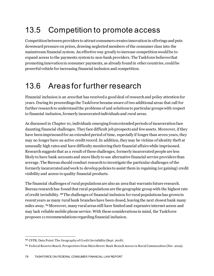## 13.5 Competition to promote access

Competition between providers to attract consumers creates innovation in offerings and puts downward pressure on prices, drawing neglected members of the consumer class into the mainstream financial system.An effective way greatly to increase competition would be to expand access to the payments system to non-bank providers. The Taskforce believes that promoting innovation in consumer payments, as already found in other countries, could be powerful vehicle for increasing financial inclusion and competition.

#### 13.6 Areas for further research

Financial inclusion is an area that has received a good deal of research and policy attention for years. During its proceedings the Taskforce became aware of two additional areas that call for further research to understand the problems of and solutions to particular groups with respect to financial inclusion, formerly incarcerated individuals and rural areas.

As discussed in Chapter 10, individuals emerging from extended periods of incarceration face daunting financial challenges. They face difficult job prospects and few assets. Moreover, if they have been imprisoned for an extended period of time, especially if longer than seven years, they may no longer have an active credit record. In addition, they may be victims of identity theft at unusually high rates and have difficulty monitoring their financial affairs while imprisoned. Research suggests that as a result of these challenges, formerly incarcerated people are less likely to have bank accounts and more likely to use alternative financial service providers than average. The Bureau should conduct research to investigate the particular challenges of the formerly incarceratedand work to develop policies to assist them in regaining (or gaining) credit visibility and access to quality financial products.

The financial challenges of rural populations are also an area that warrants future research. Bureau research has found that rural populations are the geographic group with the highest rate of credit invisibility. [88](#page-78-0)The challenges of financial inclusion for rural populations has grown in recent years as many rural bank branches have been closed, leaving the next closest bank many miles away. [89](#page-78-1)Moreover, many rural areas still have limited and expensive internet access and may lack reliable mobile phone service. With these considerations in mind, the Taskforce proposes 11 recommendations regarding financial inclusion.

<span id="page-78-0"></span><sup>88</sup> CFPB, Data Point: The Geography of Credit Invisibility (Sept. 2018).

<span id="page-78-1"></span><sup>89</sup> Federal Reserve Board, Perspectives from Main Street: Bank Branch Access in Rural Communities (Nov. 2019).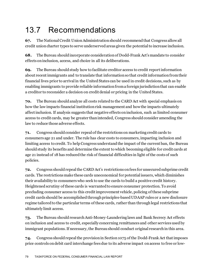## 13.7 Recommendations

**67.** The National Credit Union Administration should recommend that Congress allow all credit union charter types to serve underserved areas given the potential to increase inclusion.

**68.** The Bureau should incorporate consideration of Dodd-Frank Act's mandate to consider effects on inclusion, access, and choice in all its deliberations.

**69.** The Bureau should study how to facilitate creditor access to credit report information about recent immigrants and to translate that information so that credit information from their financial lives prior to arrival in the United States can be used in credit decisions, such as by enabling immigrants to provide reliable information from a foreign jurisdiction that can enable a creditor to reconsider a decision on credit denial or pricing in the United States.

**70.** The Bureau should analyze all costs related to the CARD Act with special emphasis on how the law impacts financial institution risk management and how the impacts ultimately affect inclusion. If analysis suggests that negative effects on inclusion, such as limited consumer access to credit cards, may be greater than intended, Congress should consider amending the law to reduce those adverse effects.

**71.** Congress should consider repeal of the restrictions on marketing credit cards to consumers age 21 and under. The rule has clear costs to consumers, impacting inclusion and limiting access to credit. To help Congress understand the impact of the current ban, the Bureau should study its benefits and determine the extent to which becoming eligible for credit cards at age 21 instead of 18 has reduced the risk of financial difficulties in light of the costs of such policies.

**72.** Congress should repeal the CARD Act's restrictions on fees for unsecured subprime credit cards. The restrictions make these cards uneconomical for potential issuers, which diminishes their availability to consumers who seek to use the cards to build a positive credit history. Heightened scrutiny of these cards is warranted to ensure consumer protection. To avoid precluding consumer access to this credit improvement vehicle, policing of these subprime credit cards should be accomplished through principles-based UDAAP rules or a new disclosure regime tailored to the particular terms of these cards, rather than through legal restrictions that ultimately limit access.

**73.** The Bureau should research Anti-Money-Laundering laws and Bank Secrecy Act effects on inclusion and access to credit, especially concerning remittances and other services used by immigrant populations. If necessary, the Bureau should conduct original research in this area.

**74.** Congress should repeal the provision in Section 1075 of the Dodd-Frank Act that imposes price controls on debit card interchange fees due to its adverse impact on access to free or low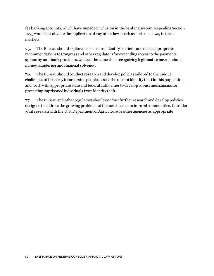fee banking accounts, which have impeded inclusion in the banking system. Repealing Section 1075 would not obviate the application of any other laws, such as antitrust laws, to these markets.

**75.** The Bureau should explore mechanisms, identify barriers, and make appropriate recommendations to Congress and other regulators for expanding access to the payments system by non-bank providers, while at the same time recognizing legitimate concerns about money laundering and financial solvency.

**76.** The Bureau should conduct research and develop policies tailored to the unique challenges of formerly incarcerated people, assess the risks of identity theft in this population, and work with appropriate state and federal authorities to develop robust mechanisms for protecting imprisoned individuals from identity theft.

**77.** The Bureau and other regulators should conduct further research and develop policies designed to address the growing problems of financial inclusion in rural communities. Consider joint research with the U.S. Department of Agriculture or other agencies as appropriate.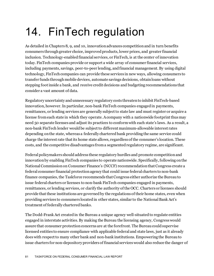## 14. FinTech regulation

As detailed in Chapters 8, 9, and 10, innovation advances competition and in turn benefits consumers through greater choice, improved products, lower prices, and greater financial inclusion. Technology-enabled financial services, or FinTech, is at the center of innovation today. FinTech companies provide or support a wide array of consumer financial services, including payments, savings, peer-to-peer lending, and financial management. By using digital technology, FinTech companies can provide these services in new ways, allowing consumers to transfer funds through mobile devices, automate savings decisions, obtain loans without stepping foot inside a bank, and receive credit decisions and budgeting recommendations that consider a vast amount of data.

Regulatory uncertainty and unnecessary regulatory costs threaten to inhibit FinTech-based innovation, however. In particular, non-bank FinTech companies engaged in payments, remittances, or lending services are generally subject to state law and must register or acquire a license from each state in which they operate. Acompany with a nationwide footprint thus may need 50 separate licenses and adjust its practices to conform with each state's laws. As a result, a non-bank FinTech lender would be subject to different maximum-allowable interest rates depending on the state, whereas a federally chartered bank providing the same service could charge the interest rate that its home state allows, regardless of the consumer's location. These costs, and the competitive disadvantages from a segmented regulatory regime, are significant.

Federal policymakers should address these regulatory hurdles and promote competition and innovation by enabling FinTech companies to operate nationwide. Specifically, following on the National Commission on Consumer Finance's (NCCF) recommendation that Congress create a federal consumer financial protection agency that could issue federal charters to non-bank finance companies, the Taskforce recommends that Congress either authorize the Bureau to issue federal charters or licenses to non-bank FinTech companies engaged in payments, remittances, or lending services, or clarify the authority of the OCC. Charters or licenses should provide that these institutions are governed by the regulations of their home states, even when providing services to consumers located in other states, similar to the National Bank Act's treatment of federally chartered banks.

The Dodd-Frank Act created in the Bureau a unique agency well-situated to regulate entities engaged in interstate activities. By making the Bureau the licensing agency, Congress would assure that consumer protection concerns are at the forefront. The Bureau could supervise licensed entities to ensure compliance with applicable federal and state laws, just as it already does with respect to many other bank and non-bank institutions. Empowering the Bureau to issue charters for non-depository providers of financial services would also reduce the danger of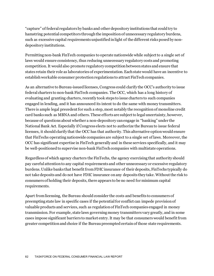"capture" of federal regulators by banks and other depository institutions that could try to hamstring potential competitors through the imposition of unnecessary regulatory burdens, such as excessive capital requirements unjustified in light of the different risks posed by nondepository institutions.

Permitting non-bank FinTech companies to operate nationwide while subject to a single set of laws would ensure consistency, thus reducing unnecessary regulatory costs and promoting competition.It would also promote regulatory competition between states and ensure that states retain their role as laboratories of experimentation. Each state would have an incentive to establish workable consumer protection regulations to attract FinTech companies.

As an alternative to Bureau-issued licenses, Congress could clarify the OCC's authority to issue federal charters to non-bank FinTech companies. The OCC, which has a long history of evaluating and granting charters, recently took steps to issue charters to such companies engaged in lending, and it has announced its intent to do the same with money transmitters. There is ample legal precedent for such a step, most notably the recognition of monoline credit card banks such as MBNA and others. These efforts are subject to legal uncertainty, however, because of questions about whether a non-depository can engage in "banking" under the National Bank Act. Especially if Congress elects not to authorize the Bureau to issue federal licenses, it should clarify that the OCC has that authority. This alternative option would ensure that FinTechs operating nationwide companies are subject to a single set of laws. Moreover, the OCC has significant expertise in FinTech generally and in these services specifically, and it may be well-positioned to supervise non-bank FinTech companies with multistate operations.

Regardless of which agency charters the FinTechs, the agency exercising that authority should pay careful attention to any capital requirements and other unnecessary or excessive regulatory burdens. Unlike banks that benefit from FDIC insurance of their deposits, FinTechs typically do not take deposits and do not have FDIC insurance on any deposits they take. Without the risk to consumers of holding their deposits, there appears to be no need for minimum capital requirements.

Apart from licensing, the Bureau should consider the costs and benefits to consumers of preempting state law in specific cases if the potential for conflict can impede provision of valuable products and services, such as regulation of FinTech companies engaged in money transmission. For example, state laws governingmoney transmitters vary greatly, and in some cases impose significant barriers to market entry. It may be that consumers would benefit from greater competition and choice if the Bureau preempted certain of those state requirements.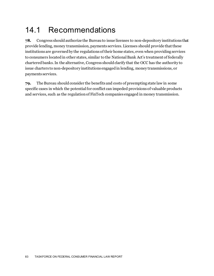### 14.1 Recommendations

**78.** Congress should authorize the Bureau to issue licenses to non-depository institutions that provide lending, money transmission, payments services. Licenses should provide that these institutions are governed by the regulations of their home states, even when providing services to consumers located in other states, similar to the National Bank Act's treatment of federally chartered banks. In the alternative, Congress should clarify that the OCC has the authority to issue charters to non-depository institutions engaged in lending, money transmissions, or payments services.

**79.** The Bureau should consider the benefits and costs of preempting state law in some specific cases in which the potential for conflict can impeded provisions of valuable products and services, such as the regulation of FinTech companies engaged in money transmission.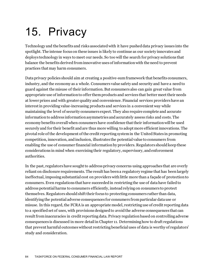# 15. Privacy

Technology and the benefits and risks associated with it have pushed data privacy issues into the spotlight. The intense focus on these issues is likely to continue as our society innovates and deploys technology in ways to meet our needs. So too will the search for privacy solutions that balance the benefits derived from innovative uses of information with the need to prevent practices that may harm consumers.

Data privacy policies should aim at creating a positive-sum framework that benefits consumers, industry, and the economy as a whole. Consumers value safety and security and have a need to guard against the misuse of their information.But consumers also can gain great value from appropriate use of information to offer them products and services that better meet their needs at lower prices and with greater quality and convenience. Financial services providers have an interest in providing value-increasing products and services in a convenient way while maintaining the level of security consumers expect. They also require complete and accurate information to address information asymmetries and accurately assess risks and costs. The economy benefits overall when consumers have confidence that their information will be used securely and for their benefit and are thus more willing to adopt more efficient innovations. The pivotal role of the development of the credit reporting system in the United States in promoting competition, innovation, and inclusion, illustrates the potential value to consumers from enabling the use of consumer financial information by providers. Regulators should keep these considerations in mind when exercising their regulatory, supervisory, and enforcement authorities.

In the past, regulators have sought to address privacy concerns using approaches that are overly reliant on disclosure requirements. The result has been a regulatory regime that has been largely ineffectual, imposing substantial cost on providers with little more than a façade of protection to consumers. Even regulations that have succeeded in restricting the use of data have failed to address potential harms to consumers efficiently, instead relying on consumers to protect themselves. Regulators should shift their focus to protecting consumers rather than data, identifying the potential adverse consequences for consumers from particular data use or misuse. In this regard, the FCRA is an appropriate model, restricting use of credit reporting data to a specified set of uses, with provisions designed to avoid the adverse consequences that can result from inaccuracies in credit reporting data. Privacy regulation based on controlling adverse consequences is discussed in more detail in Chapter 11. Determining how to draft regulations that prevent harmful outcomes without restricting beneficial uses of data is worthy of regulators' study and consideration.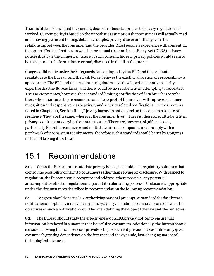There is little evidence that the current, disclosure-based approach to privacy regulation has worked. Current policy is based on the unrealistic assumption that consumers will actually read and knowingly consent to long, detailed, complex privacy disclosures that govern the relationship between the consumer and the provider. Most people's experience with consenting to pop-up "Cookies" notices on websites or annual Gramm-Leach-Bliley Act (GLBA) privacy notices illustrate the chimerical nature of such consent.Indeed, privacy policies would seem to be the epitome of information overload, discussed in detail in Chapter 7.

Congress did not transfer the Safeguards Rules adopted by the FTC and the prudential regulators to the Bureau, and the Task Force believes the existing allocation of responsibility is appropriate. The FTC and the prudential regulators have developed substantive security expertise that the Bureau lacks, and there would be no real benefit in attempting to recreate it. The Taskforce notes, however, that a standard limiting notification of data breaches to only those when there are steps consumers can take to protect themselves will improve consumer recognition and responsiveness to privacy and security related notifications. Furthermore, as notedin Chapter 11, Section III, "[P]rivacy harms do not depend on the consumer's state of residence. They are the same, wherever the consumer lives." There is, therefore, little benefit in privacy requirements varying from state to state. There are, however, significant costs, particularly for online commerce and multistate firms, if companies must comply with a patchwork of inconsistent requirements, therefore such a standard should be set by Congress instead of leaving it to states.

#### 15.1 Recommendations

80. When the Bureau confronts data privacy issues, it should seek regulatory solutions that control the possibility of harm to consumers rather than relying on disclosure. With respect to regulation, the Bureau should recognize and address, where possible, any potential anticompetitive effect of regulations as part of its rulemaking process. Disclosure is appropriate under the circumstances described in recommendation the following recommendation.

**81.** Congress should enact a law authorizing national preemptive standard for data breach notifications adopted by a relevant regulatory agency. The standards should consider what the objectives of such a notification would be when defining the scope of the law and the remedies.

**82.** The Bureau should study the effectiveness of GLBA privacy notices to ensure that information is relayed in a manner that is useful to consumers. Additionally, the Bureau should consider allowing financial services providers to post current privacy notices online only given consumer's growing dependence on the internet and the dynamic, fast-changing nature of technological advances.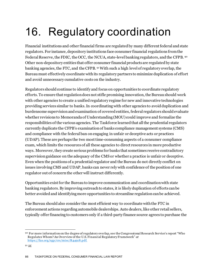# 16. Regulatory coordination

Financial institutions and other financial firms are regulated by many different federal and state regulators. For instance, depository institutions face consumer financial regulations from the Federal Reserve, the FDIC, the OCC, the NCUA, state-level banking regulators, and the CFPB. [90](#page-86-0) Other non-depository entities that offer consumer financial products are regulated by state banking agencies, the FTC, and the CFPB. [91](#page-86-1)With such a high level of regulatory overlap, the Bureau must effectively coordinate with its regulatory partners to minimize duplication of effort and avoid unnecessary cumulative costs on the industry.

Regulators should continue to identify and focus on opportunities to coordinate regulatory efforts. To ensure that regulation doesnot stifle promising innovation, the Bureau should work with other agencies to create a unified regulatory regime for new and innovative technologies providing services similar to banks. In coordinating with other agencies to avoid duplication and burdensome supervision and examination of covered entities, federal regulators should evaluate whether revisions to Memoranda of Understanding (MOU) could improve and formalize the responsibilities of the various agencies. The Taskforce learned that all the prudential regulators currently duplicate the CFPB's examination of banks compliance management systems (CMS) and compliance with the federal ban on engaging in unfair or deceptive acts or practices (UDAP). These are perhaps the two most time-consuming aspects of a consumer compliance exam, which limits the resources of all these agencies to direct resources in more productive ways. Moreover, they create serious problems for banks that sometimes receive contradictory supervision guidance on the adequacy of the CMS or whether a practice is unfair or deceptive. Even when the positions of a prudential regulator and the Bureau do not directly conflict on issues involving CMS and UDAP, banks can never rely with confidence of the position of one regulator out of concern the other will instruct differently.

Opportunities exist for the Bureau to improve communication and coordination with state banking regulators. By improving outreach to states, it is likely duplication of efforts can be better avoided and identifying more opportunities to streamline regulation can be achieved.

The Bureau should also consider the most efficient way to coordinate with the FTC in enforcement actions regarding automobile dealerships. Auto dealers, like other retail sellers, typically offer financing to customers only if a third-party finance source agrees to purchase the

<span id="page-86-0"></span><sup>90</sup> For more information on the degree of regulatory overlap, see the Congressional Research Service's report "Who Regulates Whom? An Overview of the U.S. Financial Regulatory Framework" *at*  <https://fas.org/sgp/crs/misc/R44918.pdf>.

<span id="page-86-1"></span><sup>91</sup> *Id.*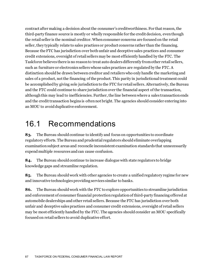contract after making a decision about the consumer's creditworthiness. For that reason, the third-party finance source is mostly or wholly responsible for the credit decision, even though the retail seller is the nominal creditor. When consumer concerns are focused on the retail seller, they typically relate to sales practices or product concerns rather than the financing. Because the FTC has jurisdiction over both unfair and deceptive sales practices and consumer credit extensions, oversight of retail sellers may be most efficiently handled by the FTC. The Taskforce believes there is no reason to treat auto dealers differently from other retail sellers, such as furniture or electronics sellers whose sales practices are regulated by the FTC. A distinction should be drawn between creditor and retailers who only handle the marketing and sales of a product, not the financing of the product. This parity in jurisdictional treatment could be accomplished by giving sole jurisdiction to the FTC for retail sellers. Alternatively, the Bureau and the FTC could continue to share jurisdictionover the financial aspect of the transaction, although this may lead to inefficiencies. Further, the line between where a sales transaction ends and the credit transaction begins is often not bright. The agencies should consider entering into an MOU to avoid duplicative enforcement.

#### 16.1 Recommendations

**83.** The Bureau should continue to identify and focus on opportunities to coordinate regulatory efforts. The Bureau and prudential regulators should eliminate overlapping examination subject areas and reconcile inconsistent examination standards that unnecessarily expend multiple resources and can cause confusion.

**84.** The Bureau should continue to increase dialogue with state regulators to bridge knowledge gaps and streamline regulation.

**85.** The Bureau should work with other agencies to create a unified regulatory regime for new and innovative technologies providing services similar to banks.

**86.** The Bureau should work with the FTC to explore opportunities to streamline jurisdiction and enforcement of consumer financial protection regulation of third-party financing offered at automobile dealerships and other retail sellers. Because the FTC has jurisdiction over both unfair and deceptive sales practices and consumer credit extensions, oversight of retail sellers may be most efficiently handled by the FTC. The agencies should consider an MOU specifically focused on retail sellers to avoid duplicative effort.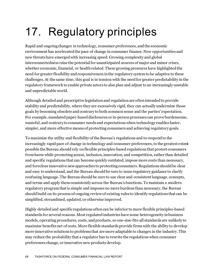# 17. Regulatory principles

Rapid and ongoing changes in technology, consumer preferences, and the economic environment has accelerated the pace of change in consumer finance. New opportunities and new threats have emerged with increasing speed. Growing complexity and global interconnectedness raise the potential for unanticipated sources of major and minor crises, whether economic, financial, or health related. These growing pressures have highlighted the need for greater flexibility and responsiveness in the regulatory system to be adaptive to these challenges. At the same time, this goal is in tension with the need for greater predictability in the regulatory framework to enable private actors to also plan and adjust to an increasingly unstable and unpredictable world.

Although detailed and prescriptive legislation and regulation are often intended to provide stability and predictability, where they are excessively rigid, they can actually undermine those goals by becoming obsolete and contrary to both common sense and the parties' expectation. For example, mandated paper-based disclosures or in-person processes can prove burdensome, wasteful, and contrary to consumer needs and expectations when technology enables faster, simpler, and more effective means of protecting consumers and achieving regulatory goals.

To maximize the utility and flexibility of the Bureau's regulations and to respond to the increasingly rapid pace of change in technology and consumer preferences, to the greatest extent possible the Bureau should rely on flexible principles-based regulations that protect consumers from harm while promoting access, inclusion, innovation, and competition, rather than detailed and specific regulations that can become quickly outdated, impose more costs than necessary, and foreclose innovative new approaches to protecting consumers. Regulations should be clear and easy to understand, and the Bureau should be sure to issue regulatory guidance to clarify confusing language. The Bureau should be sure to use clear and consistent language, concepts, and terms and apply them consistently across the Bureau's functions. To maintain a modern regulatory program that is simple and imposes no more burdens than necessary, the Bureau should build on its process of ongoing review of existing rules to identify regulations that can be simplified, streamlined, updated, or otherwise improved.

Highly detailed and specific regulations often can be inferior to more flexible principles-based standards for several reasons. Most regulated industries have some heterogeneity in business models, operating procedures, costs, and products, so one-size-fits-all standards are unlikely to maximize benefits net of costs. More flexible standards provide firms with the ability to develop more innovative solutions to problems that are more adaptable to changes in the industry. This may reduce the probability that a regulator has to rewrite the regulations when consumer preferences change, or innovative new products develop.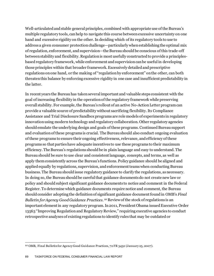Well-articulated and stable general principles, combined with appropriate use of the Bureau's multiple regulatory tools, can help to navigate this course between excessive uncertainty on one hand and excessive rigidity on the other. In deciding which of its regulatory tools to use to address a given consumer protection challenge—particularly when establishing the optimal mix of regulation, enforcement, and supervision—the Bureau should be conscious of this trade-off between stability and flexibility. Regulation is most usefully constructed to provide a principlesbased regulatory framework, while enforcement and supervision can be useful in developing those principles within that broader framework. Excessively detailed and prescriptive regulations on one hand, or the making of "regulation by enforcement" on the other, can both threaten this balance by enforcing excessive rigidity in one case and insufficient predictability in the latter.

In recent years the Bureau has taken several important and valuable steps consistent with the goal of increasing flexibility in the operation of the regulatory framework while preserving overall stability. For example, the Bureau's rollout of an active No-Action Letter program can provide a valuable source of predictability without sacrificing flexibility. Its Compliance Assistance and Trial Disclosure Sandbox programs are role models of experiments in regulatory innovation using modern technology and regulatory collaboration. Other regulatory agencies should emulate the underlying design and goals of these programs. Continued Bureau support and evaluation of these programs is crucial. The Bureau should also conduct ongoing evaluation of these programs to ensure their ongoing effectiveness, relevance, and efficiency of these programs so that parties have adequate incentives to use these programs to their maximum efficiency. The Bureau's regulations should be in plain language and easy to understand. The Bureau should be sure to use clear and consistent language, concepts, and terms, as well as apply them consistently across the Bureau's functions. Policy guidance should be aligned and applied equally by regulations, supervision, and enforcement teams when conducting Bureau business. The Bureau should issue regulatory guidance to clarify the regulations, as necessary. In doing so, the Bureau should be careful that guidance documents do not create new law or policy and should subject significant guidance documents to notice and comment in the Federal Register. To determine which guidance documents require notice and comment, the Bureau should consider adopting the definition of significant guidance document found in OMB's *Final Bulletin for Agency Good Guidance Practices*. [92](#page-89-0) Review of the stock of regulations is an important element in any regulatory program. In 2011, President Obama issued Executive Order 13563 "Improving Regulation and Regulatory Review," requiring executive agencies to conduct retrospective analyses of existing regulations to identify rules that may be outdated or

<span id="page-89-0"></span><sup>92</sup> OMB, Final Bulletin for Agency Good Guidance Practices, 72 FR 3432 (January 25, 2007).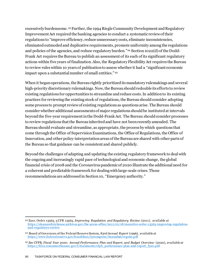excessively burdensome. [93](#page-90-0) Further, the 1994 Riegle Community Development and Regulatory Improvement Act required the banking agencies to conduct a systematic review of their regulations to "improve efficiency, reduce unnecessary costs, eliminate inconsistencies, eliminated outmoded and duplicative requirements, promote uniformity among the regulations and policies of the agencies, and reduce regulatory burden."[94](#page-90-1) Section 1022(d) of the Dodd-Frank Act requires the Bureau to publish an assessment of its each of its significant regulatory actions within five years of finalization. Also, the Regulatory Flexibility Act requires the Bureau to review rules within 10 years of publication to assess whether it had a "significant economic impact upon a substantial number of small entities." [95](#page-90-2)

When it began operations, the Bureau rightly prioritized its mandatory rulemakings and several high-priority discretionary rulemakings. Now, the Bureau should redouble its efforts to review existing regulations for opportunities to streamline and reduce costs. In addition to its existing practices for reviewing the existing stock of regulations, the Bureau should consider adopting some process to prompt review of existing regulations as questions arise. The Bureau should consider whether additional assessments of major regulations should be instituted at intervals beyond the five-year requirement in the Dodd-Frank Act. The Bureau should consider processes to review regulations that the Bureau inherited and have not been recently amended. The Bureau should evaluate and streamline, as appropriate, the process by which questions that come through the Office of Supervision Examinations, the Office of Regulations, the Office of Innovation, and other policy-interpretation areas of the Bureau are shared with other parts of the Bureau so that guidance can be consistent and shared publicly.

Beyond the challenges of adapting and updating the existing regulatory framework to deal with the ongoing and increasingly rapid pace of technological and economic change, the global financial crisis of 2008 and the Coronaviruspandemic of 2020 illustrate the additional need for a coherent and predictable framework for dealing with large-scale crises. Those recommendations are addressed in Section 10, "Emergency authority."

<span id="page-90-0"></span><sup>93</sup> Exec. Order 13563, 3 CFR 13563, *Improving Regulation and Regulatory Review* (2011), available at [https://obamawhitehouse.archives.gov/the-press-office/2011/01/18/executive-order-13563-improving-regulation](https://obamawhitehouse.archives.gov/the-press-office/2011/01/18/executive-order-13563-improving-regulation-and-regulatory-review)[and-regulatory-review](https://obamawhitehouse.archives.gov/the-press-office/2011/01/18/executive-order-13563-improving-regulation-and-regulatory-review)

<span id="page-90-1"></span><sup>94</sup> Board of Governors of the Federal Reserve System, *83rd Annual Report* (1996), available at <https://www.federalreserve.gov/boarddocs/rptcongress/Annual96/regsim.pdf>

<span id="page-90-2"></span><sup>95</sup> *See* CFPB, *Fiscal Year 2020: Annual Performance Plan and Report, and Budget Overview* (2020), available at [https://files.consumerfinance.gov/f/documents/cfpb\\_performance-plan-and-report\\_fy20.pdf.](https://files.consumerfinance.gov/f/documents/cfpb_performance-plan-and-report_fy20.pdf)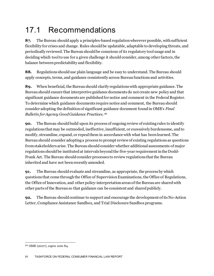## 17.1 Recommendations

**87.** The Bureau should apply a principles-based regulation wherever possible, with sufficient flexibility for crises and change. Rules should be updatable, adaptable to developing threats, and periodically reviewed. The Bureau should be conscious of its regulatory tool usage and in deciding which tool to use for a given challenge it should consider, among other factors, the balance between predictability and flexibility.

**88.** Regulations shoulduse plain language and be easy to understand. The Bureau should apply concepts, terms, and guidance consistently across Bureau functions and activities.

**89.** When beneficial, the Bureau should clarify regulations with appropriate guidance. The Bureaushould ensure that interpretive guidance documents do not create new policy and that significant guidance documents are published for notice and comment in the Federal Register. To determine which guidance documents require notice and comment, the Bureau should consider adopting the definition of significant guidance document found in OMB's *Final Bulletin for Agency Good Guidance Practices*. [96](#page-91-0)

**90.** The Bureau should build upon its process of ongoing review of existing rules to identify regulations that may be outmoded, ineffective, insufficient, or excessively burdensome, and to modify, streamline, expand, or repeal them in accordance with what has been learned. The Bureau should consider adopting a process to prompt review of existing regulations as questions from stakeholders arise. The Bureau should consider whether additional assessments of major regulations should be instituted at intervals beyond the five-year requirement in the Dodd-Frank Act. The Bureau should consider processes to review regulations that the Bureau inherited and have not been recently amended.

**91.** The Bureau should evaluate and streamline, as appropriate, the process by which questions that come through the Office of Supervision Examinations, the Office of Regulations, the Office of Innovation, and other policy-interpretation areas of the Bureau are shared with other parts of the Bureau so that guidance can be consistent and shared publicly.

**92.** The Bureau should continue to support and encourage the development of its No-Action Letter, Compliance Assistance Sandbox, and Trial Disclosure Sandbox programs.

<span id="page-91-0"></span><sup>96</sup> OMB (2007), *supra* note 84.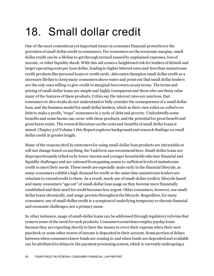## 18. Small dollar credit

One of the most contentious yet important issues in consumer financial protection is the provision of small dollar credit to consumers. For consumers on the economic margins, small dollar credit can be a lifeline to get through turmoil caused by unplanned expenses, loss of income, or other liquidity shock. With this aid comes a heightened risk for lenders of default and larger operating costs per loan dollar, leading to higher interest rates and fees than mainstream credit products like personal loans or credit cards. Advocates champion small dollar credit as a necessary lifeline to keep many consumers above water and point out that small dollar lenders are the only ones willing to give credit to marginal borrowers on any terms. The terms and pricing of small-dollar loans are simple and highly transparent and those who use them value many of the features of these products. Critics say the interest rates are usurious, that consumers in dire straits do not understand or fully consider the consequences of a small dollar loan, and the business model for small dollar lenders, which in their view relies on rolled over debt to make a profit, "traps" consumers in a cycle of debt and poverty. Undoubtedly some benefits and some harms can occur with these products, and the potential for great benefit and great harm exists. The research literature on the costs and benefits of small dollar loans is mixed. Chapter 5 of Volume I this Report explores background and research findings on small dollar credit at greater length.

Many of the reasons cited by customers for using small-dollar loan products are intractable or will not change based on anything the Taskforce can recommend here. Small-dollar loans are disproportionately relied on by lower-income and younger households who face financial and liquidity challenges and are rationed from gaining access to sufficient levels of mainstream credit to meet their needs. These needs are especially acute early in the financial lifecycle, as many consumers exhibit a high demand for credit at the same time mainstream lenders are reluctant to extend credit to them. As a result, much use of small-dollar credit is lifecycle based and many consumers "age out" of small-dollar loan usage as they become more financially established and their need for credit becomes less urgent. Other consumers, however, use smalldollar loans chronically, and usage persists throughout the lifecycle. Regardless, for many consumers, use of small-dollar credit is a symptom of underlying temporary or chronic financial and economic challenges, not a primary cause.

In other instances, usage of small-dollar loans can be addressed through regulatory reforms that remove some of the need for such products. Consumers sometimes employ payday loans because they are expecting shortly to have the money to cover their expense when their next paycheck or some other source of income is deposited in their account. Some portion of delays between when consumers know funds are coming in and when funds are deposited and available can be attributed to delays in the payment processing system, which is currently undergoing a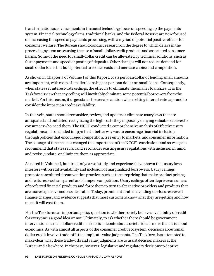transformation as advancements in financial technology focus on speeding up the payments system. Financial technology firms, traditional banks, and the Federal Reserve are now focused on increasing the speed of payments processing, with a myriad of potential positive effects for consumer welfare. The Bureau should conduct research on the degree to which delays in the processing system are causing the use of small dollar credit products and associated consumer harms. Some of the need for small-dollar credit can be alleviated by technical solutions, such as faster payments and speedier posting of deposits. Other changes will not reduce demand for small dollar loans but hold potential to reduce costs and increase choice and competition.

As shown in Chapter 4 of Volume I of this Report, costs per loan dollar of lending small amounts are important, with costs of smaller loans higher per loan dollar on small loans. Consequently, when states set interest-rate ceilings, the effect is to eliminate the smaller loan sizes. It is the Taskforce's view that any ceiling will inevitably eliminate some potential borrowers from the market. For this reason, it urges states to exercise caution when setting interest rate caps and to consider the impact on credit availability.

In this vein, states should reconsider, review, and update or eliminate usury laws that are antiquated and outdated; recognizing the high costs they impose by denying valuable services to consumers who need them. The NCCF conducted a comprehensive analysis of effective usury regulations and concluded in 1972 that a better way was to encourage financial inclusion through policies that encouraged competition, free entry to markets, and consumer information. The passage of time has not changed the importance of the NCCF's conclusions and so we again recommend that states revisit and reconsider existing usury regulations with inclusion in mind and revise, update, or eliminate them as appropriate.

As noted in Volume I, hundreds of years of study and experience have shown that usury laws interfere with credit availability and inclusion of marginalized borrowers. Usury ceilings promote convoluted circumvention practices such as term repricing that make product pricing and features less transparent and dampen competition. Usury ceilings often deprive consumers of preferred financial products and force them to turn to alternative providers and products that are more expensive and less desirable. Today, prominent Truth in Lending disclosures reveal finance charges, and evidence suggests that most customers know what they are getting and how much it will cost them.

For the Taskforce, an important policy question is whether society believes availability of credit for everyone is a good idea or not. Ultimately, to ask whether there should be government intervention in small dollar credit markets is a debate about societal ideals more than it is about economics. As with almost all aspects of the consumer credit ecosystem, decisions about small dollar credit involve trade-offs that implicate value judgments. The Taskforce has attempted to make clear what these trade-offs and value judgments are to assist decision makers at the Bureau and elsewhere. In the past, however, legislative and regulatory decisions to deprive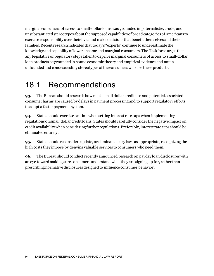marginal consumers of access to small-dollar loans was grounded in paternalistic, crude, and unsubstantiated stereotypes about the supposed capabilities of broad categories of Americans to exercise responsibility over their lives and make decisions that benefit themselves and their families. Recent research indicates that today's "experts" continue to underestimate the knowledge and capability of lower-income and marginal consumers. The Taskforce urges that any legislative or regulatory steps taken to deprive marginal consumers of access to small-dollar loan products be grounded in sound economic theory and empirical evidence and not in unfounded and condescending stereotypes of the consumers who use these products.

#### 18.1 Recommendations

**93.** The Bureau should research how much small dollar credit use and potential associated consumer harms are caused by delays in payment processing and to support regulatory efforts to adopt a faster payments system.

**94.** States should exercise caution when setting interest rate caps when implementing regulations on small dollar credit loans. States should carefully consider the negative impact on credit availability when considering further regulations. Preferably, interest rate caps should be eliminatedentirely.

**95.** States should reconsider, update, or eliminate usury laws as appropriate, recognizing the high costs they impose by denying valuable services to consumers who need them.

**96.** The Bureau should conduct recently announced research on payday loan disclosures with an eye toward making sure consumers understand what they are signing up for, rather than prescribing normative disclosuresdesigned to influence consumer behavior.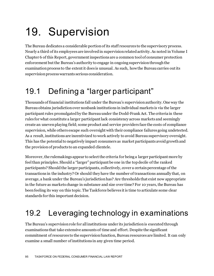# 19. Supervision

The Bureau dedicates a considerable portion of its staff resources to the supervisory process. Nearly a third of its employees are involved in supervision related activity. As noted in Volume I Chapter 6 of this Report, government inspections are a common tool of consumer protection enforcement but the Bureau's authority to engage in ongoing supervision through the examination process to the extent it does is unusual. As such, how the Bureau carries out its supervision process warrants serious consideration.

## 19.1 Defining a "larger participant"

Thousands of financial institutions fall under the Bureau's supervision authority. One way the Bureau obtains jurisdiction over nonbank institutions in individual markets is via the larger participant rules promulgated by the Bureau under the Dodd-Frank Act. The criteria in these rules for what constitute a larger participant lack consistency across markets and seemingly create an uneven playing field; some product and service providers face the costs of compliance supervision, while others escape such oversight with their compliance failures going undetected. As a result, institutions are incentivized to work actively to avoid Bureau supervisory oversight. This has the potential to negatively impact consumers as market participants avoid growth and the provision of products to an expanded clientele.

Moreover, the rulemakings appear to select the criteria for being a larger participant more by feel than principles. Should a "larger" participant be one in the top decile of the ranked participants? Should the larger participants, collectively, cover a certain percentage of the transactions in the industry? Or should they have the number of transactions annually that, on average, a bank under the Bureau's jurisdiction has? Are thresholds that exist now appropriate in the future as markets change in substance and size over time? For 10 years, the Bureau has been feeling its way on this topic. The Taskforce believes it is time to articulate some clear standards for this important decision.

### 19.2 Leveraging technology in examinations

The Bureau's supervision role for all institutions under its jurisdiction is executed through examinations that take extensive amounts of time and effort. Despite the significant commitment of resources to the supervision function, Bureau resources are limited. It can only examine a small number of institutions in any given time period.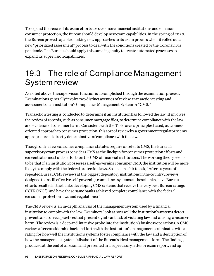To expand the reach of its exam efforts to cover more financial institutions and enhance consumer protection, the Bureau should develop new exam capabilities.In the spring of 2020, the Bureau proved capable of taking new approaches to its exam process when it rolled out a new "prioritized assessment" process to deal with the conditions created by the Coronavirus pandemic. The Bureau should apply this same ingenuity to create automated processes to expand its supervision capabilities.

#### 19.3 The role of Compliance Management System review

As noted above, the supervision function is accomplished through the examination process. Examinations generally involve two distinct avenues of review, transaction testing and assessment of an institution's Compliance Management System or "CMS."

Transaction testing is conducted to determine if an institution has followed the law. It involves the review of records, such as consumer mortgage files, to determine compliance with the law and evidence of consumer harm. Consistent with the Taskforce's principles based, outcomesoriented approach to consumer protection, this sort of review by a government regulator seems appropriate and directly determinative of compliance with the law.

Though only a few consumer compliance statutes require or refer to CMS, the Bureau's supervisory exam process considers CMS as the linchpin for consumer protection efforts and concentrates most of its efforts on the CMS of financial institutions. The working theory seems to be that if an institution possesses a self-governing consumer CMS, the institution will be more likely to comply with the federal protection laws. So it seems fair to ask, "After 10 years of repeated Bureau CMS reviews at the biggest depository institutions in the country, reviews designed to instill effective self-governing compliance systems at these banks, have Bureau efforts resulted in the banks developing CMS systems that receive the very best Bureau ratings ("STRONG"), and have these same banks achieved complete compliance with the federal consumer protection laws and regulations?"

The CMS review is an in-depth analysis of the management system used by a financial institution to comply with the law. Examiners look at how well the institution's systems detect, prevent, and correct practices that present significant risk of violating law and causing consumer harm. The review is a deep and intrusive probe into the institution's business operations. A CMS review, after considerable back and forth with the institution's management, culminates with a rating for howwell the institution's systems foster compliance with the law and a description of how the management system falls short of the Bureau's ideal management form. The findings, produced at the end of an exam and presented in a supervisory letter or exam report, end up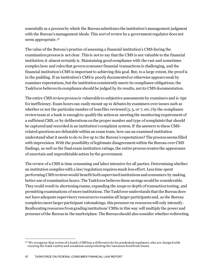essentially as a process by which the Bureau substitutes the institution's management judgment with the Bureau's management ideals. This sort of review by a government regulator does not seem appropriate. [97](#page-97-0)

The value of the Bureau's practice of assessing a financial institution's CMS during the examination process is not clear. This is not to say that the CMS is not valuable to the financial institution; it almost certainly is. Maintaining good compliance with the vast and sometimes complex laws and rules that govern consumer financial transactions is challenging, and the financial institution's CMS is important to achieving this goal. But, to a large extent, the proof is in the pudding. If an institution's CMS is poorly documented or otherwise appears weak by examiner expectations, but the institution consistently meets its compliance obligations, the Taskforce believes its compliance should be judged by its results, not its CMS documentation.

The entire CMS review process is vulnerable to subjective assessments by examiners and is ripe for inefficiency. Exam hours can easily mount up in debates by examiners over issues such as whether or not the particular number of loan files reviewed (3, 5, or 7, etc.) by the compliance review team at a bank is enoughto qualify the action as meeting the monitoring requirement of a sufficient CMS, or by deliberations on the proper number and type of complaints that should be captured and recorded in an institution's complaint system.If the answers to these CMSrelated questions are debatable within an exam team, how can an examined institution understand what it needs to do to live up to the Bureau's expectations? The process seems filled with imprecision. With the possibility of legitimate disagreement within the Bureau over CMS findings, as well as the final exam institution ratings, the entire process creates the appearance of uncertain and unpredictable action by the government.

The review of a CMS is time consuming and labor intensive for all parties. Determining whether an institution complies with a law/regulation requires much less effort. Less time spent performing CMS reviews would benefit both supervised institutions and consumers by making better use of examination hours. The Taskforce believes these savings would be considerable. They could result in shortening exams, expanding the scope or depth of transaction testing, and permitting examinations of more institutions. The Taskforce understands that the Bureau does not have adequate supervisory resources to examine all larger participants and, as the Bureau completes more larger participant rulemakings, this pressure on resources will only intensify. Reallocating resources from grading institutions' CMSs in this way will multiply the power and presence of the Bureau in the marketplace. The Bureau should also consider whether redirecting

<span id="page-97-0"></span><sup>97</sup> We recognize that review of a bank's CMS has a different role for prudential regulators, who are charged with ensuing the bank's safety and soundness and protecting the insurance fund from losses.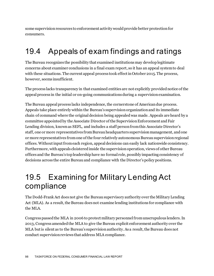some supervision resources to enforcement activity would provide better protection for consumers.

#### 19.4 Appeals of exam findings and ratings

The Bureau recognizes the possibility that examined institutions may develop legitimate concerns about examiner conclusions in a final exam report, so it has an appeal system to deal with these situations. The current appeal process took effect in October 2015. The process, however, seems insufficient.

The process lacks transparency in that examined entities are not explicitly provided notice of the appeal process in the initial or on-going communications during a supervision examination.

The Bureau appeal process lacks independence, the cornerstone of American due process. Appeals take place entirely within the Bureau's supervision organization and its immediate chain of command where the original decision being appealed was made. Appeals are heard by a committee appointed by the Associate Director of the Supervision Enforcement and Fair Lending division, known as SEFL, and includes a staff person from this Associate Director's staff, one or more representatives from Bureau headquarters supervision management, and one or more representatives from one of the four relatively autonomous Bureau supervision regional offices.Without input from each region, appeal decisions can easily lack nationwide consistency. Furthermore, with appeals cloistered inside the supervision operation, views of other Bureau offices and the Bureau's top leadership have no formal role, possibly impacting consistency of decisions across the entire Bureau and compliance with the Director's policy positions.

#### 19.5 Examining for Military Lending Act compliance

The Dodd-Frank Act does not give the Bureau supervisory authority over the Military Lending Act (MLA). As a result, the Bureau does not examine lending institutions for compliance with the MLA.

Congress passed the MLA in 2006 to protect military personnel from unscrupulous lenders. In 2013, Congress amended the MLA to give the Bureau explicit enforcement authority over the MLA but is silent as to the Bureau's supervision authority. As a result, the Bureau does not conduct supervision reviews that address MLA compliance.